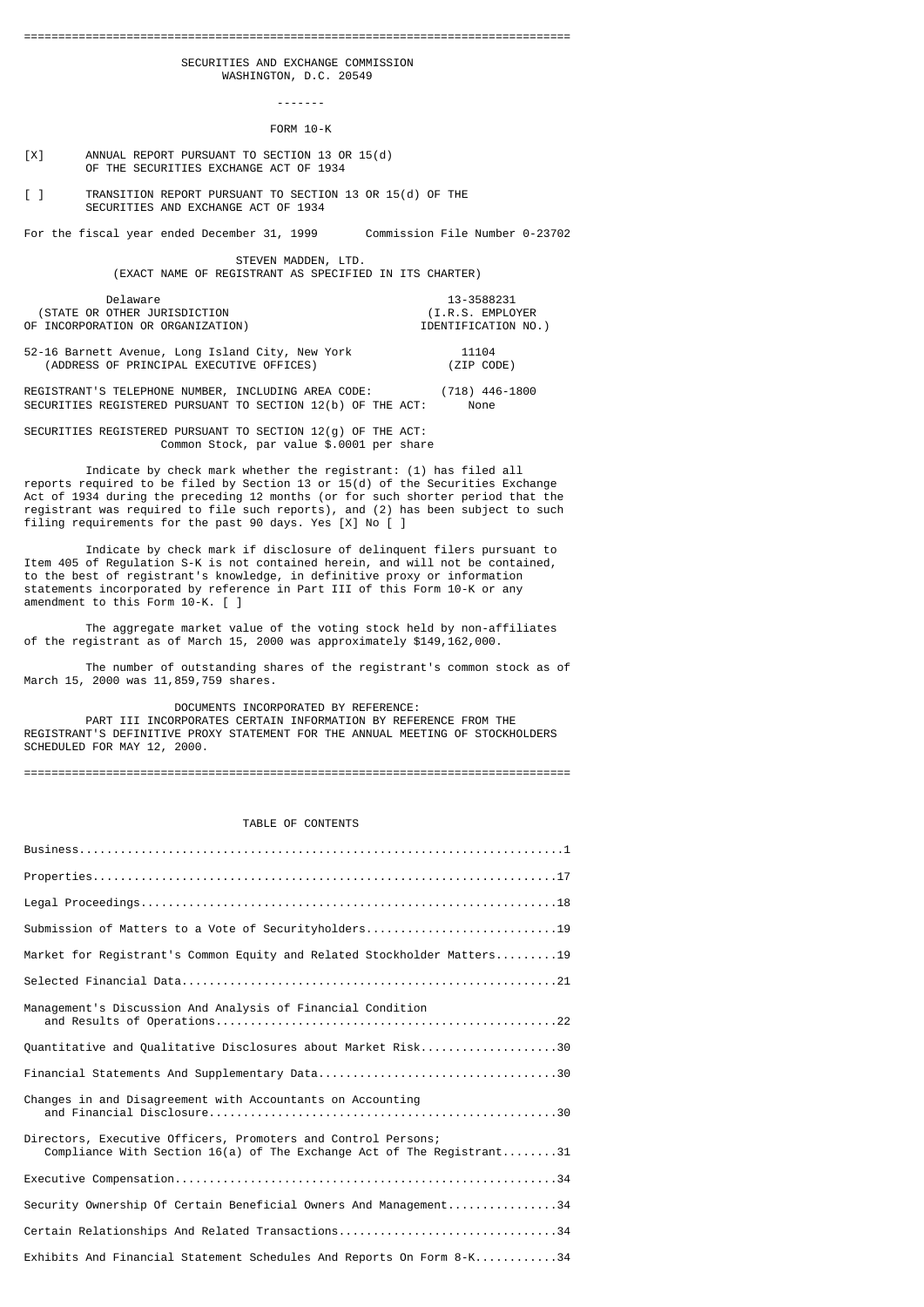SECURITIES AND EXCHANGE COMMISSION WASHINGTON, D.C. 20549

FORM 10-K

[X] ANNUAL REPORT PURSUANT TO SECTION 13 OR 15(d) OF THE SECURITIES EXCHANGE ACT OF 1934

-------

[ ] TRANSITION REPORT PURSUANT TO SECTION 13 OR 15(d) OF THE SECURITIES AND EXCHANGE ACT OF 1934

For the fiscal year ended December 31, 1999 Commission File Number 0-23702

 STEVEN MADDEN, LTD. (EXACT NAME OF REGISTRANT AS SPECIFIED IN ITS CHARTER)

Delaware 13-3588231<br>OTHER JURISDICTION (I.R.S. EMPLOYER (STATE OR OTHER JURISDICTION (I.R.S. EMPLOYER OF INCORPORATION OR ORGANIZATION)

52-16 Barnett Avenue, Long Island City, New York 11104 (ADDRESS OF PRINCIPAL EXECUTIVE OFFICES) (ZIP CODE)

REGISTRANT'S TELEPHONE NUMBER, INCLUDING AREA CODE: (718) 446-1800 SECURITIES REGISTERED PURSUANT TO SECTION 12(b) OF THE ACT: None

SECURITIES REGISTERED PURSUANT TO SECTION 12(g) OF THE ACT: Common Stock, par value \$.0001 per share

 Indicate by check mark whether the registrant: (1) has filed all reports required to be filed by Section 13 or 15(d) of the Securities Exchange Act of 1934 during the preceding 12 months (or for such shorter period that the registrant was required to file such reports), and (2) has been subject to such filing requirements for the past 90 days. Yes [X] No [ ]

 Indicate by check mark if disclosure of delinquent filers pursuant to Item 405 of Regulation S-K is not contained herein, and will not be contained, to the best of registrant's knowledge, in definitive proxy or information statements incorporated by reference in Part III of this Form 10-K or any amendment to this Form 10-K. [ ]

 The aggregate market value of the voting stock held by non-affiliates of the registrant as of March 15, 2000 was approximately \$149,162,000.

 The number of outstanding shares of the registrant's common stock as of March 15, 2000 was 11,859,759 shares.

DOCUMENTS INCORPORATED BY REFERENCE:

 PART III INCORPORATES CERTAIN INFORMATION BY REFERENCE FROM THE REGISTRANT'S DEFINITIVE PROXY STATEMENT FOR THE ANNUAL MEETING OF STOCKHOLDERS SCHEDULED FOR MAY 12, 2000.

================================================================================

## TABLE OF CONTENTS

| Submission of Matters to a Vote of Securityholders19                                                                                   |
|----------------------------------------------------------------------------------------------------------------------------------------|
| Market for Registrant's Common Equity and Related Stockholder Matters19                                                                |
|                                                                                                                                        |
| Management's Discussion And Analysis of Financial Condition                                                                            |
| Quantitative and Qualitative Disclosures about Market Risk30                                                                           |
|                                                                                                                                        |
| Changes in and Disagreement with Accountants on Accounting                                                                             |
| Directors, Executive Officers, Promoters and Control Persons;<br>Compliance With Section 16(a) of The Exchange Act of The Registrant31 |
|                                                                                                                                        |
| Security Ownership Of Certain Beneficial Owners And Management34                                                                       |
| Certain Relationships And Related Transactions34                                                                                       |
| Exhibits And Financial Statement Schedules And Reports On Form 8-K34                                                                   |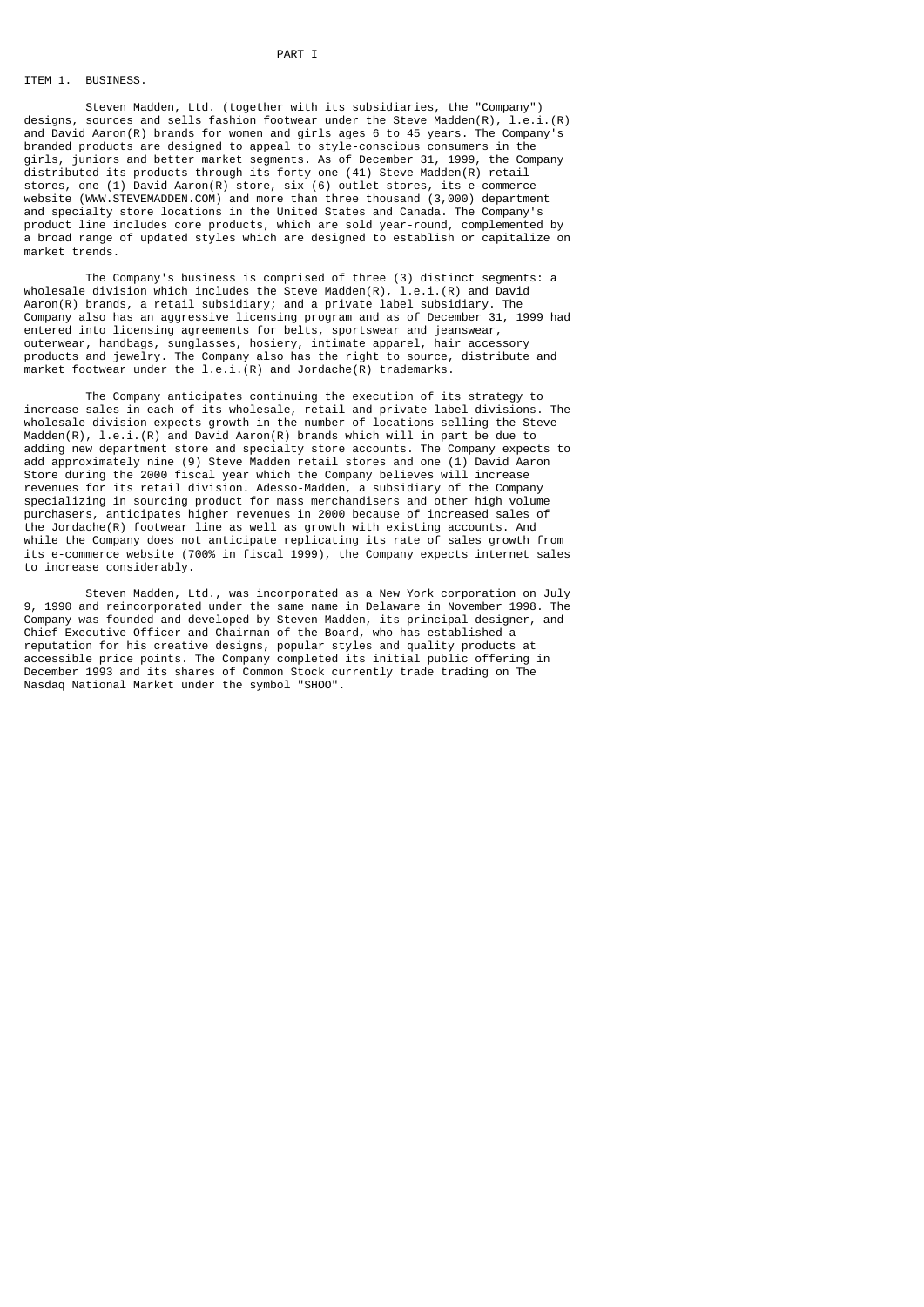### ITEM 1. BUSINESS.

 Steven Madden, Ltd. (together with its subsidiaries, the "Company") designs, sources and sells fashion footwear under the Steve Madden(R), l.e.i.(R) and David Aaron(R) brands for women and girls ages 6 to 45 years. The Company's branded products are designed to appeal to style-conscious consumers in the girls, juniors and better market segments. As of December 31, 1999, the Company distributed its products through its forty one (41) Steve Madden(R) retail stores, one (1) David Aaron(R) store, six (6) outlet stores, its e-commerce website (WWW.STEVEMADDEN.COM) and more than three thousand (3,000) department and specialty store locations in the United States and Canada. The Company's product line includes core products, which are sold year-round, complemented by a broad range of updated styles which are designed to establish or capitalize on market trends.

 The Company's business is comprised of three (3) distinct segments: a wholesale division which includes the Steve Madden(R), l.e.i.(R) and David Aaron(R) brands, a retail subsidiary; and a private label subsidiary. The Company also has an aggressive licensing program and as of December 31, 1999 had entered into licensing agreements for belts, sportswear and jeanswear, outerwear, handbags, sunglasses, hosiery, intimate apparel, hair accessory products and jewelry. The Company also has the right to source, distribute and market footwear under the l.e.i.(R) and Jordache(R) trademarks.

 The Company anticipates continuing the execution of its strategy to increase sales in each of its wholesale, retail and private label divisions. The wholesale division expects growth in the number of locations selling the Steve Madden(R),  $l.e.$  i.(R) and David Aaron(R) brands which will in part be due to adding new department store and specialty store accounts. The Company expects to add approximately nine (9) Steve Madden retail stores and one (1) David Aaron Store during the 2000 fiscal year which the Company believes will increase revenues for its retail division. Adesso-Madden, a subsidiary of the Company specializing in sourcing product for mass merchandisers and other high volume purchasers, anticipates higher revenues in 2000 because of increased sales of the Jordache(R) footwear line as well as growth with existing accounts. And while the Company does not anticipate replicating its rate of sales growth from its e-commerce website (700% in fiscal 1999), the Company expects internet sales to increase considerably.

 Steven Madden, Ltd., was incorporated as a New York corporation on July 9, 1990 and reincorporated under the same name in Delaware in November 1998. The Company was founded and developed by Steven Madden, its principal designer, and Chief Executive Officer and Chairman of the Board, who has established a reputation for his creative designs, popular styles and quality products at accessible price points. The Company completed its initial public offering in December 1993 and its shares of Common Stock currently trade trading on The Nasdaq National Market under the symbol "SHOO".

### PART I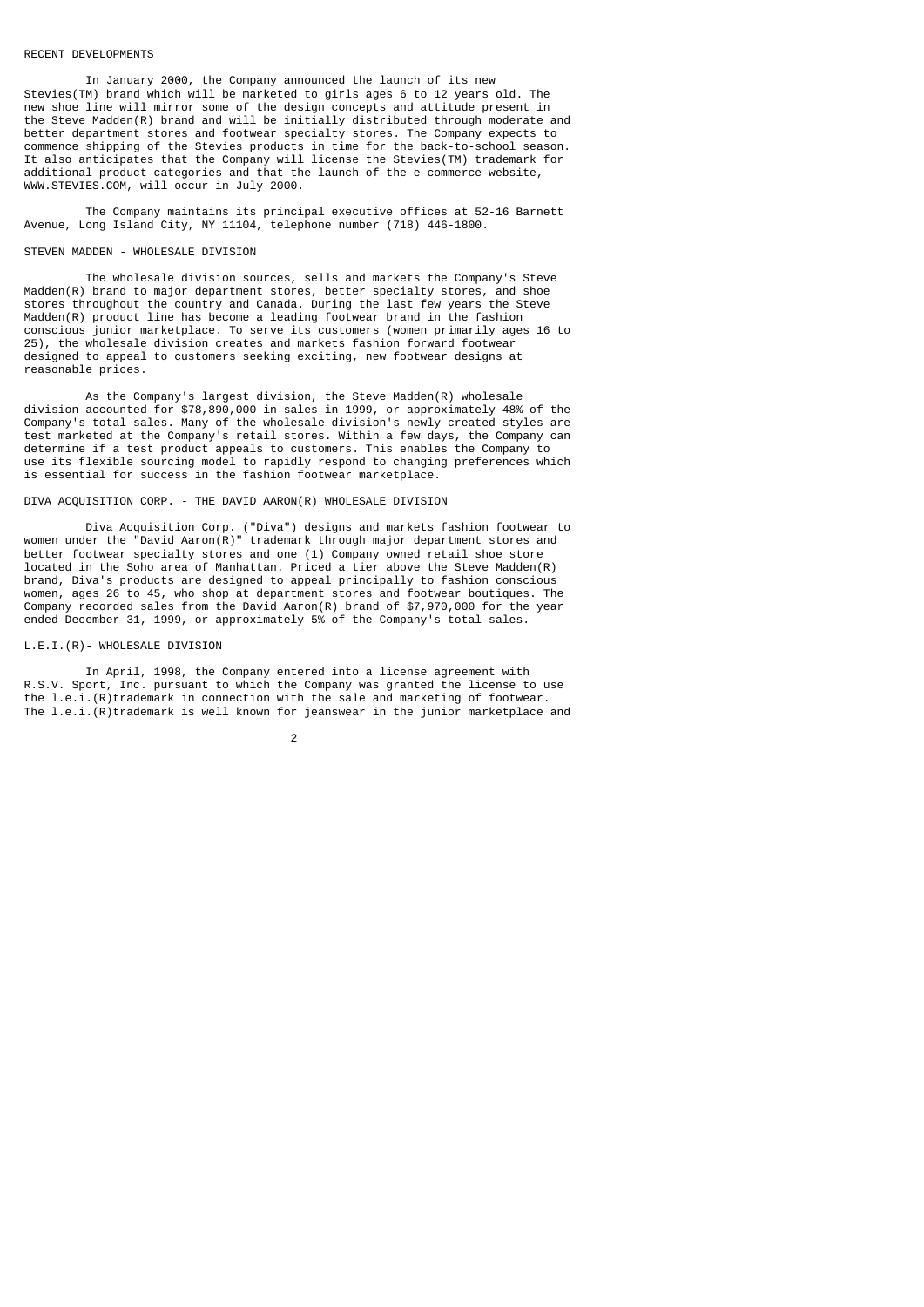#### RECENT DEVELOPMENTS

 In January 2000, the Company announced the launch of its new Stevies(TM) brand which will be marketed to girls ages 6 to 12 years old. The new shoe line will mirror some of the design concepts and attitude present in the Steve Madden(R) brand and will be initially distributed through moderate and better department stores and footwear specialty stores. The Company expects to commence shipping of the Stevies products in time for the back-to-school season. It also anticipates that the Company will license the Stevies(TM) trademark for additional product categories and that the launch of the e-commerce website, WWW.STEVIES.COM, will occur in July 2000.

 The Company maintains its principal executive offices at 52-16 Barnett Avenue, Long Island City, NY 11104, telephone number (718) 446-1800.

# STEVEN MADDEN - WHOLESALE DIVISION

 The wholesale division sources, sells and markets the Company's Steve Madden(R) brand to major department stores, better specialty stores, and shoe stores throughout the country and Canada. During the last few years the Steve Madden(R) product line has become a leading footwear brand in the fashion conscious junior marketplace. To serve its customers (women primarily ages 16 to 25), the wholesale division creates and markets fashion forward footwear designed to appeal to customers seeking exciting, new footwear designs at reasonable prices.

 As the Company's largest division, the Steve Madden(R) wholesale division accounted for \$78,890,000 in sales in 1999, or approximately 48% of the Company's total sales. Many of the wholesale division's newly created styles are test marketed at the Company's retail stores. Within a few days, the Company can determine if a test product appeals to customers. This enables the Company to use its flexible sourcing model to rapidly respond to changing preferences which is essential for success in the fashion footwear marketplace.

# DIVA ACQUISITION CORP. - THE DAVID AARON(R) WHOLESALE DIVISION

 Diva Acquisition Corp. ("Diva") designs and markets fashion footwear to women under the "David Aaron(R)" trademark through major department stores and better footwear specialty stores and one (1) Company owned retail shoe store located in the Soho area of Manhattan. Priced a tier above the Steve Madden(R) brand, Diva's products are designed to appeal principally to fashion conscious women, ages 26 to 45, who shop at department stores and footwear boutiques. The Company recorded sales from the David Aaron(R) brand of \$7,970,000 for the year ended December 31, 1999, or approximately 5% of the Company's total sales.

### L.E.I.(R)- WHOLESALE DIVISION

 In April, 1998, the Company entered into a license agreement with R.S.V. Sport, Inc. pursuant to which the Company was granted the license to use the l.e.i.(R)trademark in connection with the sale and marketing of footwear. The  $l.e.i.$   $(R)$  trademark is well known for jeanswear in the junior marketplace and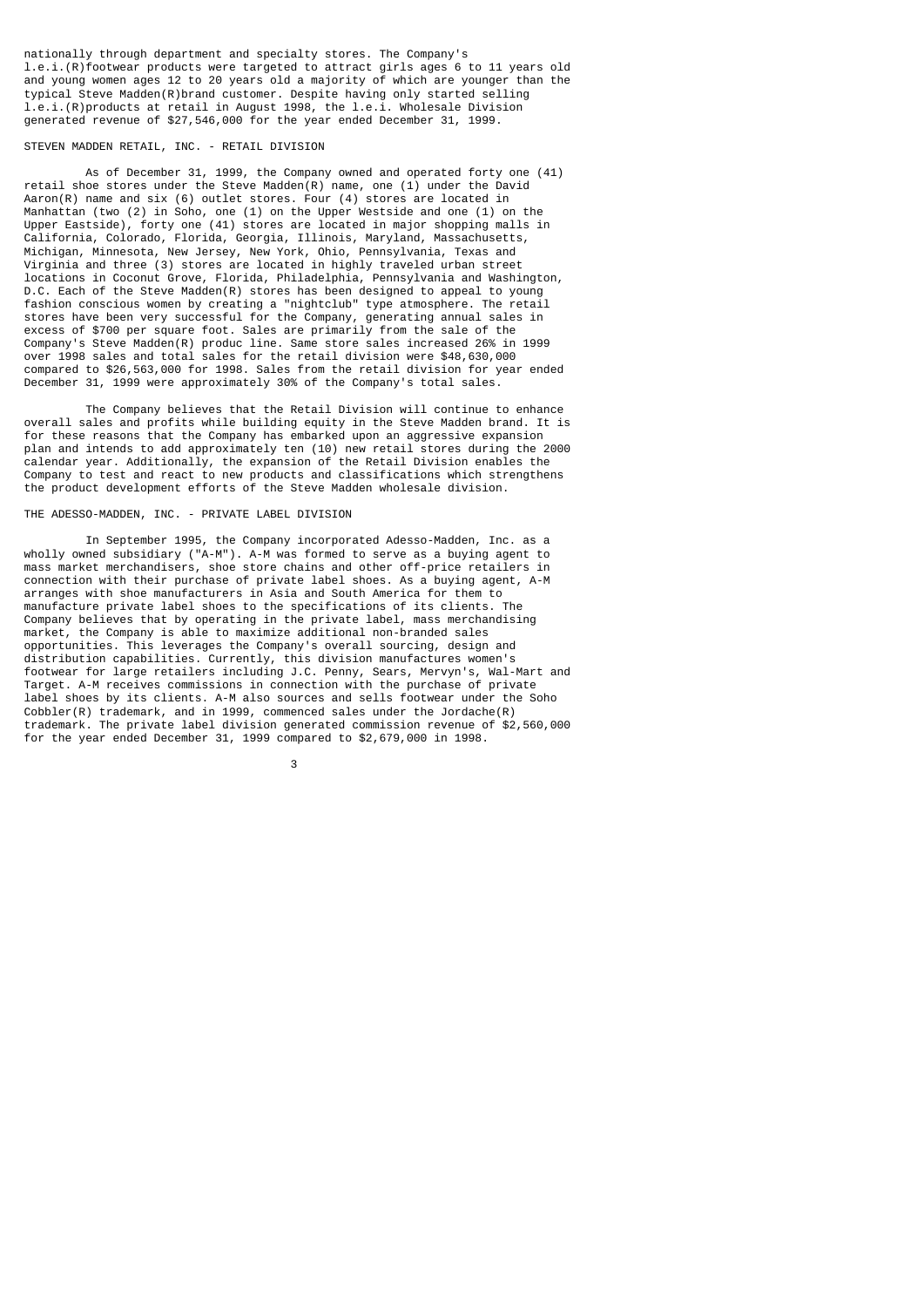nationally through department and specialty stores. The Company's l.e.i.(R)footwear products were targeted to attract girls ages 6 to 11 years old and young women ages 12 to 20 years old a majority of which are younger than the typical Steve Madden(R)brand customer. Despite having only started selling l.e.i.(R)products at retail in August 1998, the l.e.i. Wholesale Division generated revenue of \$27,546,000 for the year ended December 31, 1999.

### STEVEN MADDEN RETAIL, INC. - RETAIL DIVISION

 As of December 31, 1999, the Company owned and operated forty one (41) retail shoe stores under the Steve Madden(R) name, one (1) under the David Aaron(R) name and six (6) outlet stores. Four (4) stores are located in Manhattan (two (2) in Soho, one (1) on the Upper Westside and one (1) on the Upper Eastside), forty one (41) stores are located in major shopping malls in California, Colorado, Florida, Georgia, Illinois, Maryland, Massachusetts, Michigan, Minnesota, New Jersey, New York, Ohio, Pennsylvania, Texas and Virginia and three (3) stores are located in highly traveled urban street locations in Coconut Grove, Florida, Philadelphia, Pennsylvania and Washington, D.C. Each of the Steve Madden(R) stores has been designed to appeal to young fashion conscious women by creating a "nightclub" type atmosphere. The retail stores have been very successful for the Company, generating annual sales in excess of \$700 per square foot. Sales are primarily from the sale of the Company's Steve Madden(R) produc line. Same store sales increased 26% in 1999 over 1998 sales and total sales for the retail division were \$48,630,000 compared to \$26,563,000 for 1998. Sales from the retail division for year ended December 31, 1999 were approximately 30% of the Company's total sales.

 The Company believes that the Retail Division will continue to enhance overall sales and profits while building equity in the Steve Madden brand. It is for these reasons that the Company has embarked upon an aggressive expansion plan and intends to add approximately ten (10) new retail stores during the 2000 calendar year. Additionally, the expansion of the Retail Division enables the Company to test and react to new products and classifications which strengthens the product development efforts of the Steve Madden wholesale division.

### THE ADESSO-MADDEN, INC. - PRIVATE LABEL DIVISION

 In September 1995, the Company incorporated Adesso-Madden, Inc. as a wholly owned subsidiary ("A-M"). A-M was formed to serve as a buying agent to mass market merchandisers, shoe store chains and other off-price retailers in connection with their purchase of private label shoes. As a buying agent, A-M arranges with shoe manufacturers in Asia and South America for them to manufacture private label shoes to the specifications of its clients. The Company believes that by operating in the private label, mass merchandising market, the Company is able to maximize additional non-branded sales opportunities. This leverages the Company's overall sourcing, design and distribution capabilities. Currently, this division manufactures women's footwear for large retailers including J.C. Penny, Sears, Mervyn's, Wal-Mart and Target. A-M receives commissions in connection with the purchase of private label shoes by its clients. A-M also sources and sells footwear under the Soho Cobbler(R) trademark, and in 1999, commenced sales under the Jordache(R) trademark. The private label division generated commission revenue of \$2,560,000 for the year ended December 31, 1999 compared to \$2,679,000 in 1998.

 $\sim$  3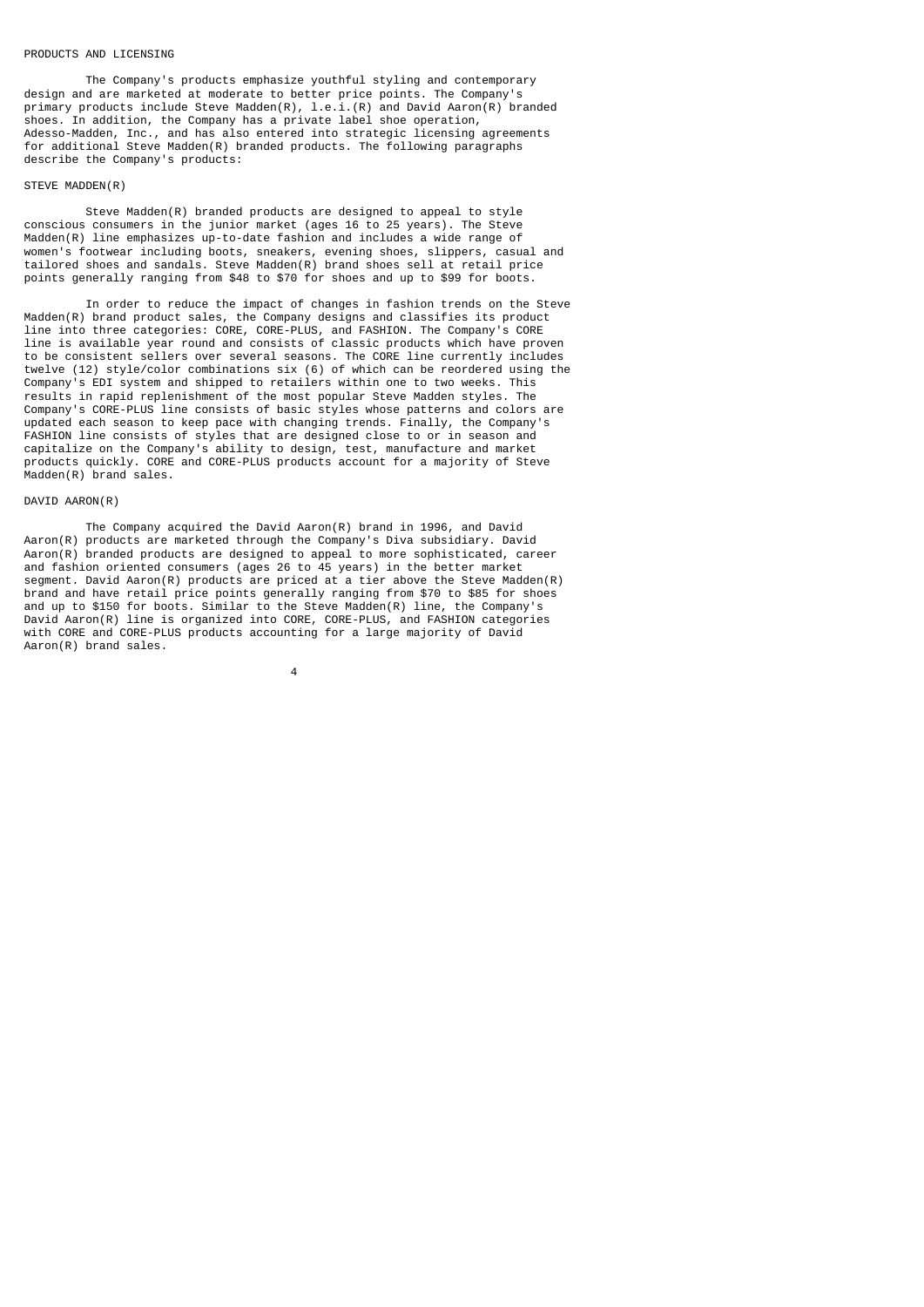#### PRODUCTS AND LICENSING

 The Company's products emphasize youthful styling and contemporary design and are marketed at moderate to better price points. The Company's primary products include Steve Madden(R), l.e.i.(R) and David Aaron(R) branded shoes. In addition, the Company has a private label shoe operation, Adesso-Madden, Inc., and has also entered into strategic licensing agreements for additional Steve Madden(R) branded products. The following paragraphs describe the Company's products:

### STEVE MADDEN(R)

 Steve Madden(R) branded products are designed to appeal to style conscious consumers in the junior market (ages 16 to 25 years). The Steve Madden(R) line emphasizes up-to-date fashion and includes a wide range of women's footwear including boots, sneakers, evening shoes, slippers, casual and tailored shoes and sandals. Steve Madden(R) brand shoes sell at retail price points generally ranging from \$48 to \$70 for shoes and up to \$99 for boots.

 In order to reduce the impact of changes in fashion trends on the Steve Madden(R) brand product sales, the Company designs and classifies its product line into three categories: CORE, CORE-PLUS, and FASHION. The Company's CORE line is available year round and consists of classic products which have proven to be consistent sellers over several seasons. The CORE line currently includes twelve (12) style/color combinations six (6) of which can be reordered using the Company's EDI system and shipped to retailers within one to two weeks. This results in rapid replenishment of the most popular Steve Madden styles. The Company's CORE-PLUS line consists of basic styles whose patterns and colors are updated each season to keep pace with changing trends. Finally, the Company's FASHION line consists of styles that are designed close to or in season and capitalize on the Company's ability to design, test, manufacture and market products quickly. CORE and CORE-PLUS products account for a majority of Steve Madden(R) brand sales.

## DAVID AARON(R)

 The Company acquired the David Aaron(R) brand in 1996, and David Aaron(R) products are marketed through the Company's Diva subsidiary. David Aaron(R) branded products are designed to appeal to more sophisticated, career and fashion oriented consumers (ages 26 to 45 years) in the better market segment. David Aaron(R) products are priced at a tier above the Steve Madden(R) brand and have retail price points generally ranging from \$70 to \$85 for shoes and up to \$150 for boots. Similar to the Steve Madden(R) line, the Company's David Aaron(R) line is organized into CORE, CORE-PLUS, and FASHION categories with CORE and CORE-PLUS products accounting for a large majority of David Aaron(R) brand sales.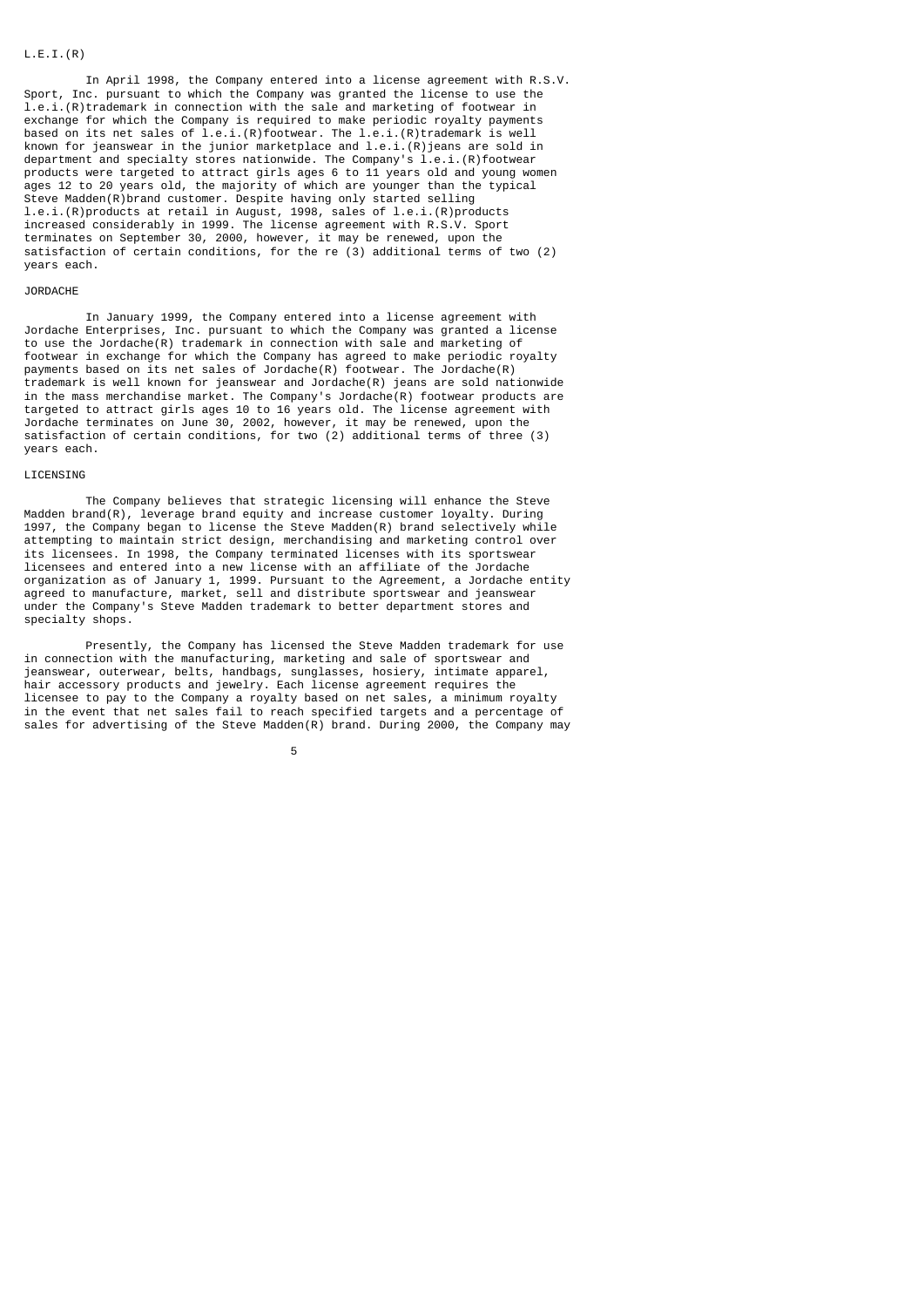### $L.E.I.(R)$

 In April 1998, the Company entered into a license agreement with R.S.V. Sport, Inc. pursuant to which the Company was granted the license to use the l.e.i.(R)trademark in connection with the sale and marketing of footwear in exchange for which the Company is required to make periodic royalty payments based on its net sales of l.e.i.(R)footwear. The l.e.i.(R)trademark is well known for jeanswear in the junior marketplace and l.e.i.(R)jeans are sold in department and specialty stores nationwide. The Company's l.e.i.(R)footwear products were targeted to attract girls ages 6 to 11 years old and young women ages 12 to 20 years old, the majority of which are younger than the typical Steve Madden(R)brand customer. Despite having only started selling l.e.i.(R)products at retail in August, 1998, sales of l.e.i.(R)products increased considerably in 1999. The license agreement with R.S.V. Sport terminates on September 30, 2000, however, it may be renewed, upon the satisfaction of certain conditions, for the re (3) additional terms of two (2) years each.

### JORDACHE

 In January 1999, the Company entered into a license agreement with Jordache Enterprises, Inc. pursuant to which the Company was granted a license to use the Jordache(R) trademark in connection with sale and marketing of footwear in exchange for which the Company has agreed to make periodic royalty payments based on its net sales of Jordache $(R)$  footwear. The Jordache $(R)$ trademark is well known for jeanswear and Jordache(R) jeans are sold nationwide in the mass merchandise market. The Company's Jordache(R) footwear products are targeted to attract girls ages 10 to 16 years old. The license agreement with Jordache terminates on June 30, 2002, however, it may be renewed, upon the satisfaction of certain conditions, for two (2) additional terms of three (3) years each.

### LICENSING

 The Company believes that strategic licensing will enhance the Steve Madden brand(R), leverage brand equity and increase customer loyalty. During 1997, the Company began to license the Steve Madden(R) brand selectively while attempting to maintain strict design, merchandising and marketing control over its licensees. In 1998, the Company terminated licenses with its sportswear licensees and entered into a new license with an affiliate of the Jordache organization as of January 1, 1999. Pursuant to the Agreement, a Jordache entity agreed to manufacture, market, sell and distribute sportswear and jeanswear under the Company's Steve Madden trademark to better department stores and specialty shops.

 Presently, the Company has licensed the Steve Madden trademark for use in connection with the manufacturing, marketing and sale of sportswear and jeanswear, outerwear, belts, handbags, sunglasses, hosiery, intimate apparel, hair accessory products and jewelry. Each license agreement requires the licensee to pay to the Company a royalty based on net sales, a minimum royalty in the event that net sales fail to reach specified targets and a percentage of sales for advertising of the Steve Madden(R) brand. During 2000, the Company may

 $5<sub>5</sub>$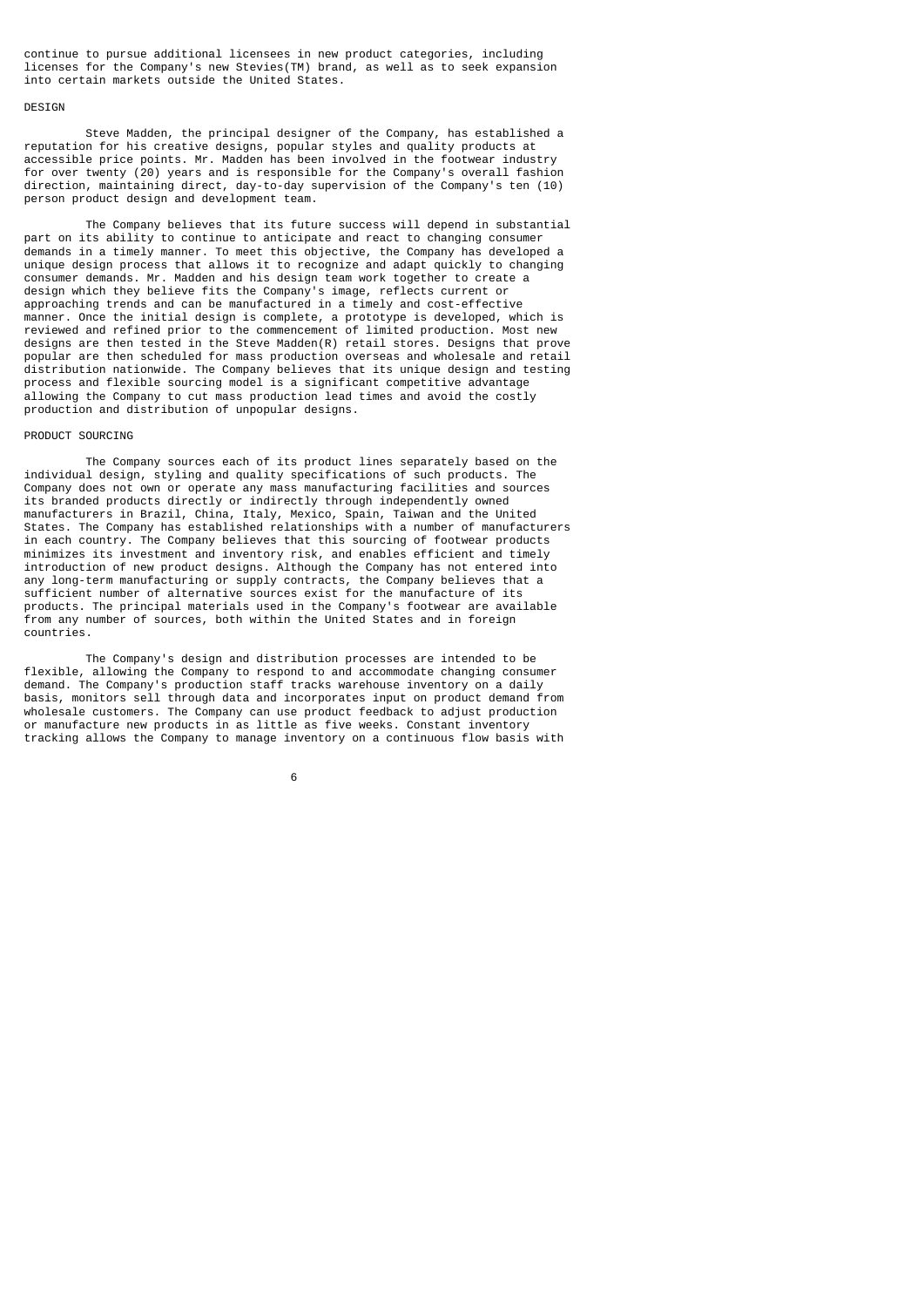continue to pursue additional licensees in new product categories, including licenses for the Company's new Stevies(TM) brand, as well as to seek expansion into certain markets outside the United States.

### **DESTGN**

 Steve Madden, the principal designer of the Company, has established a reputation for his creative designs, popular styles and quality products at accessible price points. Mr. Madden has been involved in the footwear industry for over twenty (20) years and is responsible for the Company's overall fashion direction, maintaining direct, day-to-day supervision of the Company's ten (10) person product design and development team.

 The Company believes that its future success will depend in substantial part on its ability to continue to anticipate and react to changing consumer demands in a timely manner. To meet this objective, the Company has developed a unique design process that allows it to recognize and adapt quickly to changing consumer demands. Mr. Madden and his design team work together to create a design which they believe fits the Company's image, reflects current or approaching trends and can be manufactured in a timely and cost-effective manner. Once the initial design is complete, a prototype is developed, which is reviewed and refined prior to the commencement of limited production. Most new designs are then tested in the Steve Madden(R) retail stores. Designs that prove popular are then scheduled for mass production overseas and wholesale and retail distribution nationwide. The Company believes that its unique design and testing process and flexible sourcing model is a significant competitive advantage allowing the Company to cut mass production lead times and avoid the costly production and distribution of unpopular designs.

### PRODUCT SOURCING

 The Company sources each of its product lines separately based on the individual design, styling and quality specifications of such products. The Company does not own or operate any mass manufacturing facilities and sources its branded products directly or indirectly through independently owned manufacturers in Brazil, China, Italy, Mexico, Spain, Taiwan and the United States. The Company has established relationships with a number of manufacturers in each country. The Company believes that this sourcing of footwear products minimizes its investment and inventory risk, and enables efficient and timely introduction of new product designs. Although the Company has not entered into any long-term manufacturing or supply contracts, the Company believes that a sufficient number of alternative sources exist for the manufacture of its products. The principal materials used in the Company's footwear are available from any number of sources, both within the United States and in foreign countries.

 The Company's design and distribution processes are intended to be flexible, allowing the Company to respond to and accommodate changing consumer demand. The Company's production staff tracks warehouse inventory on a daily basis, monitors sell through data and incorporates input on product demand from wholesale customers. The Company can use product feedback to adjust production or manufacture new products in as little as five weeks. Constant inventory tracking allows the Company to manage inventory on a continuous flow basis with

 $\sim$  6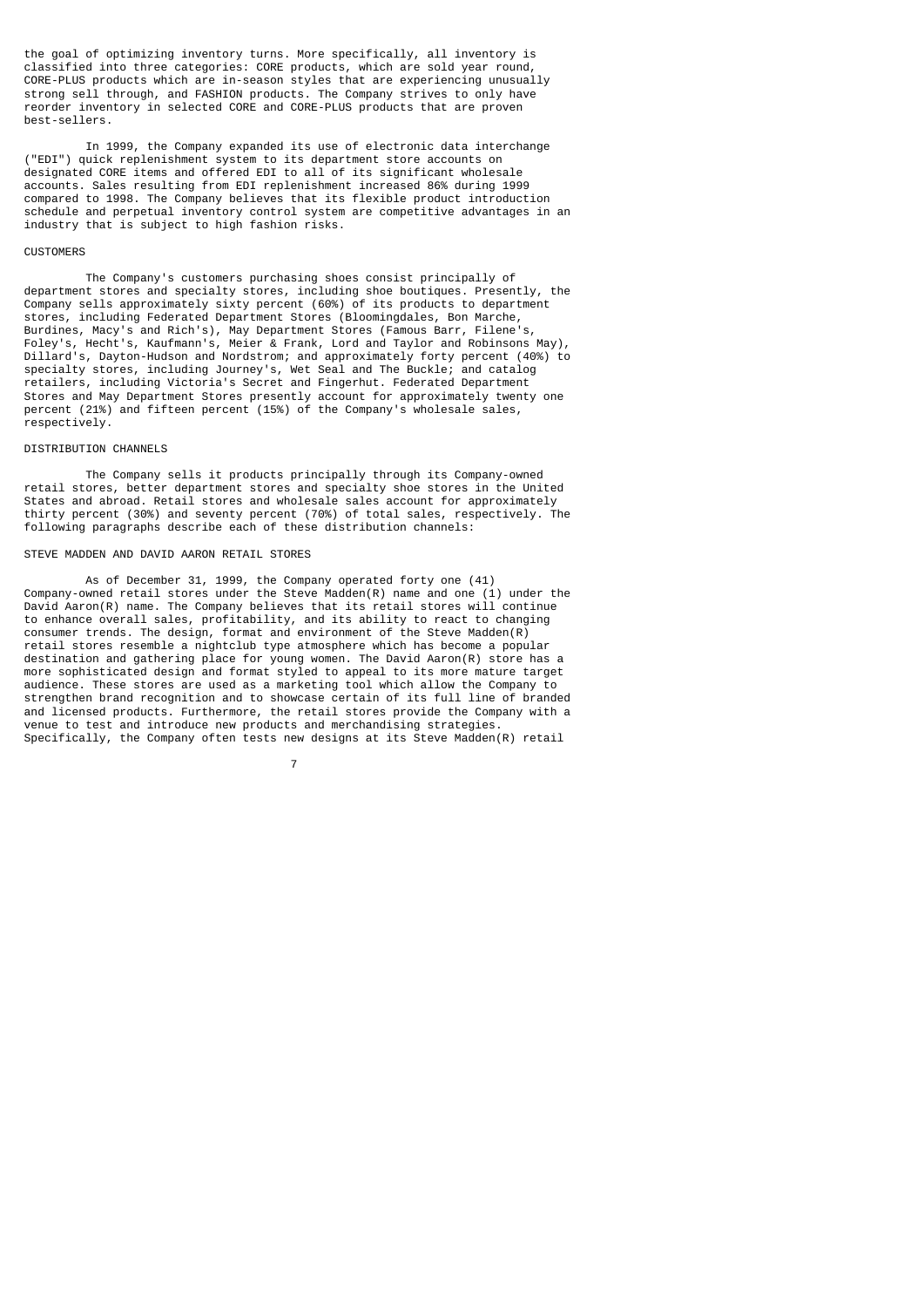the goal of optimizing inventory turns. More specifically, all inventory is classified into three categories: CORE products, which are sold year round, CORE-PLUS products which are in-season styles that are experiencing unusually strong sell through, and FASHION products. The Company strives to only have reorder inventory in selected CORE and CORE-PLUS products that are proven best-sellers.

 In 1999, the Company expanded its use of electronic data interchange ("EDI") quick replenishment system to its department store accounts on designated CORE items and offered EDI to all of its significant wholesale accounts. Sales resulting from EDI replenishment increased 86% during 1999 compared to 1998. The Company believes that its flexible product introduction schedule and perpetual inventory control system are competitive advantages in an industry that is subject to high fashion risks.

### **CUSTOMERS**

 The Company's customers purchasing shoes consist principally of department stores and specialty stores, including shoe boutiques. Presently, the Company sells approximately sixty percent (60%) of its products to department stores, including Federated Department Stores (Bloomingdales, Bon Marche, Burdines, Macy's and Rich's), May Department Stores (Famous Barr, Filene Foley's, Hecht's, Kaufmann's, Meier & Frank, Lord and Taylor and Robinsons May), Dillard's, Dayton-Hudson and Nordstrom; and approximately forty percent (40%) to specialty stores, including Journey's, Wet Seal and The Buckle; and catalog retailers, including Victoria's Secret and Fingerhut. Federated Department Stores and May Department Stores presently account for approximately twenty one percent (21%) and fifteen percent (15%) of the Company's wholesale sales, respectively.

## DISTRIBUTION CHANNELS

 The Company sells it products principally through its Company-owned retail stores, better department stores and specialty shoe stores in the United States and abroad. Retail stores and wholesale sales account for approximately thirty percent (30%) and seventy percent (70%) of total sales, respectively. The following paragraphs describe each of these distribution channels:

# STEVE MADDEN AND DAVID AARON RETAIL STORES

7

 As of December 31, 1999, the Company operated forty one (41) Company-owned retail stores under the Steve Madden(R) name and one (1) under the David Aaron(R) name. The Company believes that its retail stores will continue to enhance overall sales, profitability, and its ability to react to changing consumer trends. The design, format and environment of the Steve Madden(R) retail stores resemble a nightclub type atmosphere which has become a popular destination and gathering place for young women. The David Aaron(R) store has a more sophisticated design and format styled to appeal to its more mature target audience. These stores are used as a marketing tool which allow the Company to strengthen brand recognition and to showcase certain of its full line of branded and licensed products. Furthermore, the retail stores provide the Company with a venue to test and introduce new products and merchandising strategies. Specifically, the Company often tests new designs at its Steve Madden(R) retail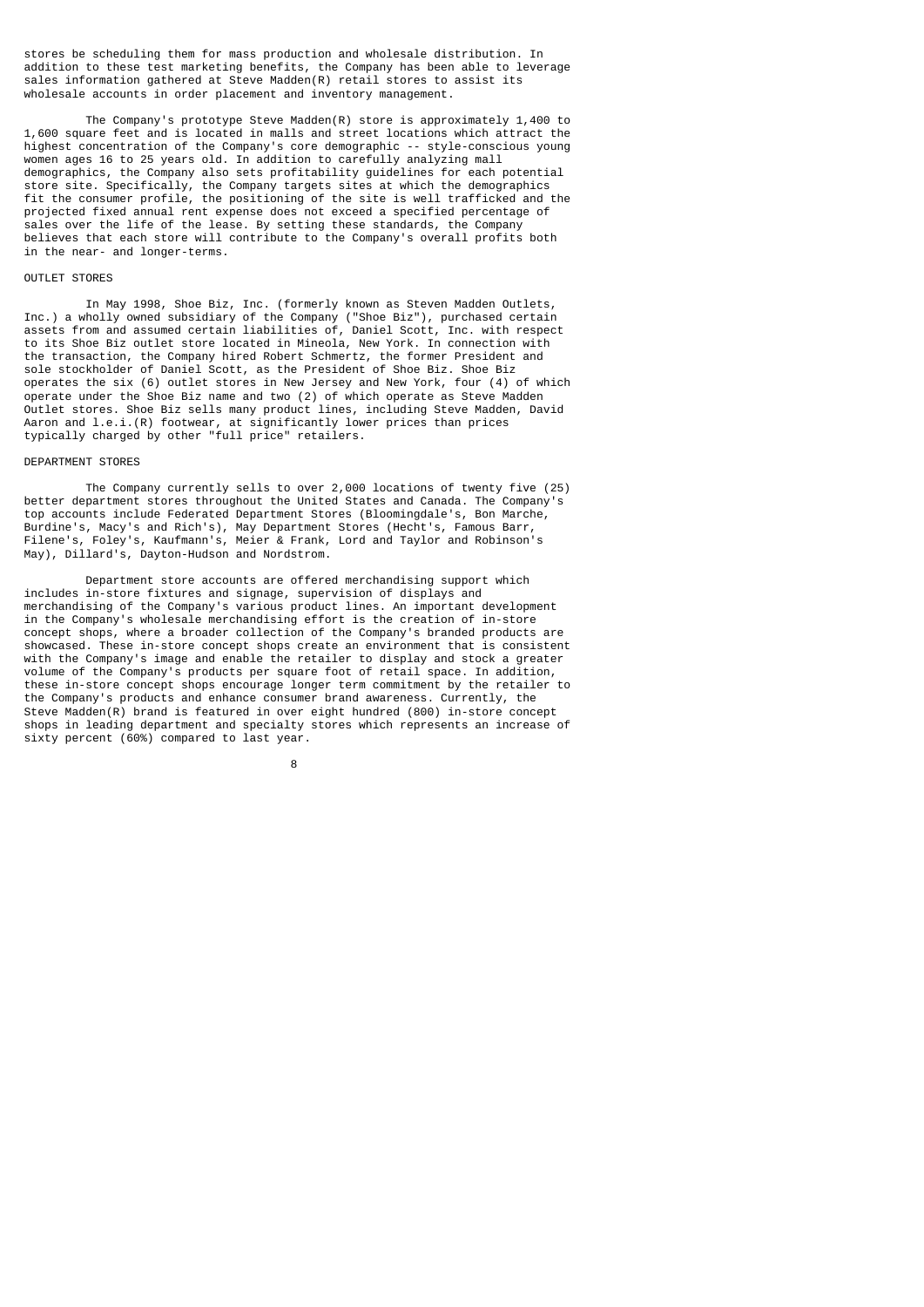stores be scheduling them for mass production and wholesale distribution. In addition to these test marketing benefits, the Company has been able to leverage sales information gathered at Steve Madden(R) retail stores to assist its wholesale accounts in order placement and inventory management.

 The Company's prototype Steve Madden(R) store is approximately 1,400 to 1,600 square feet and is located in malls and street locations which attract the highest concentration of the Company's core demographic -- style-conscious young women ages 16 to 25 years old. In addition to carefully analyzing mall demographics, the Company also sets profitability guidelines for each potential store site. Specifically, the Company targets sites at which the demographics fit the consumer profile, the positioning of the site is well trafficked and the projected fixed annual rent expense does not exceed a specified percentage of sales over the life of the lease. By setting these standards, the Company believes that each store will contribute to the Company's overall profits both in the near- and longer-terms.

### OUTLET STORES

 In May 1998, Shoe Biz, Inc. (formerly known as Steven Madden Outlets, Inc.) a wholly owned subsidiary of the Company ("Shoe Biz"), purchased certain assets from and assumed certain liabilities of, Daniel Scott, Inc. with respect to its Shoe Biz outlet store located in Mineola, New York. In connection with the transaction, the Company hired Robert Schmertz, the former President and sole stockholder of Daniel Scott, as the President of Shoe Biz. Shoe Biz operates the six (6) outlet stores in New Jersey and New York, four (4) of which operate under the Shoe Biz name and two (2) of which operate as Steve Madden Outlet stores. Shoe Biz sells many product lines, including Steve Madden, David Aaron and l.e.i.(R) footwear, at significantly lower prices than prices typically charged by other "full price" retailers.

### DEPARTMENT STORES

 The Company currently sells to over 2,000 locations of twenty five (25) better department stores throughout the United States and Canada. The Company's top accounts include Federated Department Stores (Bloomingdale's, Bon Marche, Burdine's, Macy's and Rich's), May Department Stores (Hecht's, Famous Barr, Filene's, Foley's, Kaufmann's, Meier & Frank, Lord and Taylor and Robinson's May), Dillard's, Dayton-Hudson and Nordstrom.

 Department store accounts are offered merchandising support which includes in-store fixtures and signage, supervision of displays and merchandising of the Company's various product lines. An important development in the Company's wholesale merchandising effort is the creation of in-store concept shops, where a broader collection of the Company's branded products are showcased. These in-store concept shops create an environment that is consistent with the Company's image and enable the retailer to display and stock a greater volume of the Company's products per square foot of retail space. In addition, these in-store concept shops encourage longer term commitment by the retailer to the Company's products and enhance consumer brand awareness. Currently, the Steve Madden(R) brand is featured in over eight hundred (800) in-store concept shops in leading department and specialty stores which represents an increase of sixty percent (60%) compared to last year.

en andere de la provincia de la provincia de la provincia de la provincia de la provincia de la provincia del<br>En 1888, en 1888, en 1888, en 1888, en 1888, en 1888, en 1888, en 1888, en 1888, en 1888, en 1888, en 1888, en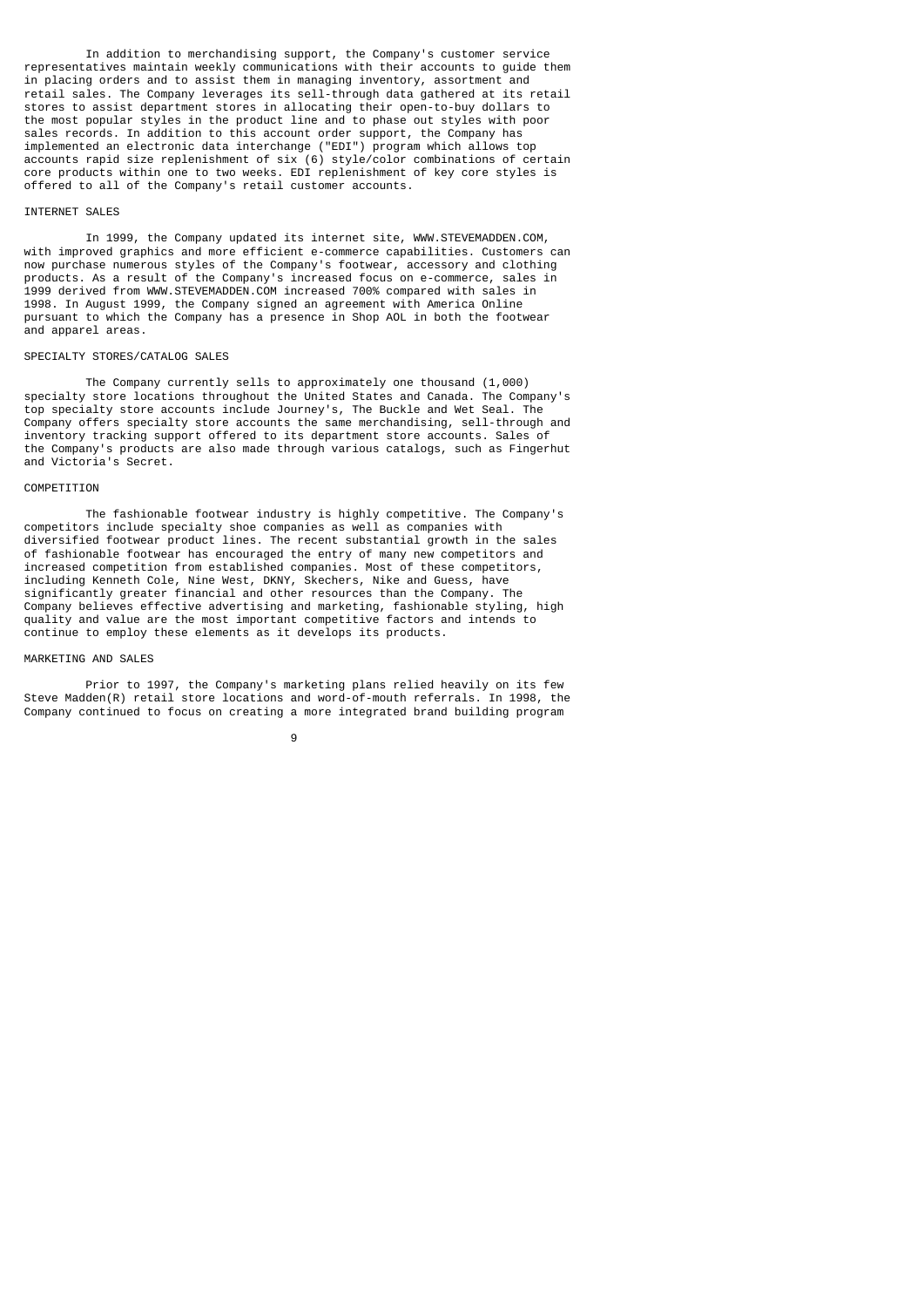In addition to merchandising support, the Company's customer service representatives maintain weekly communications with their accounts to guide them in placing orders and to assist them in managing inventory, assortment and retail sales. The Company leverages its sell-through data gathered at its retail stores to assist department stores in allocating their open-to-buy dollars to the most popular styles in the product line and to phase out styles with poor sales records. In addition to this account order support, the Company has implemented an electronic data interchange ("EDI") program which allows top accounts rapid size replenishment of six (6) style/color combinations of certain core products within one to two weeks. EDI replenishment of key core styles is offered to all of the Company's retail customer accounts.

### INTERNET SALES

 In 1999, the Company updated its internet site, WWW.STEVEMADDEN.COM, with improved graphics and more efficient e-commerce capabilities. Customers can now purchase numerous styles of the Company's footwear, accessory and clothing products. As a result of the Company's increased focus on e-commerce, sales in 1999 derived from WWW.STEVEMADDEN.COM increased 700% compared with sales in 1998. In August 1999, the Company signed an agreement with America Online pursuant to which the Company has a presence in Shop AOL in both the footwear and apparel areas.

### SPECIALTY STORES/CATALOG SALES

 The Company currently sells to approximately one thousand (1,000) specialty store locations throughout the United States and Canada. The Company's top specialty store accounts include Journey's, The Buckle and Wet Seal. The Company offers specialty store accounts the same merchandising, sell-through and inventory tracking support offered to its department store accounts. Sales of the Company's products are also made through various catalogs, such as Fingerhut and Victoria's Secret.

### **COMPETITION**

 The fashionable footwear industry is highly competitive. The Company's competitors include specialty shoe companies as well as companies with diversified footwear product lines. The recent substantial growth in the sales of fashionable footwear has encouraged the entry of many new competitors and increased competition from established companies. Most of these competitors, including Kenneth Cole, Nine West, DKNY, Skechers, Nike and Guess, have significantly greater financial and other resources than the Company. The Company believes effective advertising and marketing, fashionable styling, high quality and value are the most important competitive factors and intends to continue to employ these elements as it develops its products.

### MARKETING AND SALES

 Prior to 1997, the Company's marketing plans relied heavily on its few Steve Madden(R) retail store locations and word-of-mouth referrals. In 1998, the Company continued to focus on creating a more integrated brand building program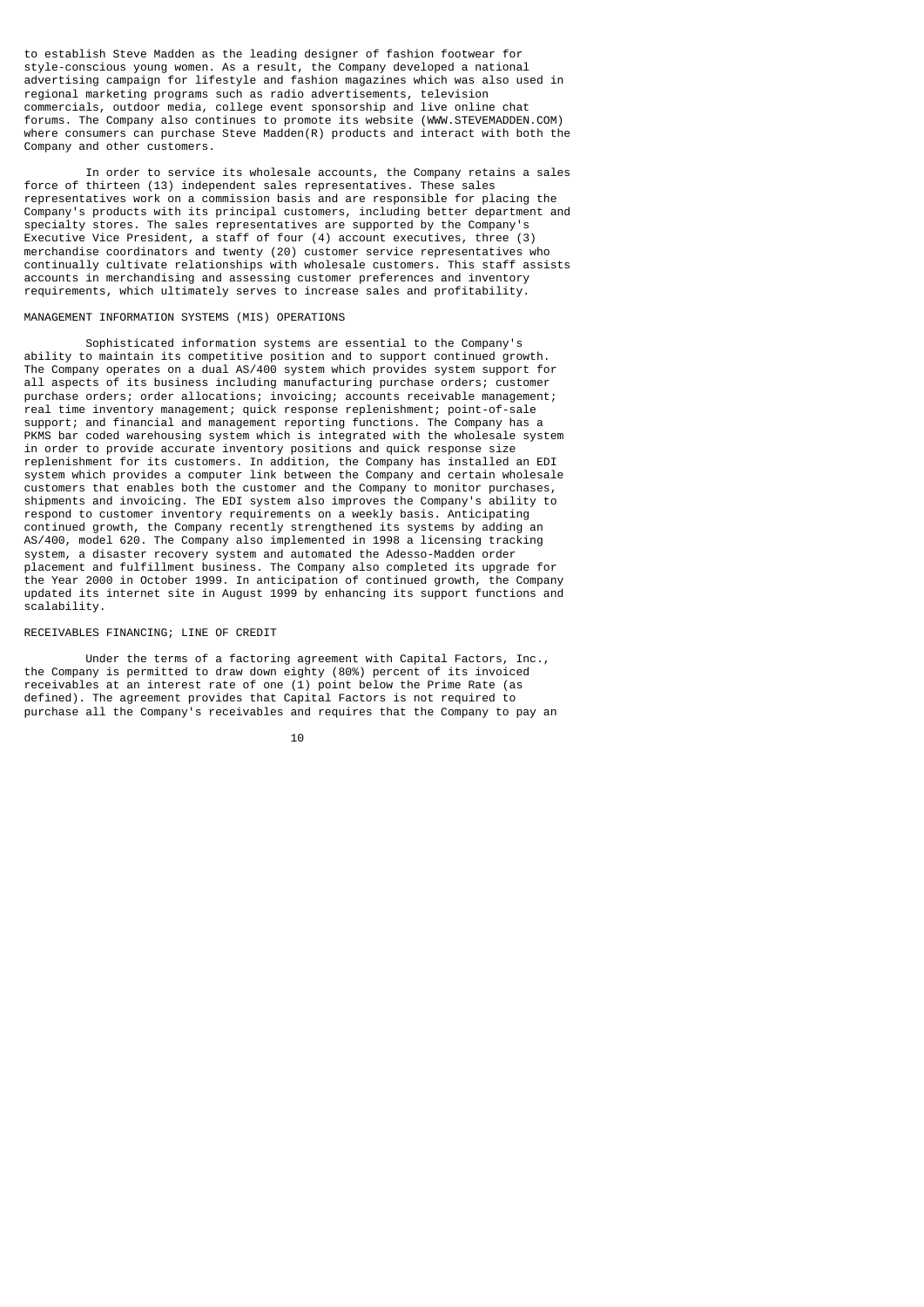to establish Steve Madden as the leading designer of fashion footwear for style-conscious young women. As a result, the Company developed a national advertising campaign for lifestyle and fashion magazines which was also used in regional marketing programs such as radio advertisements, television commercials, outdoor media, college event sponsorship and live online chat forums. The Company also continues to promote its website (WWW.STEVEMADDEN.COM) where consumers can purchase Steve Madden(R) products and interact with both the Company and other customers.

 In order to service its wholesale accounts, the Company retains a sales force of thirteen (13) independent sales representatives. These sales representatives work on a commission basis and are responsible for placing the Company's products with its principal customers, including better department and specialty stores. The sales representatives are supported by the Company's Executive Vice President, a staff of four (4) account executives, three (3) merchandise coordinators and twenty (20) customer service representatives who continually cultivate relationships with wholesale customers. This staff assists accounts in merchandising and assessing customer preferences and inventory requirements, which ultimately serves to increase sales and profitability.

### MANAGEMENT INFORMATION SYSTEMS (MIS) OPERATIONS

 Sophisticated information systems are essential to the Company's ability to maintain its competitive position and to support continued growth. The Company operates on a dual AS/400 system which provides system support for all aspects of its business including manufacturing purchase orders; customer purchase orders; order allocations; invoicing; accounts receivable management; real time inventory management; quick response replenishment; point-of-sale support; and financial and management reporting functions. The Company has a PKMS bar coded warehousing system which is integrated with the wholesale system in order to provide accurate inventory positions and quick response size replenishment for its customers. In addition, the Company has installed an EDI system which provides a computer link between the Company and certain wholesale customers that enables both the customer and the Company to monitor purchases, shipments and invoicing. The EDI system also improves the Company's ability to respond to customer inventory requirements on a weekly basis. Anticipating continued growth, the Company recently strengthened its systems by adding an AS/400, model 620. The Company also implemented in 1998 a licensing tracking system, a disaster recovery system and automated the Adesso-Madden order placement and fulfillment business. The Company also completed its upgrade for the Year 2000 in October 1999. In anticipation of continued growth, the Company updated its internet site in August 1999 by enhancing its support functions and scalability.

### RECEIVABLES FINANCING; LINE OF CREDIT

 Under the terms of a factoring agreement with Capital Factors, Inc., the Company is permitted to draw down eighty (80%) percent of its invoiced receivables at an interest rate of one (1) point below the Prime Rate (as defined). The agreement provides that Capital Factors is not required to purchase all the Company's receivables and requires that the Company to pay an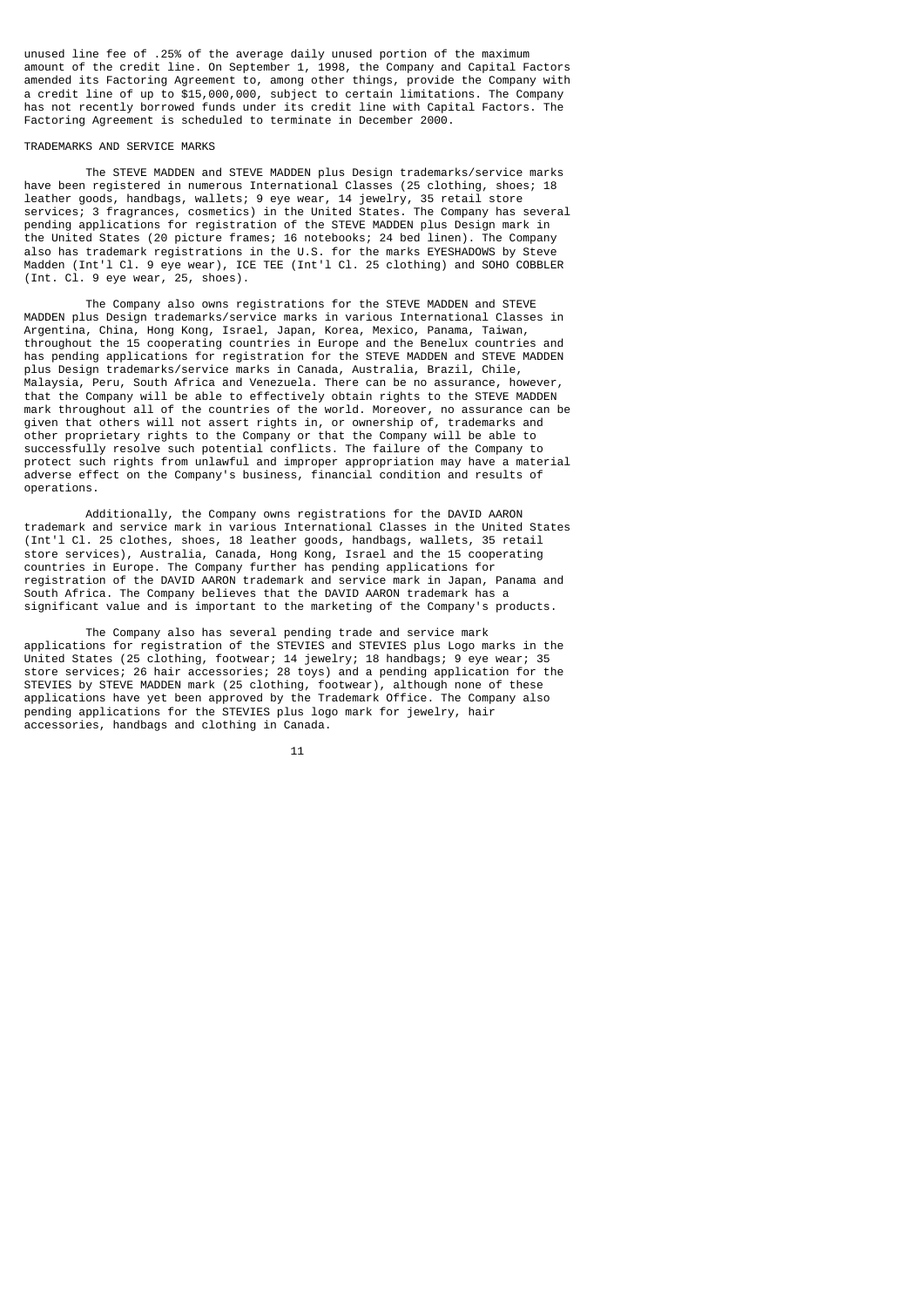unused line fee of .25% of the average daily unused portion of the maximum amount of the credit line. On September 1, 1998, the Company and Capital Factors amended its Factoring Agreement to, among other things, provide the Company with a credit line of up to \$15,000,000, subject to certain limitations. The Company has not recently borrowed funds under its credit line with Capital Factors. The Factoring Agreement is scheduled to terminate in December 2000.

### TRADEMARKS AND SERVICE MARKS

 The STEVE MADDEN and STEVE MADDEN plus Design trademarks/service marks have been registered in numerous International Classes (25 clothing, shoes; 18 leather goods, handbags, wallets; 9 eye wear, 14 jewelry, 35 retail store services; 3 fragrances, cosmetics) in the United States. The Company has several pending applications for registration of the STEVE MADDEN plus Design mark in the United States (20 picture frames; 16 notebooks; 24 bed linen). The Company also has trademark registrations in the U.S. for the marks EYESHADOWS by Steve Madden (Int'l Cl. 9 eye wear), ICE TEE (Int'l Cl. 25 clothing) and SOHO COBBLER (Int. Cl. 9 eye wear, 25, shoes).

 The Company also owns registrations for the STEVE MADDEN and STEVE MADDEN plus Design trademarks/service marks in various International Classes in Argentina, China, Hong Kong, Israel, Japan, Korea, Mexico, Panama, Taiwan, throughout the 15 cooperating countries in Europe and the Benelux countries and has pending applications for registration for the STEVE MADDEN and STEVE MADDEN plus Design trademarks/service marks in Canada, Australia, Brazil, Chile, Malaysia, Peru, South Africa and Venezuela. There can be no assurance, however, that the Company will be able to effectively obtain rights to the STEVE MADDEN mark throughout all of the countries of the world. Moreover, no assurance can be given that others will not assert rights in, or ownership of, trademarks and other proprietary rights to the Company or that the Company will be able to successfully resolve such potential conflicts. The failure of the Company to protect such rights from unlawful and improper appropriation may have a material adverse effect on the Company's business, financial condition and results of operations.

 Additionally, the Company owns registrations for the DAVID AARON trademark and service mark in various International Classes in the United States (Int'l Cl. 25 clothes, shoes, 18 leather goods, handbags, wallets, 35 retail store services), Australia, Canada, Hong Kong, Israel and the 15 cooperating countries in Europe. The Company further has pending applications for registration of the DAVID AARON trademark and service mark in Japan, Panama and South Africa. The Company believes that the DAVID AARON trademark has a significant value and is important to the marketing of the Company's products.

 The Company also has several pending trade and service mark applications for registration of the STEVIES and STEVIES plus Logo marks in the United States (25 clothing, footwear; 14 jewelry; 18 handbags; 9 eye wear; 35 store services; 26 hair accessories; 28 toys) and a pending application for the STEVIES by STEVE MADDEN mark (25 clothing, footwear), although none of these applications have yet been approved by the Trademark Office. The Company also pending applications for the STEVIES plus logo mark for jewelry, hair accessories, handbags and clothing in Canada.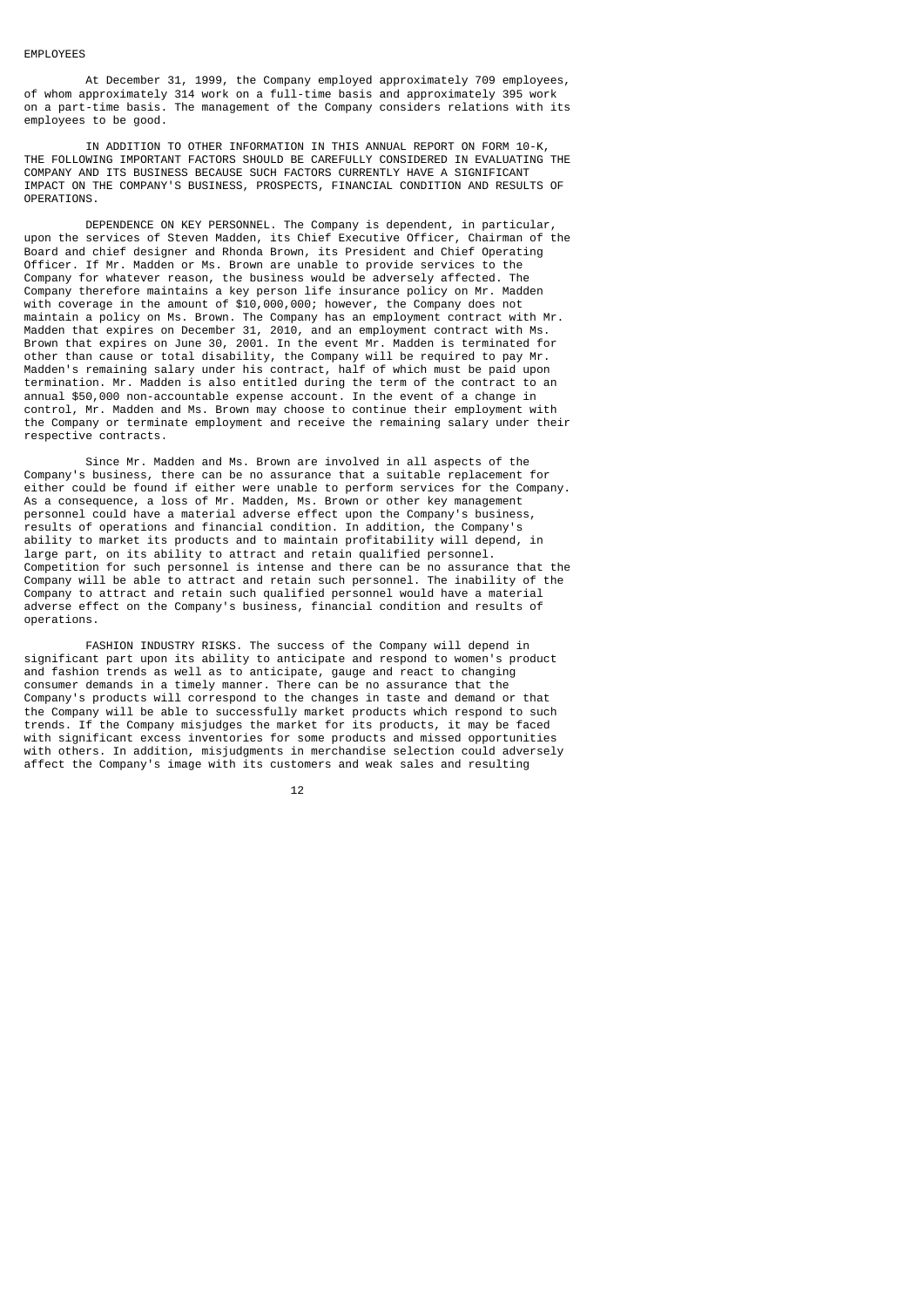#### EMPLOYEES

 At December 31, 1999, the Company employed approximately 709 employees, of whom approximately 314 work on a full-time basis and approximately 395 work on a part-time basis. The management of the Company considers relations with its employees to be good.

 IN ADDITION TO OTHER INFORMATION IN THIS ANNUAL REPORT ON FORM 10-K, THE FOLLOWING IMPORTANT FACTORS SHOULD BE CAREFULLY CONSIDERED IN EVALUATING THE COMPANY AND ITS BUSINESS BECAUSE SUCH FACTORS CURRENTLY HAVE A SIGNIFICANT IMPACT ON THE COMPANY'S BUSINESS, PROSPECTS, FINANCIAL CONDITION AND RESULTS OF OPERATIONS.

 DEPENDENCE ON KEY PERSONNEL. The Company is dependent, in particular, upon the services of Steven Madden, its Chief Executive Officer, Chairman of the Board and chief designer and Rhonda Brown, its President and Chief Operating Officer. If Mr. Madden or Ms. Brown are unable to provide services to the Company for whatever reason, the business would be adversely affected. The Company therefore maintains a key person life insurance policy on Mr. Madden with coverage in the amount of \$10,000,000; however, the Company does not maintain a policy on Ms. Brown. The Company has an employment contract with Mr. Madden that expires on December 31, 2010, and an employment contract with Ms. Brown that expires on June 30, 2001. In the event Mr. Madden is terminated for other than cause or total disability, the Company will be required to pay Mr. Madden's remaining salary under his contract, half of which must be paid upon termination. Mr. Madden is also entitled during the term of the contract to an annual \$50,000 non-accountable expense account. In the event of a change in control, Mr. Madden and Ms. Brown may choose to continue their employment with the Company or terminate employment and receive the remaining salary under their respective contracts.

 Since Mr. Madden and Ms. Brown are involved in all aspects of the Company's business, there can be no assurance that a suitable replacement for either could be found if either were unable to perform services for the Company. As a consequence, a loss of Mr. Madden, Ms. Brown or other key management personnel could have a material adverse effect upon the Company's business, results of operations and financial condition. In addition, the Company's ability to market its products and to maintain profitability will depend, in large part, on its ability to attract and retain qualified personnel. Competition for such personnel is intense and there can be no assurance that the Company will be able to attract and retain such personnel. The inability of the Company to attract and retain such qualified personnel would have a material adverse effect on the Company's business, financial condition and results of operations.

 FASHION INDUSTRY RISKS. The success of the Company will depend in significant part upon its ability to anticipate and respond to women's product and fashion trends as well as to anticipate, gauge and react to changing consumer demands in a timely manner. There can be no assurance that the Company's products will correspond to the changes in taste and demand or that the Company will be able to successfully market products which respond to such trends. If the Company misjudges the market for its products, it may be faced with significant excess inventories for some products and missed opportunities with others. In addition, misjudgments in merchandise selection could adversely affect the Company's image with its customers and weak sales and resulting

12 and 12 and 12 and 12 and 12 and 12 and 12 and 12 and 12 and 12 and 12 and 12 and 12 and 12 and 12 and 12 an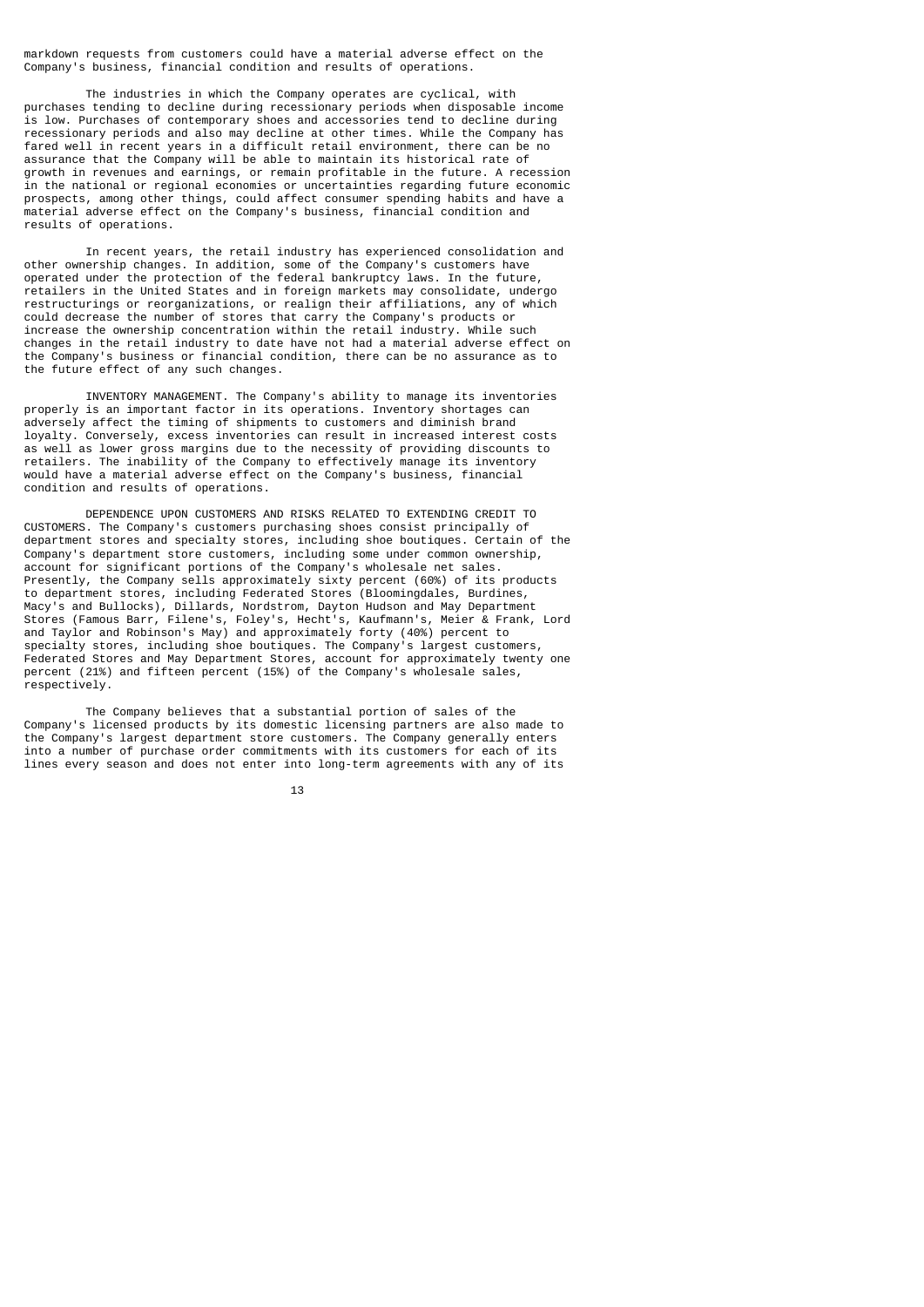markdown requests from customers could have a material adverse effect on the Company's business, financial condition and results of operations.

 The industries in which the Company operates are cyclical, with purchases tending to decline during recessionary periods when disposable income is low. Purchases of contemporary shoes and accessories tend to decline during recessionary periods and also may decline at other times. While the Company has fared well in recent years in a difficult retail environment, there can be no assurance that the Company will be able to maintain its historical rate of growth in revenues and earnings, or remain profitable in the future. A recession in the national or regional economies or uncertainties regarding future economic prospects, among other things, could affect consumer spending habits and have a material adverse effect on the Company's business, financial condition and results of operations.

 In recent years, the retail industry has experienced consolidation and other ownership changes. In addition, some of the Company's customers have operated under the protection of the federal bankruptcy laws. In the future, retailers in the United States and in foreign markets may consolidate, undergo restructurings or reorganizations, or realign their affiliations, any of which could decrease the number of stores that carry the Company's products or increase the ownership concentration within the retail industry. While such changes in the retail industry to date have not had a material adverse effect on the Company's business or financial condition, there can be no assurance as to the future effect of any such changes.

 INVENTORY MANAGEMENT. The Company's ability to manage its inventories properly is an important factor in its operations. Inventory shortages can adversely affect the timing of shipments to customers and diminish brand loyalty. Conversely, excess inventories can result in increased interest costs as well as lower gross margins due to the necessity of providing discounts to retailers. The inability of the Company to effectively manage its inventory would have a material adverse effect on the Company's business, financial condition and results of operations.

 DEPENDENCE UPON CUSTOMERS AND RISKS RELATED TO EXTENDING CREDIT TO CUSTOMERS. The Company's customers purchasing shoes consist principally of department stores and specialty stores, including shoe boutiques. Certain of the Company's department store customers, including some under common ownership, account for significant portions of the Company's wholesale net sales. Presently, the Company sells approximately sixty percent (60%) of its products to department stores, including Federated Stores (Bloomingdales, Burdines, Macy's and Bullocks), Dillards, Nordstrom, Dayton Hudson and May Department Stores (Famous Barr, Filene's, Foley's, Hecht's, Kaufmann's, Meier & Frank, Lord and Taylor and Robinson's May) and approximately forty (40%) percent to specialty stores, including shoe boutiques. The Company's largest customers, Federated Stores and May Department Stores, account for approximately twenty one percent (21%) and fifteen percent (15%) of the Company's wholesale sales, respectively.

 The Company believes that a substantial portion of sales of the Company's licensed products by its domestic licensing partners are also made to the Company's largest department store customers. The Company generally enters into a number of purchase order commitments with its customers for each of its lines every season and does not enter into long-term agreements with any of its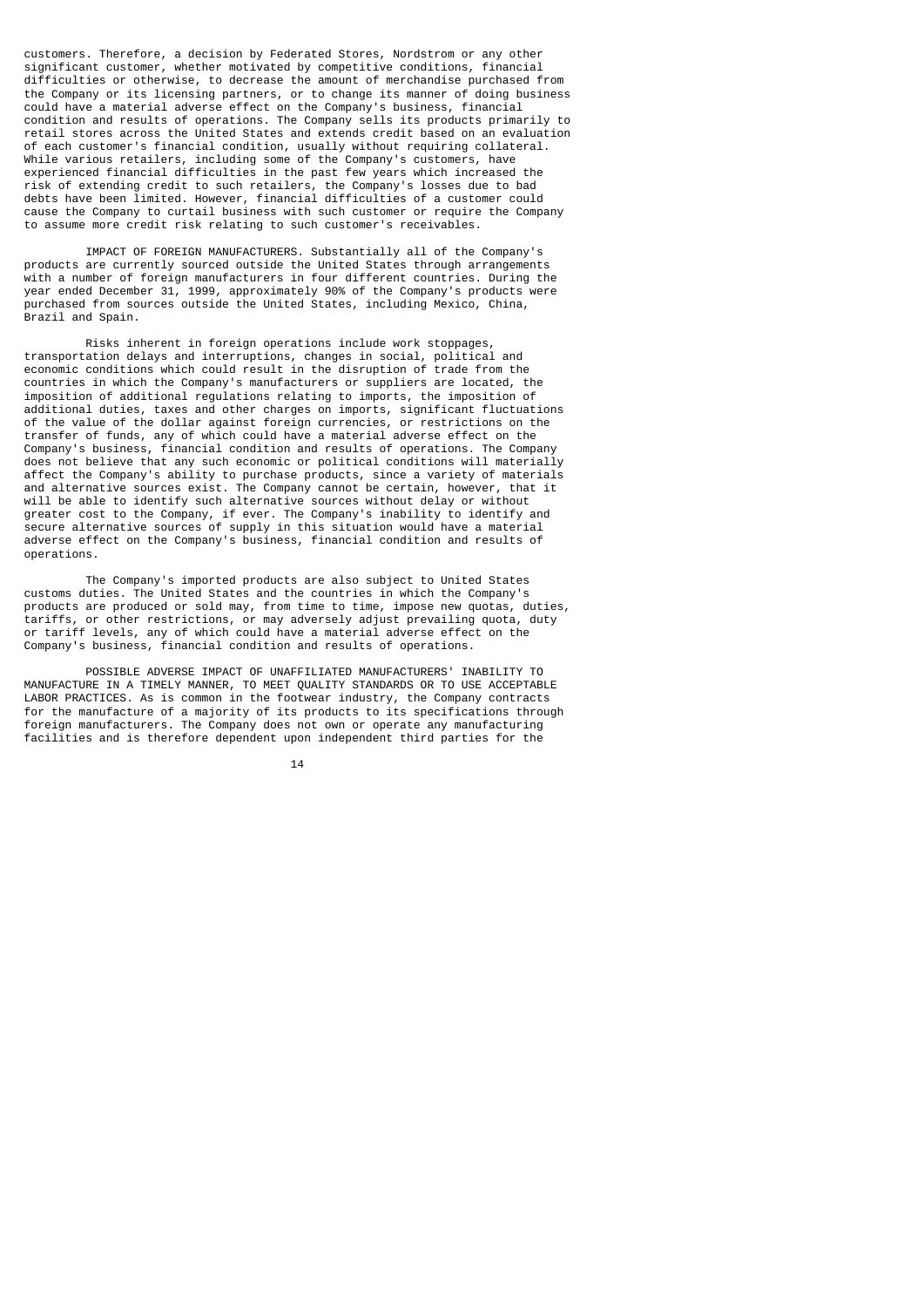customers. Therefore, a decision by Federated Stores, Nordstrom or any other significant customer, whether motivated by competitive conditions, financial difficulties or otherwise, to decrease the amount of merchandise purchased from the Company or its licensing partners, or to change its manner of doing business could have a material adverse effect on the Company's business, financial condition and results of operations. The Company sells its products primarily to retail stores across the United States and extends credit based on an evaluation of each customer's financial condition, usually without requiring collateral. While various retailers, including some of the Company's customers, have experienced financial difficulties in the past few years which increased the risk of extending credit to such retailers, the Company's losses due to bad debts have been limited. However, financial difficulties of a customer could cause the Company to curtail business with such customer or require the Company to assume more credit risk relating to such customer's receivables.

 IMPACT OF FOREIGN MANUFACTURERS. Substantially all of the Company's products are currently sourced outside the United States through arrangements with a number of foreign manufacturers in four different countries. During the year ended December 31, 1999, approximately 90% of the Company's products were purchased from sources outside the United States, including Mexico, China, Brazil and Spain.

 Risks inherent in foreign operations include work stoppages, transportation delays and interruptions, changes in social, political and economic conditions which could result in the disruption of trade from the countries in which the Company's manufacturers or suppliers are located, the imposition of additional regulations relating to imports, the imposition of additional duties, taxes and other charges on imports, significant fluctuations of the value of the dollar against foreign currencies, or restrictions on the transfer of funds, any of which could have a material adverse effect on the Company's business, financial condition and results of operations. The Company does not believe that any such economic or political conditions will materially affect the Company's ability to purchase products, since a variety of materials and alternative sources exist. The Company cannot be certain, however, that it will be able to identify such alternative sources without delay or without greater cost to the Company, if ever. The Company's inability to identify and secure alternative sources of supply in this situation would have a material adverse effect on the Company's business, financial condition and results of operations.

 The Company's imported products are also subject to United States customs duties. The United States and the countries in which the Company's products are produced or sold may, from time to time, impose new quotas, duties, tariffs, or other restrictions, or may adversely adjust prevailing quota, duty or tariff levels, any of which could have a material adverse effect on the Company's business, financial condition and results of operations.

 POSSIBLE ADVERSE IMPACT OF UNAFFILIATED MANUFACTURERS' INABILITY TO MANUFACTURE IN A TIMELY MANNER, TO MEET QUALITY STANDARDS OR TO USE ACCEPTABLE LABOR PRACTICES. As is common in the footwear industry, the Company contracts for the manufacture of a majority of its products to its specifications through foreign manufacturers. The Company does not own or operate any manufacturing facilities and is therefore dependent upon independent third parties for the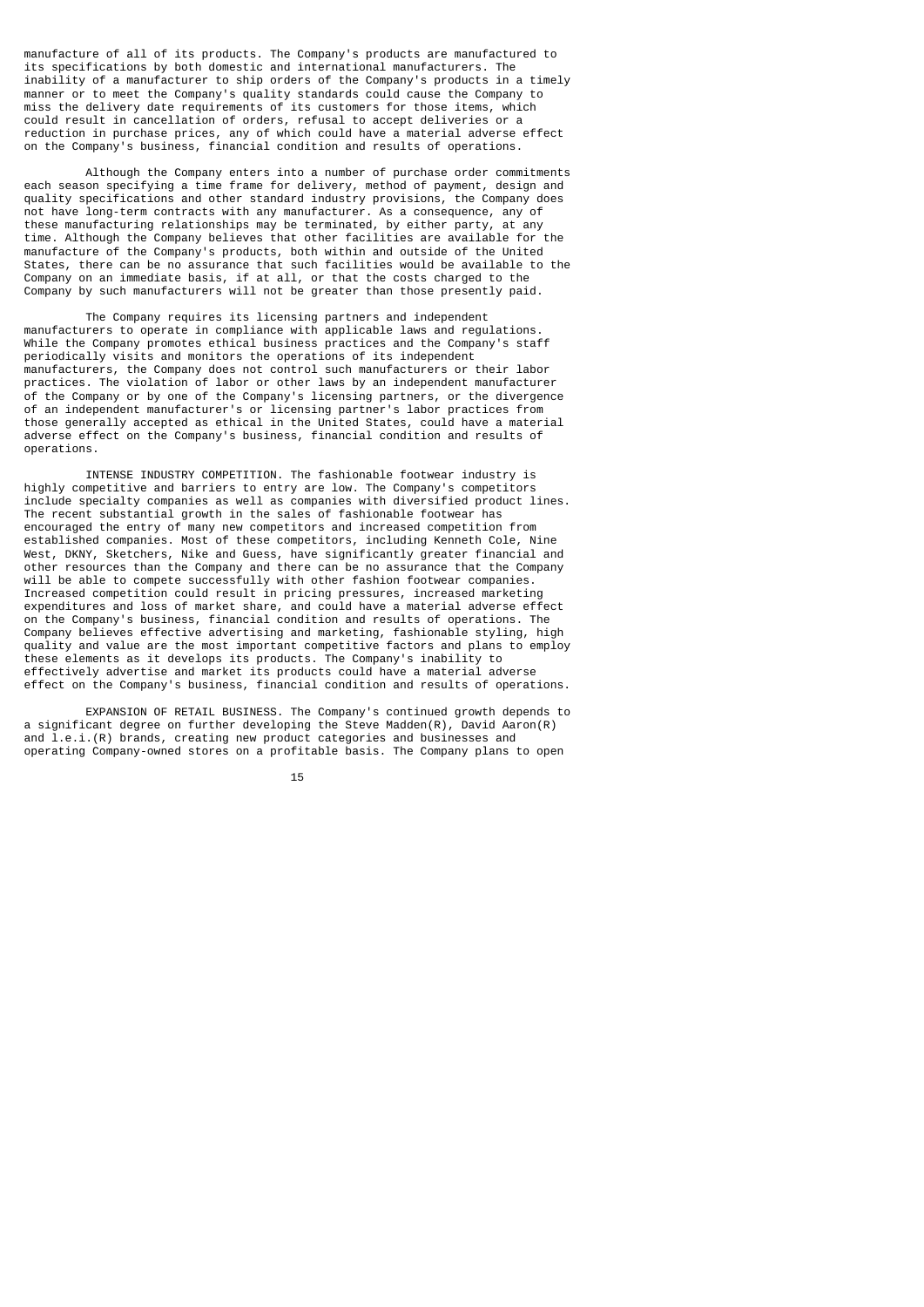manufacture of all of its products. The Company's products are manufactured to its specifications by both domestic and international manufacturers. The inability of a manufacturer to ship orders of the Company's products in a timely manner or to meet the Company's quality standards could cause the Company to miss the delivery date requirements of its customers for those items, which could result in cancellation of orders, refusal to accept deliveries or a reduction in purchase prices, any of which could have a material adverse effect on the Company's business, financial condition and results of operations.

 Although the Company enters into a number of purchase order commitments each season specifying a time frame for delivery, method of payment, design and quality specifications and other standard industry provisions, the Company does not have long-term contracts with any manufacturer. As a consequence, any of these manufacturing relationships may be terminated, by either party, at any time. Although the Company believes that other facilities are available for the manufacture of the Company's products, both within and outside of the United States, there can be no assurance that such facilities would be available to the Company on an immediate basis, if at all, or that the costs charged to the Company by such manufacturers will not be greater than those presently paid.

 The Company requires its licensing partners and independent manufacturers to operate in compliance with applicable laws and regulations. While the Company promotes ethical business practices and the Company's staff periodically visits and monitors the operations of its independent manufacturers, the Company does not control such manufacturers or their labor practices. The violation of labor or other laws by an independent manufacturer of the Company or by one of the Company's licensing partners, or the divergence of an independent manufacturer's or licensing partner's labor practices from those generally accepted as ethical in the United States, could have a material adverse effect on the Company's business, financial condition and results of operations.

 INTENSE INDUSTRY COMPETITION. The fashionable footwear industry is highly competitive and barriers to entry are low. The Company's competitors include specialty companies as well as companies with diversified product lines. The recent substantial growth in the sales of fashionable footwear has encouraged the entry of many new competitors and increased competition from established companies. Most of these competitors, including Kenneth Cole, Nine West, DKNY, Sketchers, Nike and Guess, have significantly greater financial and other resources than the Company and there can be no assurance that the Company will be able to compete successfully with other fashion footwear companies. Increased competition could result in pricing pressures, increased marketing expenditures and loss of market share, and could have a material adverse effect on the Company's business, financial condition and results of operations. The Company believes effective advertising and marketing, fashionable styling, high quality and value are the most important competitive factors and plans to employ these elements as it develops its products. The Company's inability to effectively advertise and market its products could have a material adverse effect on the Company's business, financial condition and results of operations.

 EXPANSION OF RETAIL BUSINESS. The Company's continued growth depends to a significant degree on further developing the Steve Madden(R), David Aaron(R) and l.e.i.(R) brands, creating new product categories and businesses and operating Company-owned stores on a profitable basis. The Company plans to open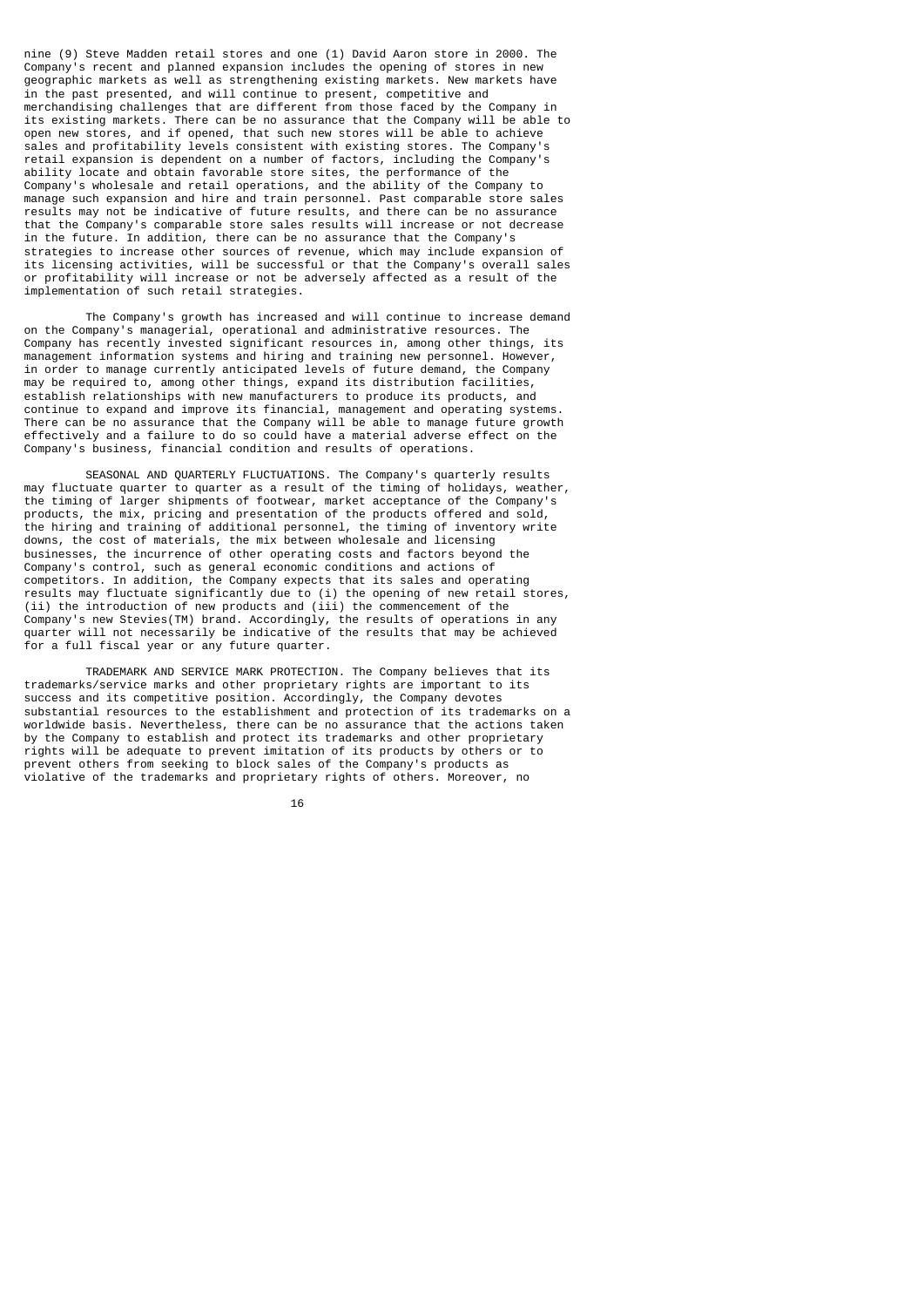nine (9) Steve Madden retail stores and one (1) David Aaron store in 2000. The Company's recent and planned expansion includes the opening of stores in new geographic markets as well as strengthening existing markets. New markets have in the past presented, and will continue to present, competitive and merchandising challenges that are different from those faced by the Company in its existing markets. There can be no assurance that the Company will be able to open new stores, and if opened, that such new stores will be able to achieve sales and profitability levels consistent with existing stores. The Company's retail expansion is dependent on a number of factors, including the Company's ability locate and obtain favorable store sites, the performance of the Company's wholesale and retail operations, and the ability of the Company to manage such expansion and hire and train personnel. Past comparable store sales results may not be indicative of future results, and there can be no assurance that the Company's comparable store sales results will increase or not decrease in the future. In addition, there can be no assurance that the Company's strategies to increase other sources of revenue, which may include expansion of its licensing activities, will be successful or that the Company's overall sales or profitability will increase or not be adversely affected as a result of the implementation of such retail strategies.

 The Company's growth has increased and will continue to increase demand on the Company's managerial, operational and administrative resources. The Company has recently invested significant resources in, among other things, its management information systems and hiring and training new personnel. However, in order to manage currently anticipated levels of future demand, the Company may be required to, among other things, expand its distribution facilities, establish relationships with new manufacturers to produce its products, and continue to expand and improve its financial, management and operating systems. There can be no assurance that the Company will be able to manage future growth effectively and a failure to do so could have a material adverse effect on the Company's business, financial condition and results of operations.

 SEASONAL AND QUARTERLY FLUCTUATIONS. The Company's quarterly results may fluctuate quarter to quarter as a result of the timing of holidays, weather, the timing of larger shipments of footwear, market acceptance of the Company's products, the mix, pricing and presentation of the products offered and sold, the hiring and training of additional personnel, the timing of inventory write downs, the cost of materials, the mix between wholesale and licensing businesses, the incurrence of other operating costs and factors beyond the Company's control, such as general economic conditions and actions of competitors. In addition, the Company expects that its sales and operating results may fluctuate significantly due to (i) the opening of new retail stores, (ii) the introduction of new products and (iii) the commencement of the Company's new Stevies(TM) brand. Accordingly, the results of operations in any quarter will not necessarily be indicative of the results that may be achieved for a full fiscal year or any future quarter.

 TRADEMARK AND SERVICE MARK PROTECTION. The Company believes that its trademarks/service marks and other proprietary rights are important to its success and its competitive position. Accordingly, the Company devotes substantial resources to the establishment and protection of its trademarks on a worldwide basis. Nevertheless, there can be no assurance that the actions taken by the Company to establish and protect its trademarks and other proprietary rights will be adequate to prevent imitation of its products by others or to prevent others from seeking to block sales of the Company's products as violative of the trademarks and proprietary rights of others. Moreover, no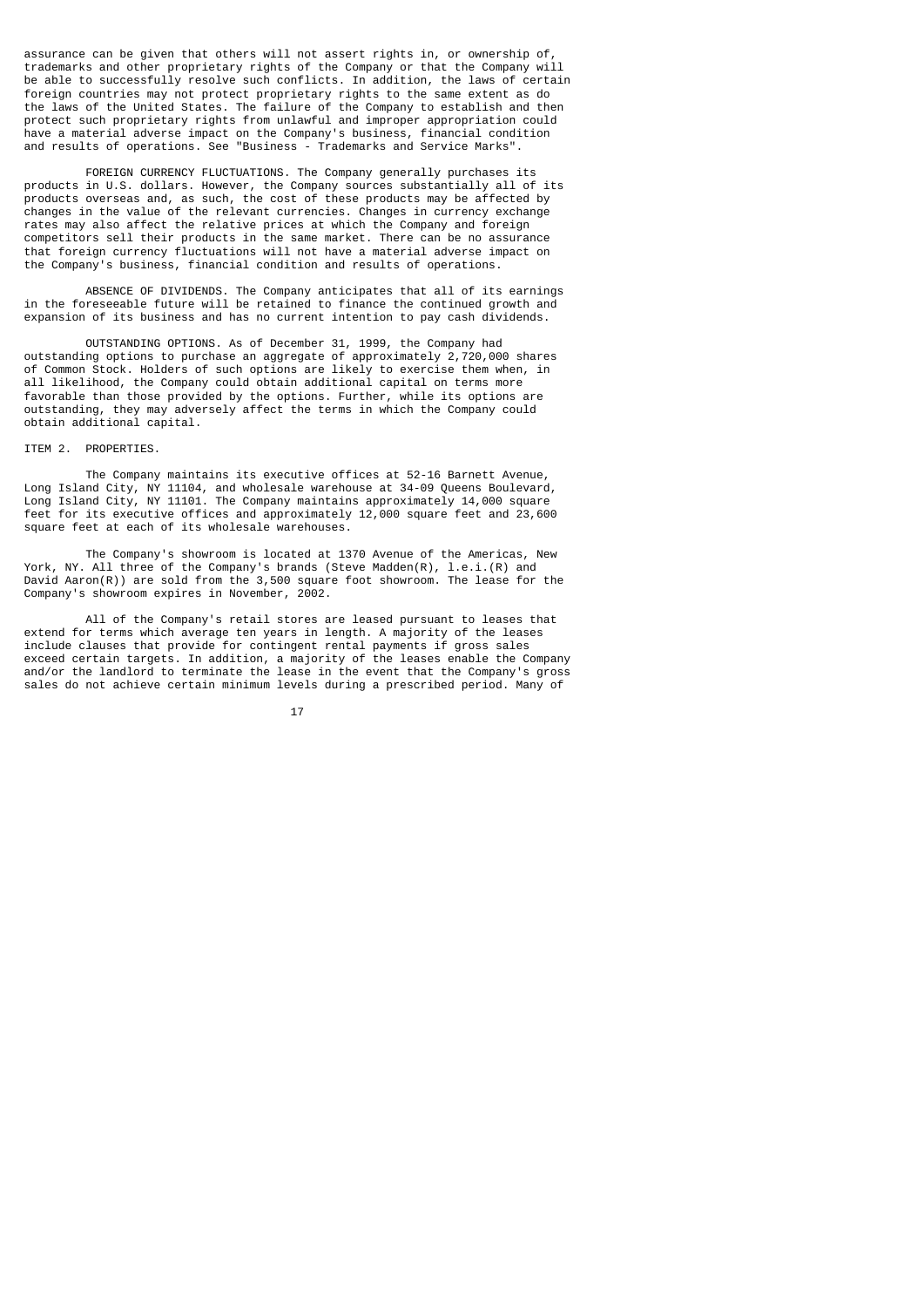assurance can be given that others will not assert rights in, or ownership of, trademarks and other proprietary rights of the Company or that the Company will be able to successfully resolve such conflicts. In addition, the laws of certain foreign countries may not protect proprietary rights to the same extent as do the laws of the United States. The failure of the Company to establish and then protect such proprietary rights from unlawful and improper appropriation could have a material adverse impact on the Company's business, financial condition and results of operations. See "Business - Trademarks and Service Marks".

 FOREIGN CURRENCY FLUCTUATIONS. The Company generally purchases its products in U.S. dollars. However, the Company sources substantially all of its products overseas and, as such, the cost of these products may be affected by changes in the value of the relevant currencies. Changes in currency exchange rates may also affect the relative prices at which the Company and foreign competitors sell their products in the same market. There can be no assurance that foreign currency fluctuations will not have a material adverse impact on the Company's business, financial condition and results of operations.

 ABSENCE OF DIVIDENDS. The Company anticipates that all of its earnings in the foreseeable future will be retained to finance the continued growth and expansion of its business and has no current intention to pay cash dividends.

 OUTSTANDING OPTIONS. As of December 31, 1999, the Company had outstanding options to purchase an aggregate of approximately 2,720,000 shares of Common Stock. Holders of such options are likely to exercise them when, in all likelihood, the Company could obtain additional capital on terms more favorable than those provided by the options. Further, while its options are outstanding, they may adversely affect the terms in which the Company could obtain additional capital.

### ITEM 2. PROPERTIES.

 The Company maintains its executive offices at 52-16 Barnett Avenue, Long Island City, NY 11104, and wholesale warehouse at 34-09 Queens Boulevard, Long Island City, NY 11101. The Company maintains approximately 14,000 square feet for its executive offices and approximately 12,000 square feet and 23,600 square feet at each of its wholesale warehouses.

 The Company's showroom is located at 1370 Avenue of the Americas, New York, NY. All three of the Company's brands (Steve Madden(R), l.e.i.(R) and David Aaron(R)) are sold from the 3,500 square foot showroom. The lease for the Company's showroom expires in November, 2002.

 All of the Company's retail stores are leased pursuant to leases that extend for terms which average ten years in length. A majority of the leases include clauses that provide for contingent rental payments if gross sales exceed certain targets. In addition, a majority of the leases enable the Company and/or the landlord to terminate the lease in the event that the Company's gross sales do not achieve certain minimum levels during a prescribed period. Many of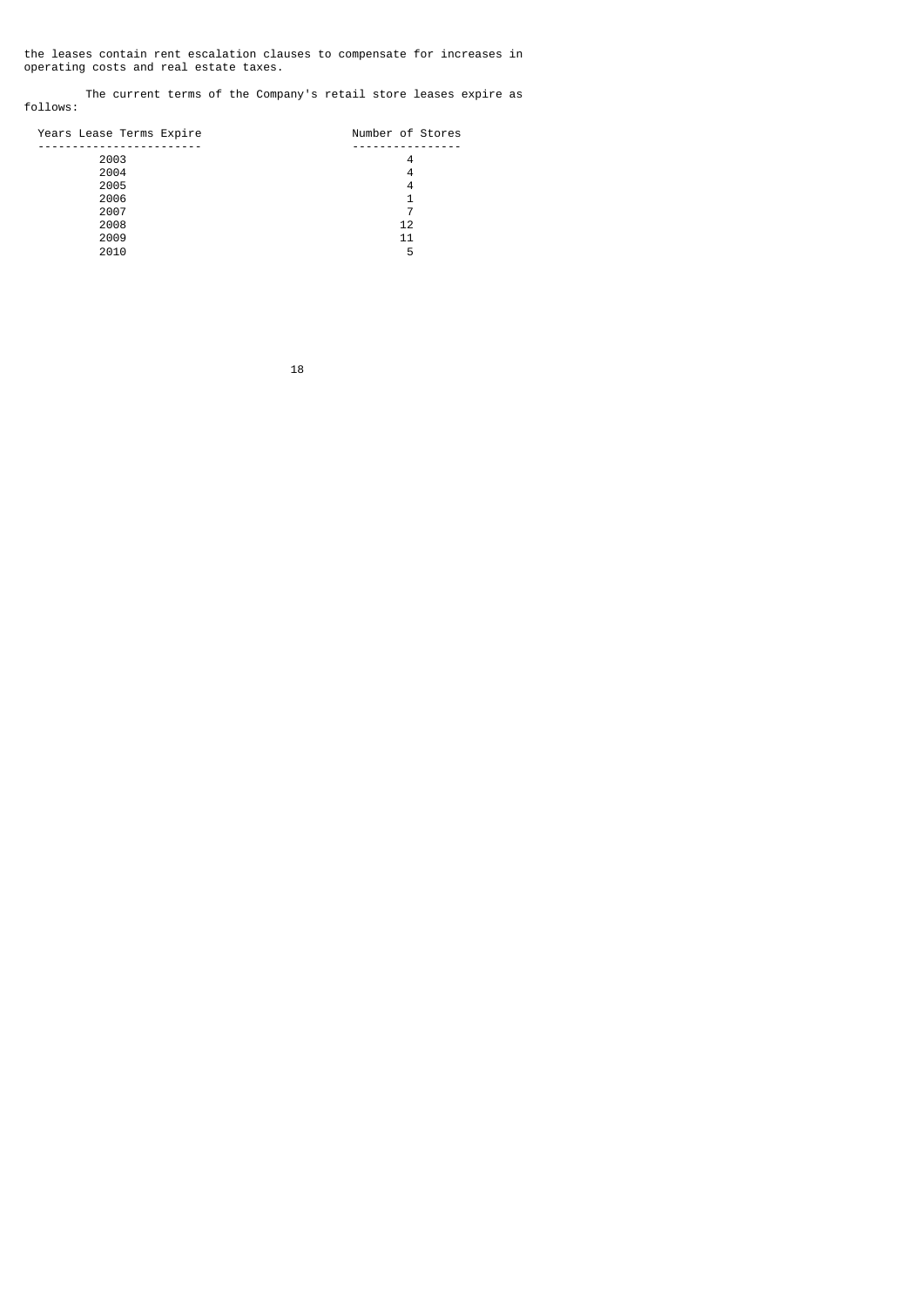the leases contain rent escalation clauses to compensate for increases in operating costs and real estate taxes.

 The current terms of the Company's retail store leases expire as follows:

| Years Lease Terms Expire | Number of Stores |
|--------------------------|------------------|
|                          |                  |
| 2003                     | 4                |
| 2004                     | 4                |
| 2005                     | 4                |
| 2006                     |                  |
| 2007                     |                  |
| 2008                     | 12               |
| 2009                     | 11               |
| 2010                     | 5                |
|                          |                  |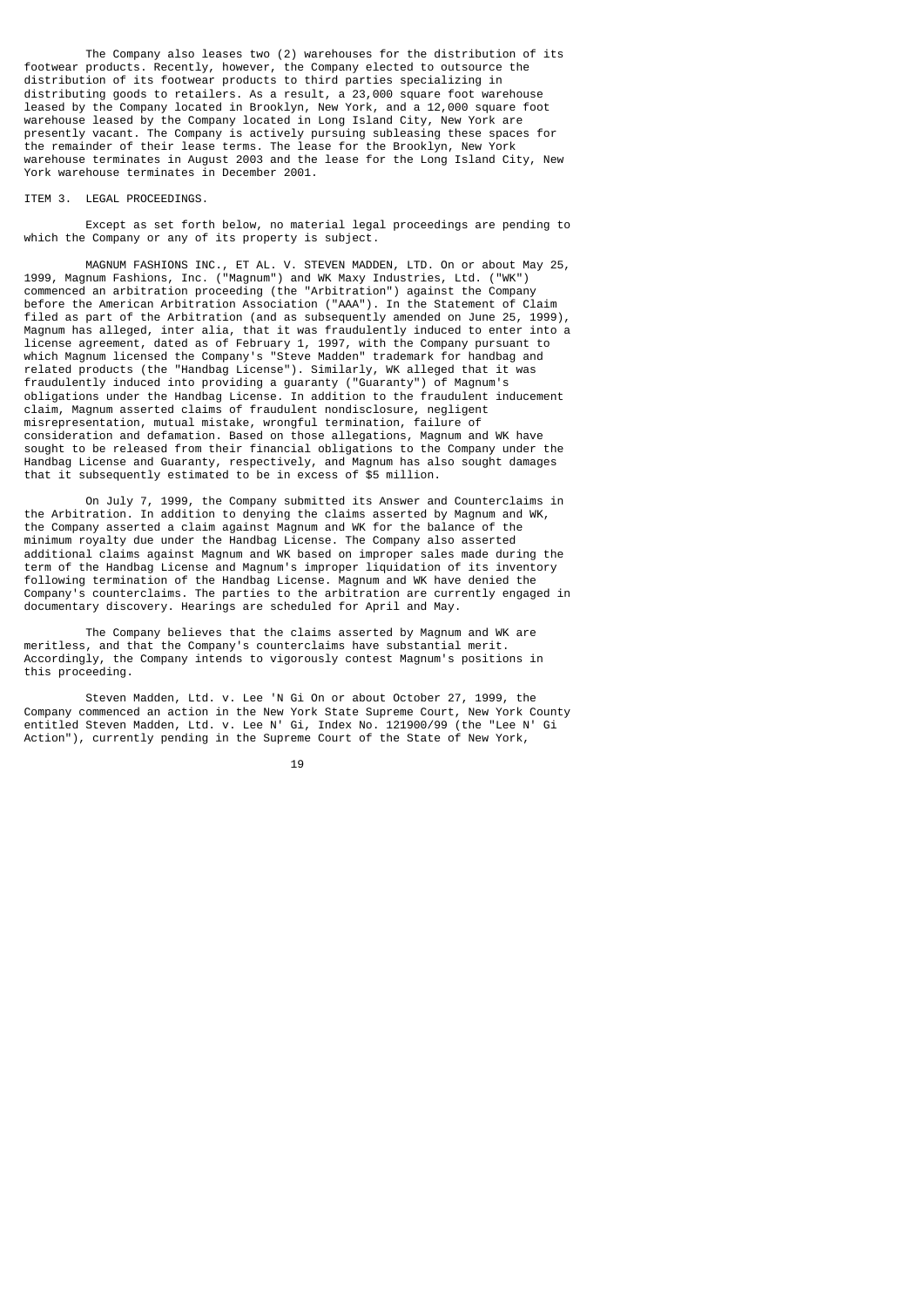The Company also leases two (2) warehouses for the distribution of its footwear products. Recently, however, the Company elected to outsource the distribution of its footwear products to third parties specializing in distributing goods to retailers. As a result, a 23,000 square foot warehouse leased by the Company located in Brooklyn, New York, and a 12,000 square foot warehouse leased by the Company located in Long Island City, New York are presently vacant. The Company is actively pursuing subleasing these spaces for the remainder of their lease terms. The lease for the Brooklyn, New York warehouse terminates in August 2003 and the lease for the Long Island City, New York warehouse terminates in December 2001.

### ITEM 3. LEGAL PROCEEDINGS.

 Except as set forth below, no material legal proceedings are pending to which the Company or any of its property is subject.

 MAGNUM FASHIONS INC., ET AL. V. STEVEN MADDEN, LTD. On or about May 25, 1999, Magnum Fashions, Inc. ("Magnum") and WK Maxy Industries, Ltd. ("WK") commenced an arbitration proceeding (the "Arbitration") against the Company before the American Arbitration Association ("AAA"). In the Statement of Claim filed as part of the Arbitration (and as subsequently amended on June 25, 1999), Magnum has alleged, inter alia, that it was fraudulently induced to enter into a license agreement, dated as of February 1, 1997, with the Company pursuant to which Magnum licensed the Company's "Steve Madden" trademark for handbag and related products (the "Handbag License"). Similarly, WK alleged that it was fraudulently induced into providing a guaranty ("Guaranty") of Magnum's obligations under the Handbag License. In addition to the fraudulent inducement claim, Magnum asserted claims of fraudulent nondisclosure, negligent misrepresentation, mutual mistake, wrongful termination, failure of consideration and defamation. Based on those allegations, Magnum and WK have sought to be released from their financial obligations to the Company under the Handbag License and Guaranty, respectively, and Magnum has also sought damages that it subsequently estimated to be in excess of \$5 million.

 On July 7, 1999, the Company submitted its Answer and Counterclaims in the Arbitration. In addition to denying the claims asserted by Magnum and WK, the Company asserted a claim against Magnum and WK for the balance of the minimum royalty due under the Handbag License. The Company also asserted additional claims against Magnum and WK based on improper sales made during the term of the Handbag License and Magnum's improper liquidation of its inventory following termination of the Handbag License. Magnum and WK have denied the Company's counterclaims. The parties to the arbitration are currently engaged in documentary discovery. Hearings are scheduled for April and May.

 The Company believes that the claims asserted by Magnum and WK are meritless, and that the Company's counterclaims have substantial merit. Accordingly, the Company intends to vigorously contest Magnum's positions in this proceeding.

 Steven Madden, Ltd. v. Lee 'N Gi On or about October 27, 1999, the Company commenced an action in the New York State Supreme Court, New York County entitled Steven Madden, Ltd. v. Lee N' Gi, Index No. 121900/99 (the "Lee N' Gi Action"), currently pending in the Supreme Court of the State of New York,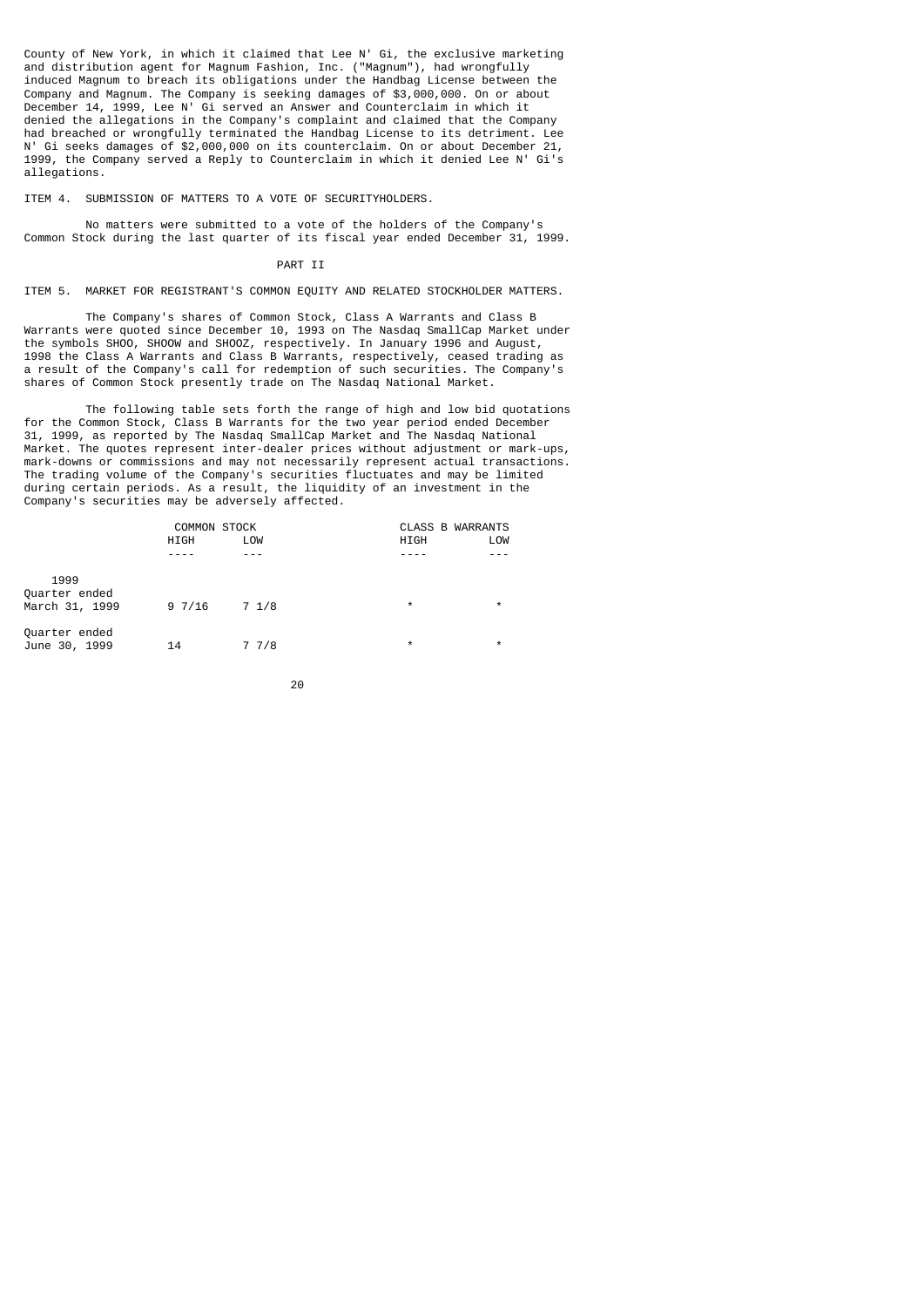County of New York, in which it claimed that Lee N' Gi, the exclusive marketing and distribution agent for Magnum Fashion, Inc. ("Magnum"), had wrongfully induced Magnum to breach its obligations under the Handbag License between the Company and Magnum. The Company is seeking damages of \$3,000,000. On or about December 14, 1999, Lee N' Gi served an Answer and Counterclaim in which it denied the allegations in the Company's complaint and claimed that the Company had breached or wrongfully terminated the Handbag License to its detriment. Lee N' Gi seeks damages of \$2,000,000 on its counterclaim. On or about December 21, 1999, the Company served a Reply to Counterclaim in which it denied Lee N' Gi's allegations.

ITEM 4. SUBMISSION OF MATTERS TO A VOTE OF SECURITYHOLDERS.

 No matters were submitted to a vote of the holders of the Company's Common Stock during the last quarter of its fiscal year ended December 31, 1999.

### PART II

ITEM 5. MARKET FOR REGISTRANT'S COMMON EQUITY AND RELATED STOCKHOLDER MATTERS.

 The Company's shares of Common Stock, Class A Warrants and Class B Warrants were quoted since December 10, 1993 on The Nasdaq SmallCap Market under the symbols SHOO, SHOOW and SHOOZ, respectively. In January 1996 and August, 1998 the Class A Warrants and Class B Warrants, respectively, ceased trading as a result of the Company's call for redemption of such securities. The Company's shares of Common Stock presently trade on The Nasdaq National Market.

 The following table sets forth the range of high and low bid quotations for the Common Stock, Class B Warrants for the two year period ended December 31, 1999, as reported by The Nasdaq SmallCap Market and The Nasdaq National Market. The quotes represent inter-dealer prices without adjustment or mark-ups, mark-downs or commissions and may not necessarily represent actual transactions. The trading volume of the Company's securities fluctuates and may be limited during certain periods. As a result, the liquidity of an investment in the Company's securities may be adversely affected.

|                                | <b>COMMON STOCK</b> |       | <b>CLASS B WARRANTS</b> |         |  |
|--------------------------------|---------------------|-------|-------------------------|---------|--|
|                                | <b>HIGH</b>         | LOW   | HIGH                    | LOW     |  |
|                                |                     |       |                         |         |  |
| 1999<br>Quarter ended          |                     |       |                         |         |  |
| March 31, 1999                 | 9 7/16              | 7 1/8 | $\star$                 | $\star$ |  |
| Quarter ended<br>June 30, 1999 | 14                  | 77/8  | $\star$                 | $\star$ |  |

$$
\sim 20
$$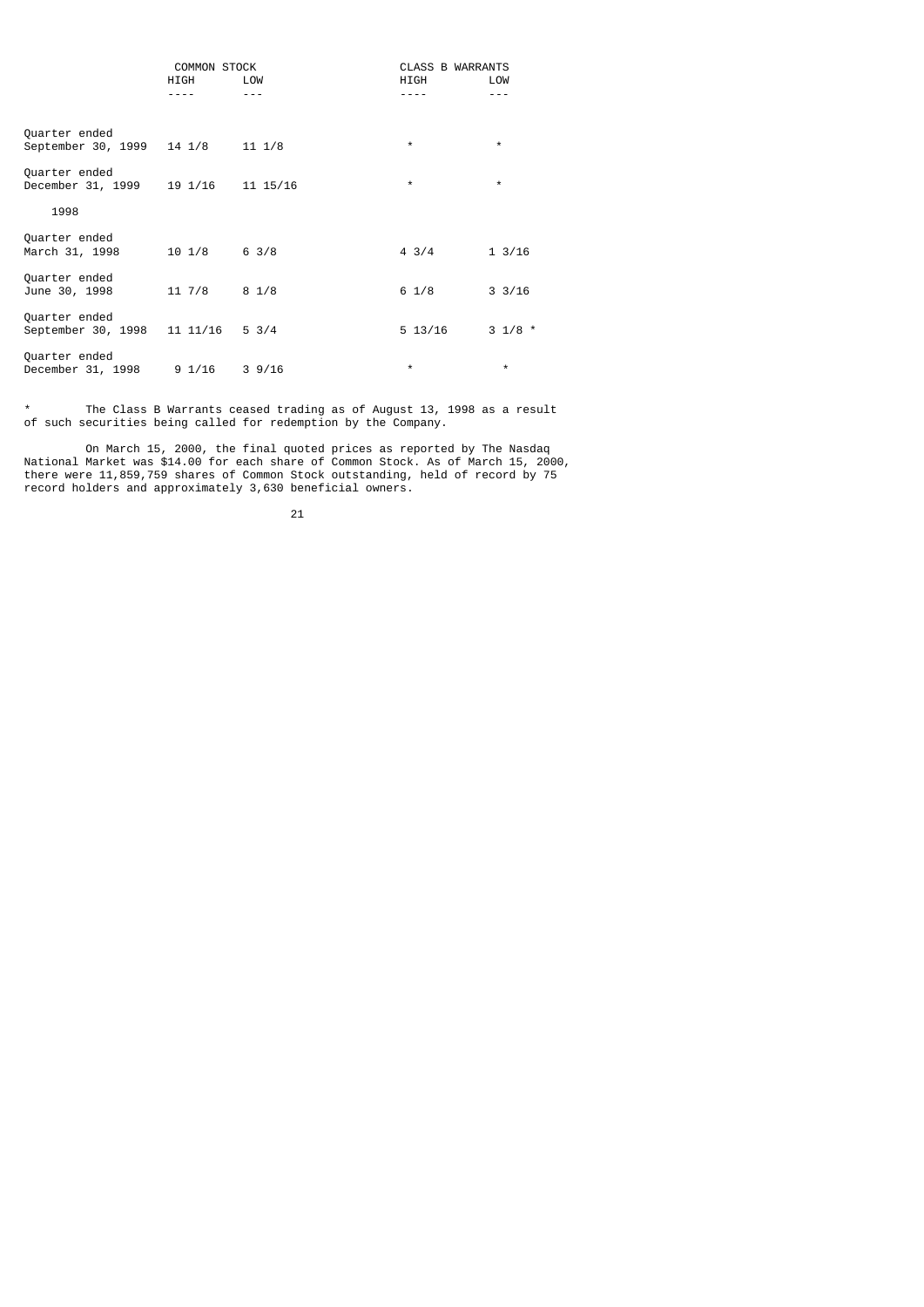|                                     | <b>COMMON STOCK</b> |                 | <b>CLASS B WARRANTS</b> |                   |  |
|-------------------------------------|---------------------|-----------------|-------------------------|-------------------|--|
|                                     | <b>HIGH</b>         | LOW             | <b>HIGH</b>             | LOW               |  |
|                                     |                     |                 |                         |                   |  |
| Quarter ended<br>September 30, 1999 | 14 1/8              | $11 \t1/8$      | $\star$                 | $\star$           |  |
| Quarter ended<br>December 31, 1999  | 19 1/16             | 11 15/16        | $\star$                 | $\star$           |  |
| 1998                                |                     |                 |                         |                   |  |
| Quarter ended<br>March 31, 1998     | $10 \t1/8$          | $6 \frac{3}{8}$ | $4 \frac{3}{4}$         | $1 \frac{3}{16}$  |  |
| Quarter ended<br>June 30, 1998      | $11 \frac{7}{8}$    | $8 \frac{1}{8}$ | $6 \frac{1}{8}$         | $3 \frac{3}{16}$  |  |
| Quarter ended<br>September 30, 1998 | 11 11/16            | $5 \frac{3}{4}$ | 5 13/16                 | $3 \frac{1}{8}$ * |  |
| Quarter ended<br>December 31, 1998  | 91/16               | 39/16           | $\star$                 | $\star$           |  |

\* The Class B Warrants ceased trading as of August 13, 1998 as a result of such securities being called for redemption by the Company.

 On March 15, 2000, the final quoted prices as reported by The Nasdaq National Market was \$14.00 for each share of Common Stock. As of March 15, 2000, there were 11,859,759 shares of Common Stock outstanding, held of record by 75 record holders and approximately 3,630 beneficial owners.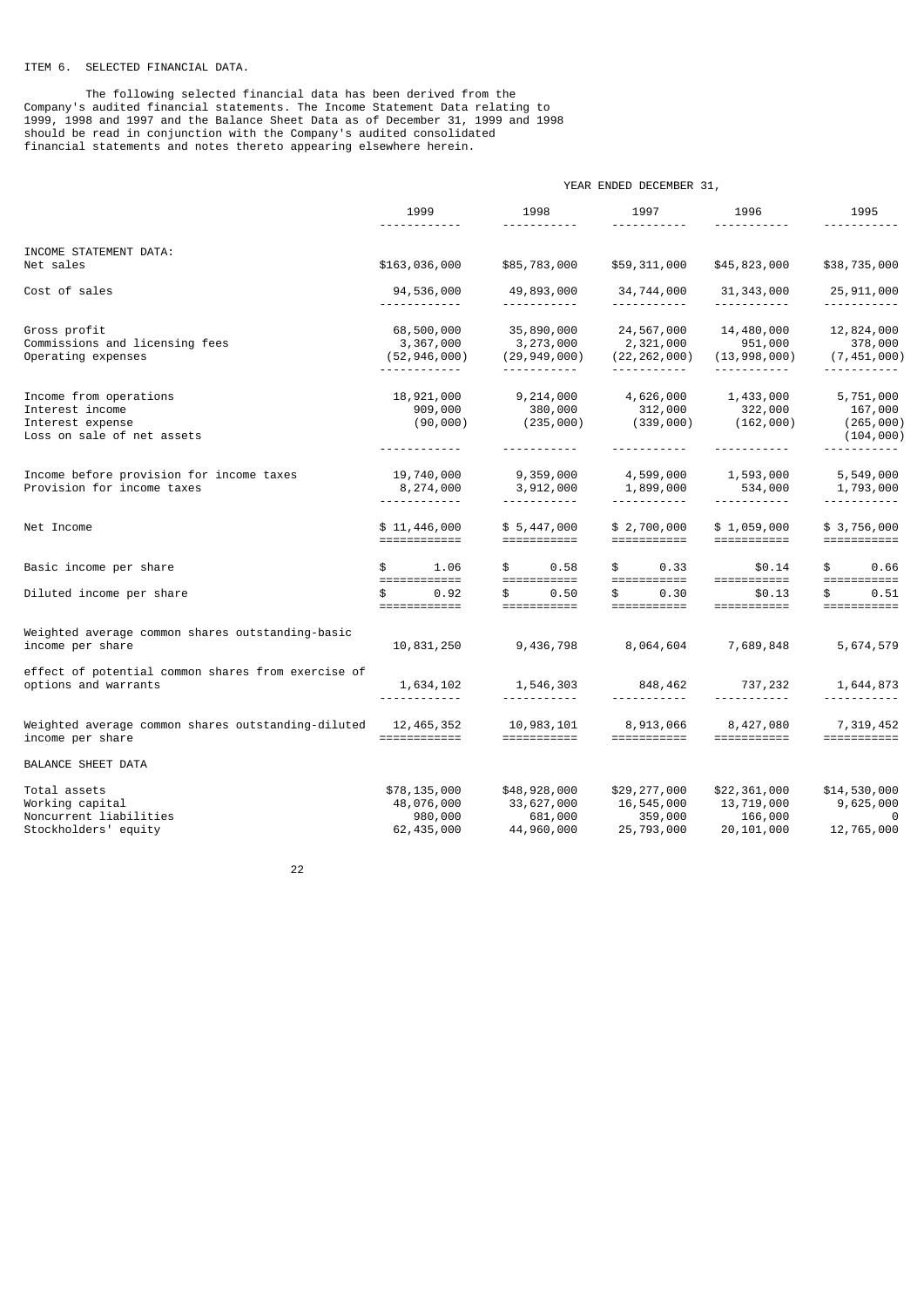# ITEM 6. SELECTED FINANCIAL DATA.

 The following selected financial data has been derived from the Company's audited financial statements. The Income Statement Data relating to 1999, 1998 and 1997 and the Balance Sheet Data as of December 31, 1999 and 1998 should be read in conjunction with the Company's audited consolidated financial statements and notes thereto appearing elsewhere herein.

|                                                                                             | YEAR ENDED DECEMBER 31,                                    |                                                                                                                                                                                                                                                                                                                                                                                                                                                                                                                                                                                                       |                                                                            |                                                                    |                                                         |  |  |  |
|---------------------------------------------------------------------------------------------|------------------------------------------------------------|-------------------------------------------------------------------------------------------------------------------------------------------------------------------------------------------------------------------------------------------------------------------------------------------------------------------------------------------------------------------------------------------------------------------------------------------------------------------------------------------------------------------------------------------------------------------------------------------------------|----------------------------------------------------------------------------|--------------------------------------------------------------------|---------------------------------------------------------|--|--|--|
|                                                                                             | 1999                                                       | 1998<br><u>.</u>                                                                                                                                                                                                                                                                                                                                                                                                                                                                                                                                                                                      | 1997                                                                       | 1996                                                               | 1995                                                    |  |  |  |
| INCOME STATEMENT DATA:<br>Net sales                                                         | \$163,036,000                                              | \$85,783,000                                                                                                                                                                                                                                                                                                                                                                                                                                                                                                                                                                                          | \$59,311,000                                                               | \$45,823,000                                                       | \$38,735,000                                            |  |  |  |
| Cost of sales                                                                               | 94,536,000                                                 | 49,893,000                                                                                                                                                                                                                                                                                                                                                                                                                                                                                                                                                                                            | 34,744,000                                                                 | 31,343,000                                                         | 25,911,000                                              |  |  |  |
| Gross profit<br>Commissions and licensing fees<br>Operating expenses                        | 68,500,000<br>3,367,000<br>(52, 946, 000)                  | 35,890,000<br>3,273,000<br>(29, 949, 000)                                                                                                                                                                                                                                                                                                                                                                                                                                                                                                                                                             | 24,567,000<br>2,321,000<br>(22, 262, 000)<br><u> - - - - - - - - - - -</u> | 14,480,000<br>951,000<br>(13,998,000)<br>------------              | 12,824,000<br>378,000<br>(7, 451, 000)                  |  |  |  |
| Income from operations<br>Interest income<br>Interest expense<br>Loss on sale of net assets | 18,921,000<br>909,000<br>(90, 000)<br>------------         | 9,214,000<br>380,000<br>(235, 000)<br>-----------                                                                                                                                                                                                                                                                                                                                                                                                                                                                                                                                                     | 4,626,000<br>312,000<br>(339,000)<br>-----------                           | 1,433,000<br>322,000<br>(162,000)<br><u> - - - - - - - - - - -</u> | 5,751,000<br>167,000<br>(265,000)<br>(104, 000)         |  |  |  |
| Income before provision for income taxes<br>Provision for income taxes                      | 19,740,000<br>8,274,000<br><u> - - - - - - - - - - - -</u> | 9,359,000<br>3,912,000<br><u>.</u>                                                                                                                                                                                                                                                                                                                                                                                                                                                                                                                                                                    | 4,599,000<br>1,899,000<br><u> - - - - - - - - - - -</u>                    | 1,593,000<br>534,000<br><u> - - - - - - - - - - -</u>              | 5,549,000<br>1,793,000<br><u> - - - - - - - - - - -</u> |  |  |  |
| Net Income                                                                                  | \$11,446,000<br>============                               | \$5,447,000<br>$\qquad \qquad \overbrace{\qquad \qquad }=\qquad \qquad \overbrace{\qquad \qquad }=\qquad \qquad \overbrace{\qquad \qquad }=\qquad \qquad \overbrace{\qquad \qquad }=\qquad \qquad \overbrace{\qquad \qquad }=\qquad \qquad \overbrace{\qquad \qquad }=\qquad \qquad \overbrace{\qquad \qquad }=\qquad \qquad \overbrace{\qquad \qquad }=\qquad \qquad \overbrace{\qquad \qquad }=\qquad \qquad \overbrace{\qquad \qquad }=\qquad \qquad \overbrace{\qquad \qquad }=\qquad \qquad \overbrace{\qquad \qquad }=\qquad \qquad \overbrace{\qquad \qquad }=\qquad \qquad \overbrace{\qquad$ | \$2,700,000                                                                | \$1,059,000<br>===========                                         | \$3,756,000<br>===========                              |  |  |  |
| Basic income per share                                                                      | 1.06<br>\$                                                 | \$<br>0.58                                                                                                                                                                                                                                                                                                                                                                                                                                                                                                                                                                                            | 0.33<br>\$                                                                 | \$0.14                                                             | \$<br>0.66                                              |  |  |  |
| Diluted income per share                                                                    | ============<br>\$<br>0.92<br>============                 | ===========<br>\$<br>0.50<br>===========                                                                                                                                                                                                                                                                                                                                                                                                                                                                                                                                                              | ===========<br>\$<br>0.30<br>===========                                   | ===========<br>\$0.13<br>===========                               | \$<br>0.51<br>$=$ ===========                           |  |  |  |
| Weighted average common shares outstanding-basic<br>income per share                        | 10,831,250                                                 | 9,436,798                                                                                                                                                                                                                                                                                                                                                                                                                                                                                                                                                                                             | 8,064,604                                                                  | 7,689,848                                                          | 5,674,579                                               |  |  |  |
| effect of potential common shares from exercise of<br>options and warrants                  | 1,634,102                                                  | 1,546,303<br><u> - - - - - - - - - - -</u>                                                                                                                                                                                                                                                                                                                                                                                                                                                                                                                                                            | 848,462<br><u> - - - - - - - - - -</u>                                     | 737,232<br><u> - - - - - - - - - - -</u>                           | 1,644,873                                               |  |  |  |
| Weighted average common shares outstanding-diluted<br>income per share                      | 12,465,352                                                 | 10,983,101<br>$\qquad \qquad \overbrace{\qquad \qquad }=\qquad \qquad \overbrace{\qquad \qquad }=\qquad \qquad \overbrace{\qquad \qquad }=\qquad \qquad \overbrace{\qquad \qquad }=\qquad \qquad \overbrace{\qquad \qquad }=\qquad \qquad \overbrace{\qquad \qquad }=\qquad \qquad \overbrace{\qquad \qquad }=\qquad \qquad \overbrace{\qquad \qquad }=\qquad \qquad \overbrace{\qquad \qquad }=\qquad \qquad \overbrace{\qquad \qquad }=\qquad \qquad \overbrace{\qquad \qquad }=\qquad \qquad \overbrace{\qquad \qquad }=\qquad \qquad \overbrace{\qquad \qquad }=\qquad \qquad \overbrace{\qquad$  | 8,913,066<br>===========                                                   | 8,427,080<br>===========                                           | 7,319,452                                               |  |  |  |
| BALANCE SHEET DATA                                                                          |                                                            |                                                                                                                                                                                                                                                                                                                                                                                                                                                                                                                                                                                                       |                                                                            |                                                                    |                                                         |  |  |  |
| Total assets<br>Working capital<br>Noncurrent liabilities<br>Stockholders' equity           | \$78,135,000<br>48,076,000<br>980,000<br>62,435,000        | \$48,928,000<br>33,627,000<br>681,000<br>44,960,000                                                                                                                                                                                                                                                                                                                                                                                                                                                                                                                                                   | \$29,277,000<br>16,545,000<br>359,000<br>25,793,000                        | \$22,361,000<br>13,719,000<br>166,000<br>20,101,000                | \$14,530,000<br>9,625,000<br>0<br>12,765,000            |  |  |  |

проставление в село в 1922 године в 22 декабря 22 декабря 22 декабря 22 декабря 22 декабря 22 декабря 22 декаб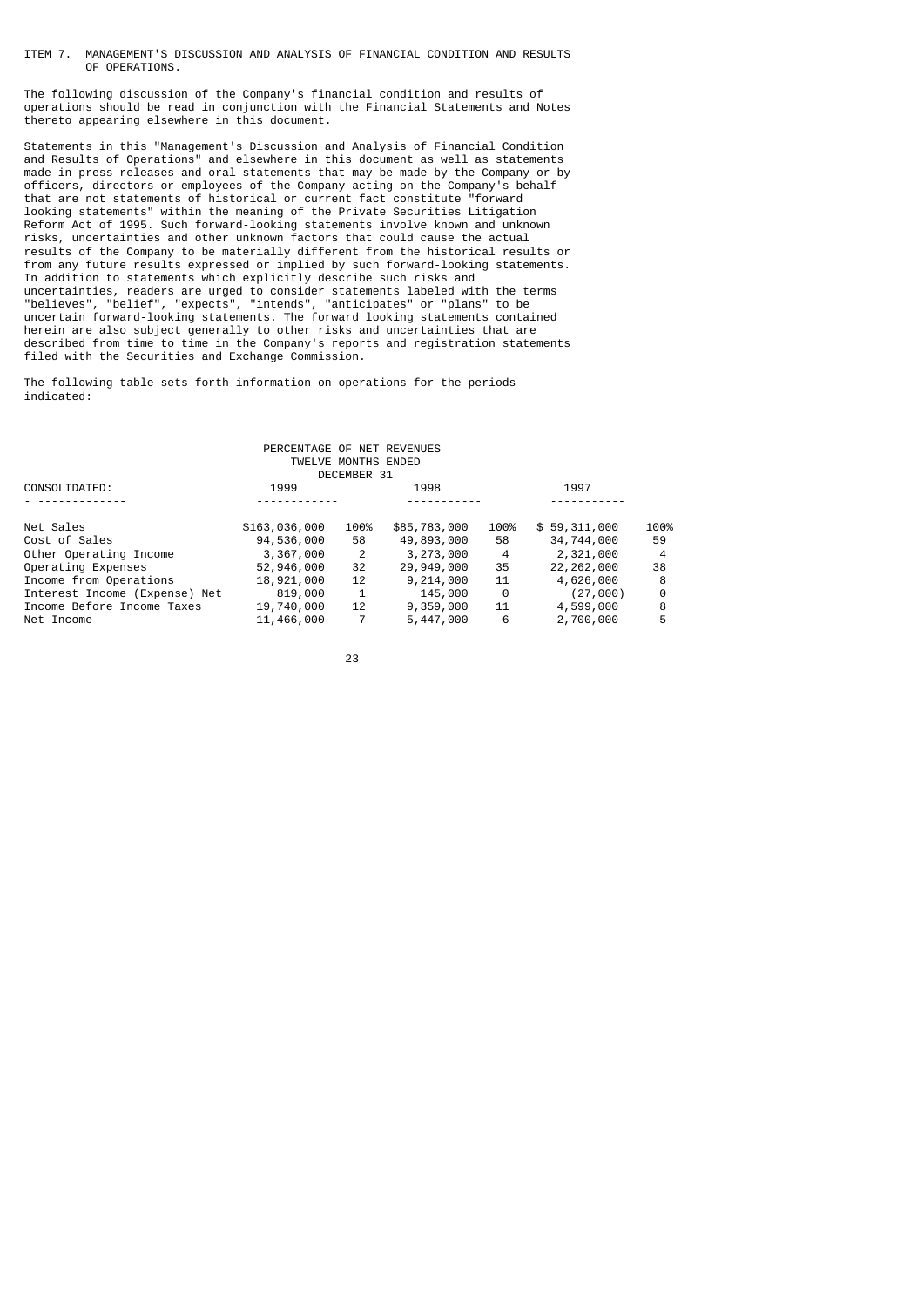ITEM 7. MANAGEMENT'S DISCUSSION AND ANALYSIS OF FINANCIAL CONDITION AND RESULTS OF OPERATIONS.

The following discussion of the Company's financial condition and results of operations should be read in conjunction with the Financial Statements and Notes thereto appearing elsewhere in this document.

Statements in this "Management's Discussion and Analysis of Financial Condition and Results of Operations" and elsewhere in this document as well as statements made in press releases and oral statements that may be made by the Company or by officers, directors or employees of the Company acting on the Company's behalf that are not statements of historical or current fact constitute "forward looking statements" within the meaning of the Private Securities Litigation Reform Act of 1995. Such forward-looking statements involve known and unknown risks, uncertainties and other unknown factors that could cause the actual results of the Company to be materially different from the historical results or from any future results expressed or implied by such forward-looking statements. In addition to statements which explicitly describe such risks and uncertainties, readers are urged to consider statements labeled with the terms "believes", "belief", "expects", "intends", "anticipates" or "plans" to be uncertain forward-looking statements. The forward looking statements contained herein are also subject generally to other risks and uncertainties that are described from time to time in the Company's reports and registration statements filed with the Securities and Exchange Commission.

The following table sets forth information on operations for the periods indicated:

|                               | PERCENTAGE OF NET REVENUES | TWELVE MONTHS ENDED |              |                |              |      |
|-------------------------------|----------------------------|---------------------|--------------|----------------|--------------|------|
|                               |                            | DECEMBER 31         |              |                |              |      |
| CONSOLIDATED:                 | 1999                       |                     | 1998         |                | 1997         |      |
|                               |                            |                     |              |                |              |      |
| Net Sales                     | \$163,036,000              | 100%                | \$85,783,000 | 100%           | \$59,311,000 | 100% |
| Cost of Sales                 | 94,536,000                 | 58                  | 49,893,000   | 58             | 34,744,000   | 59   |
| Other Operating Income        | 3,367,000                  | $\overline{2}$      | 3,273,000    | $\overline{4}$ | 2,321,000    | 4    |
| Operating Expenses            | 52,946,000                 | 32                  | 29,949,000   | 35             | 22, 262, 000 | 38   |
| Income from Operations        | 18,921,000                 | 12                  | 9,214,000    | 11             | 4,626,000    | 8    |
| Interest Income (Expense) Net | 819,000                    | 1                   | 145,000      | 0              | (27,000)     | 0    |
| Income Before Income Taxes    | 19,740,000                 | 12                  | 9,359,000    | 11             | 4,599,000    | 8    |
| Net Income                    | 11,466,000                 |                     | 5,447,000    | 6              | 2,700,000    | 5    |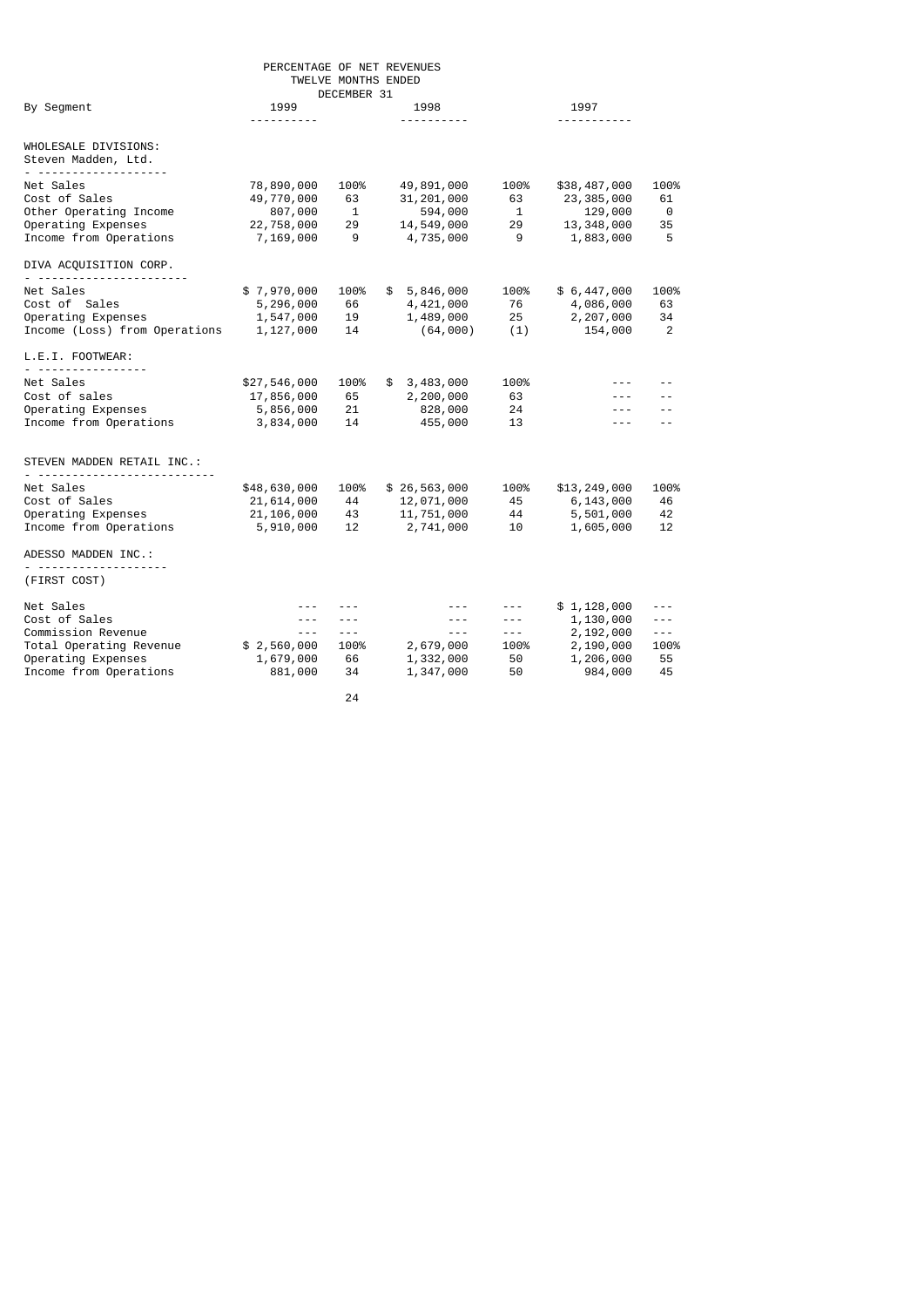| PERCENTAGE OF NET REVENUES<br>TWELVE MONTHS ENDED<br>DECEMBER 31                                                               |                                                                |                             |    |                                                                                                                                                                                                                                                                                                                                                                                                                                     |                                                                                                                                                                                                                                                                                                                                                                                                                                |                                                                            |                                           |
|--------------------------------------------------------------------------------------------------------------------------------|----------------------------------------------------------------|-----------------------------|----|-------------------------------------------------------------------------------------------------------------------------------------------------------------------------------------------------------------------------------------------------------------------------------------------------------------------------------------------------------------------------------------------------------------------------------------|--------------------------------------------------------------------------------------------------------------------------------------------------------------------------------------------------------------------------------------------------------------------------------------------------------------------------------------------------------------------------------------------------------------------------------|----------------------------------------------------------------------------|-------------------------------------------|
| By Segment                                                                                                                     | 1999<br>.                                                      |                             |    | 1998<br>----------                                                                                                                                                                                                                                                                                                                                                                                                                  | 1997<br>----------                                                                                                                                                                                                                                                                                                                                                                                                             |                                                                            |                                           |
| WHOLESALE DIVISIONS:<br>Steven Madden, Ltd.                                                                                    |                                                                |                             |    |                                                                                                                                                                                                                                                                                                                                                                                                                                     |                                                                                                                                                                                                                                                                                                                                                                                                                                |                                                                            |                                           |
| Net Sales<br>Cost of Sales<br>Other Operating Income<br>Operating Expenses<br>Income from Operations<br>DIVA ACQUISITION CORP. | 78,890,000<br>49,770,000<br>807,000<br>22,758,000<br>7,169,000 | 100%<br>63<br>1<br>29<br>9  |    | 49,891,000<br>31,201,000<br>594,000<br>14,549,000<br>4,735,000                                                                                                                                                                                                                                                                                                                                                                      | 100%<br>63<br>1<br>29<br>9                                                                                                                                                                                                                                                                                                                                                                                                     | \$38,487,000<br>23, 385, 000<br>129,000<br>13, 348, 000<br>1,883,000       | 100%<br>61<br>0<br>35<br>5                |
| Net Sales<br>Cost of Sales<br>Operating Expenses<br>Income (Loss) from Operations<br>L.E.I. FOOTWEAR:                          | \$7,970,000<br>5,296,000<br>1,547,000<br>1,127,000             | 100%<br>66<br>19<br>14      |    | \$5,846,000<br>4,421,000<br>1,489,000<br>(64,000)                                                                                                                                                                                                                                                                                                                                                                                   | 100%<br>76<br>25<br>(1)                                                                                                                                                                                                                                                                                                                                                                                                        | \$6,447,000<br>4,086,000<br>2,207,000<br>154,000                           | 100%<br>63<br>34<br>2                     |
| <u>.</u><br>Net Sales<br>Cost of sales<br>Operating Expenses<br>Income from Operations                                         | \$27,546,000<br>17,856,000<br>5,856,000<br>3,834,000           | 100%<br>65<br>21<br>14      | \$ | 3,483,000<br>2,200,000<br>828,000<br>455,000                                                                                                                                                                                                                                                                                                                                                                                        | 100%<br>63<br>24<br>13                                                                                                                                                                                                                                                                                                                                                                                                         | $- - -$<br>$- - -$                                                         | $ -$                                      |
| STEVEN MADDEN RETAIL INC.:                                                                                                     |                                                                |                             |    |                                                                                                                                                                                                                                                                                                                                                                                                                                     |                                                                                                                                                                                                                                                                                                                                                                                                                                |                                                                            |                                           |
| Net Sales<br>Cost of Sales<br>Operating Expenses<br>Income from Operations<br>ADESSO MADDEN INC.:                              | \$48,630,000<br>21,614,000<br>21,106,000<br>5,910,000          | 100%<br>44<br>43<br>12      |    | \$26,563,000<br>12,071,000<br>11,751,000<br>2,741,000                                                                                                                                                                                                                                                                                                                                                                               | 100%<br>45<br>44<br>10                                                                                                                                                                                                                                                                                                                                                                                                         | \$13,249,000<br>6,143,000<br>5,501,000<br>1,605,000                        | 100%<br>46<br>42<br>12                    |
| (FIRST COST)                                                                                                                   |                                                                |                             |    |                                                                                                                                                                                                                                                                                                                                                                                                                                     |                                                                                                                                                                                                                                                                                                                                                                                                                                |                                                                            |                                           |
| Net Sales<br>Cost of Sales<br>Commission Revenue<br>Total Operating Revenue<br>Operating Expenses<br>Income from Operations    | ---<br>$- - -$<br>\$2,560,000<br>1,679,000<br>881,000          | $- - -$<br>100%<br>66<br>34 |    | $\frac{1}{2} \frac{1}{2} \frac{1}{2} \frac{1}{2} \frac{1}{2} \frac{1}{2} \frac{1}{2} \frac{1}{2} \frac{1}{2} \frac{1}{2} \frac{1}{2} \frac{1}{2} \frac{1}{2} \frac{1}{2} \frac{1}{2} \frac{1}{2} \frac{1}{2} \frac{1}{2} \frac{1}{2} \frac{1}{2} \frac{1}{2} \frac{1}{2} \frac{1}{2} \frac{1}{2} \frac{1}{2} \frac{1}{2} \frac{1}{2} \frac{1}{2} \frac{1}{2} \frac{1}{2} \frac{1}{2} \frac{$<br>2,679,000<br>1,332,000<br>1,347,000 | ---<br>---<br>$\frac{1}{2} \frac{1}{2} \frac{1}{2} \frac{1}{2} \frac{1}{2} \frac{1}{2} \frac{1}{2} \frac{1}{2} \frac{1}{2} \frac{1}{2} \frac{1}{2} \frac{1}{2} \frac{1}{2} \frac{1}{2} \frac{1}{2} \frac{1}{2} \frac{1}{2} \frac{1}{2} \frac{1}{2} \frac{1}{2} \frac{1}{2} \frac{1}{2} \frac{1}{2} \frac{1}{2} \frac{1}{2} \frac{1}{2} \frac{1}{2} \frac{1}{2} \frac{1}{2} \frac{1}{2} \frac{1}{2} \frac{$<br>100%<br>50<br>50 | \$1,128,000<br>1,130,000<br>2,192,000<br>2,190,000<br>1,206,000<br>984,000 | ---<br>---<br>$- - -$<br>100%<br>55<br>45 |
|                                                                                                                                |                                                                |                             |    |                                                                                                                                                                                                                                                                                                                                                                                                                                     |                                                                                                                                                                                                                                                                                                                                                                                                                                |                                                                            |                                           |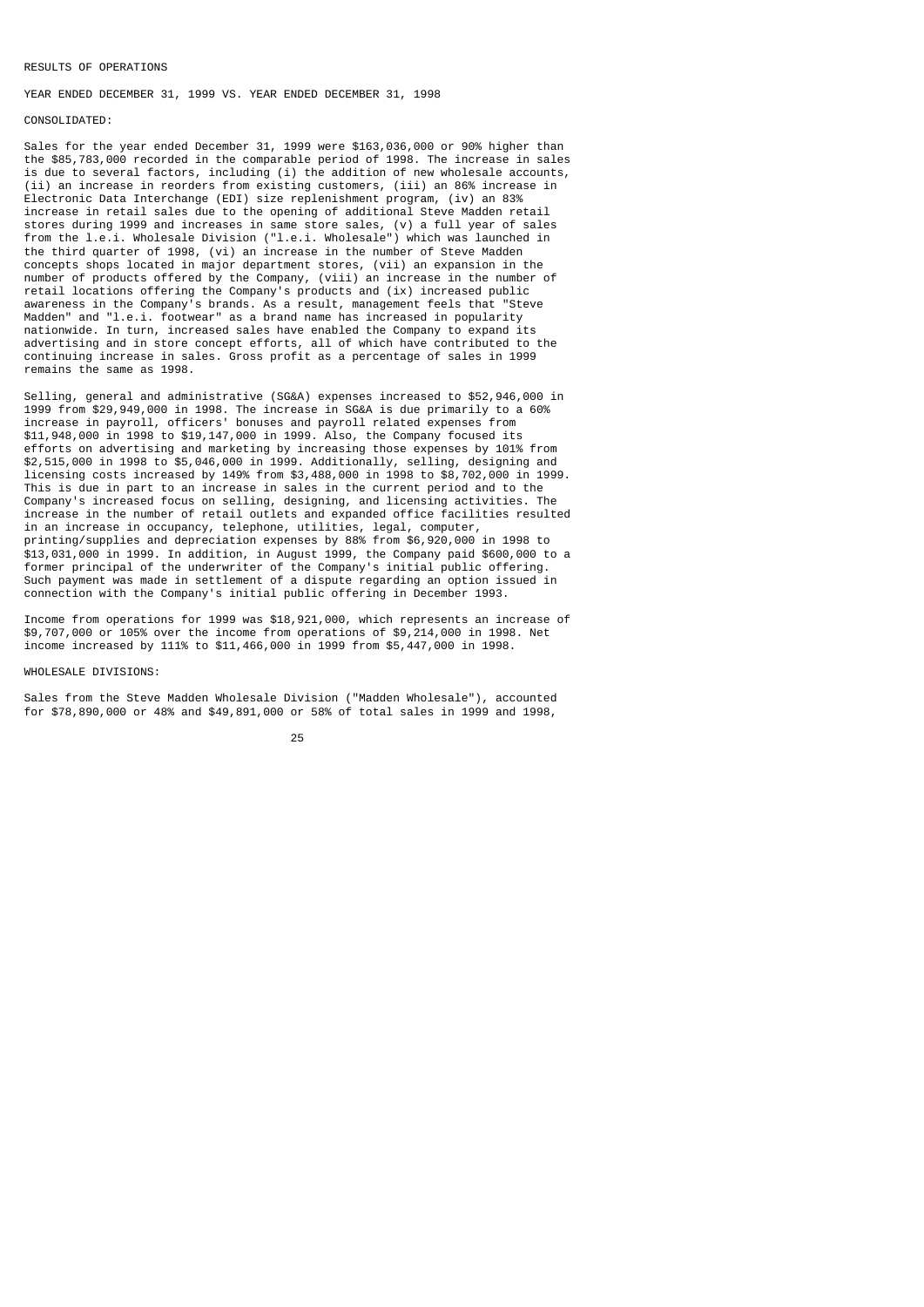### RESULTS OF OPERATIONS

YEAR ENDED DECEMBER 31, 1999 VS. YEAR ENDED DECEMBER 31, 1998

### CONSOLIDATED:

Sales for the year ended December 31, 1999 were \$163,036,000 or 90% higher than the \$85,783,000 recorded in the comparable period of 1998. The increase in sales is due to several factors, including (i) the addition of new wholesale accounts, (ii) an increase in reorders from existing customers, (iii) an 86% increase in Electronic Data Interchange (EDI) size replenishment program, (iv) an 83% increase in retail sales due to the opening of additional Steve Madden retail stores during 1999 and increases in same store sales, (v) a full year of sales from the l.e.i. Wholesale Division ("l.e.i. Wholesale") which was launched in the third quarter of 1998, (vi) an increase in the number of Steve Madden concepts shops located in major department stores, (vii) an expansion in the number of products offered by the Company, (viii) an increase in the number of retail locations offering the Company's products and (ix) increased public awareness in the Company's brands. As a result, management feels that "Steve Madden" and "l.e.i. footwear" as a brand name has increased in popularity nationwide. In turn, increased sales have enabled the Company to expand its advertising and in store concept efforts, all of which have contributed to the continuing increase in sales. Gross profit as a percentage of sales in 1999 remains the same as 1998.

Selling, general and administrative (SG&A) expenses increased to \$52,946,000 in 1999 from \$29,949,000 in 1998. The increase in SG&A is due primarily to a 60% increase in payroll, officers' bonuses and payroll related expenses from \$11,948,000 in 1998 to \$19,147,000 in 1999. Also, the Company focused its efforts on advertising and marketing by increasing those expenses by 101% from \$2,515,000 in 1998 to \$5,046,000 in 1999. Additionally, selling, designing and licensing costs increased by 149% from \$3,488,000 in 1998 to \$8,702,000 in 1999. This is due in part to an increase in sales in the current period and to the Company's increased focus on selling, designing, and licensing activities. The increase in the number of retail outlets and expanded office facilities resulted in an increase in occupancy, telephone, utilities, legal, computer, printing/supplies and depreciation expenses by 88% from \$6,920,000 in 1998 to \$13,031,000 in 1999. In addition, in August 1999, the Company paid \$600,000 to a former principal of the underwriter of the Company's initial public offering. Such payment was made in settlement of a dispute regarding an option issued in connection with the Company's initial public offering in December 1993.

Income from operations for 1999 was \$18,921,000, which represents an increase of \$9,707,000 or 105% over the income from operations of \$9,214,000 in 1998. Net income increased by 111% to \$11,466,000 in 1999 from \$5,447,000 in 1998.

### WHOLESALE DIVISIONS:

Sales from the Steve Madden Wholesale Division ("Madden Wholesale"), accounted for \$78,890,000 or 48% and \$49,891,000 or 58% of total sales in 1999 and 1998,

### <u>25 and 25 and 25 and 25 and 25 and 25 and 25 and 25 and 25 and 25 and 25 and 25 and 25 and 25 and 25 and 26 and 26 and 26 and 26 and 26 and 26 and 26 and 26 and 26 and 26 and 27 and 27 and 27 and 27 and 27 and 27 and 27 a</u>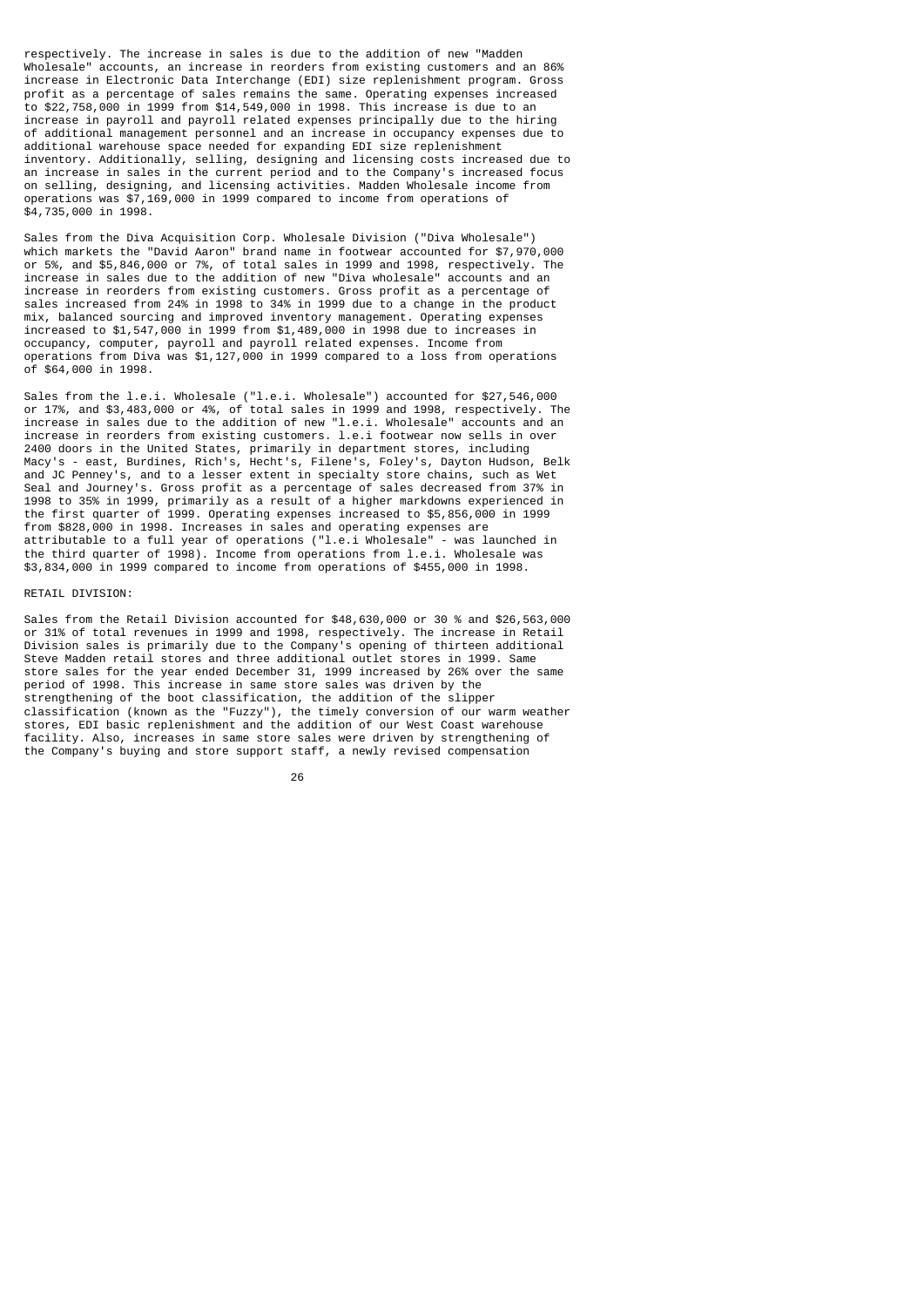respectively. The increase in sales is due to the addition of new "Madden Wholesale" accounts, an increase in reorders from existing customers and an 86% increase in Electronic Data Interchange (EDI) size replenishment program. Gross profit as a percentage of sales remains the same. Operating expenses increased to \$22,758,000 in 1999 from \$14,549,000 in 1998. This increase is due to an increase in payroll and payroll related expenses principally due to the hiring of additional management personnel and an increase in occupancy expenses due to additional warehouse space needed for expanding EDI size replenishment inventory. Additionally, selling, designing and licensing costs increased due to an increase in sales in the current period and to the Company's increased focus on selling, designing, and licensing activities. Madden Wholesale income from operations was \$7,169,000 in 1999 compared to income from operations of \$4,735,000 in 1998.

Sales from the Diva Acquisition Corp. Wholesale Division ("Diva Wholesale") which markets the "David Aaron" brand name in footwear accounted for \$7,970,000 or 5%, and \$5,846,000 or 7%, of total sales in 1999 and 1998, respectively. The increase in sales due to the addition of new "Diva wholesale" accounts and an increase in reorders from existing customers. Gross profit as a percentage of sales increased from 24% in 1998 to 34% in 1999 due to a change in the product mix, balanced sourcing and improved inventory management. Operating expenses increased to \$1,547,000 in 1999 from \$1,489,000 in 1998 due to increases in occupancy, computer, payroll and payroll related expenses. Income from operations from Diva was \$1,127,000 in 1999 compared to a loss from operations of \$64,000 in 1998.

Sales from the l.e.i. Wholesale ("l.e.i. Wholesale") accounted for \$27,546,000 or 17%, and \$3,483,000 or 4%, of total sales in 1999 and 1998, respectively. The increase in sales due to the addition of new "l.e.i. Wholesale" accounts and an increase in reorders from existing customers. l.e.i footwear now sells in over 2400 doors in the United States, primarily in department stores, including Macy's - east, Burdines, Rich's, Hecht's, Filene's, Foley's, Dayton Hudson, Belk and JC Penney's, and to a lesser extent in specialty store chains, such as Wet Seal and Journey's. Gross profit as a percentage of sales decreased from 37% in 1998 to 35% in 1999, primarily as a result of a higher markdowns experienced in the first quarter of 1999. Operating expenses increased to \$5,856,000 in 1999 from \$828,000 in 1998. Increases in sales and operating expenses are attributable to a full year of operations ("l.e.i Wholesale" - was launched in the third quarter of 1998). Income from operations from l.e.i. Wholesale was \$3,834,000 in 1999 compared to income from operations of \$455,000 in 1998.

### RETAIL DIVISION:

Sales from the Retail Division accounted for \$48,630,000 or 30 % and \$26,563,000 or 31% of total revenues in 1999 and 1998, respectively. The increase in Retail Division sales is primarily due to the Company's opening of thirteen additional Steve Madden retail stores and three additional outlet stores in 1999. Same store sales for the year ended December 31, 1999 increased by 26% over the same period of 1998. This increase in same store sales was driven by the strengthening of the boot classification, the addition of the slipper classification (known as the "Fuzzy"), the timely conversion of our warm weather stores, EDI basic replenishment and the addition of our West Coast warehouse facility. Also, increases in same store sales were driven by strengthening of the Company's buying and store support staff, a newly revised compensation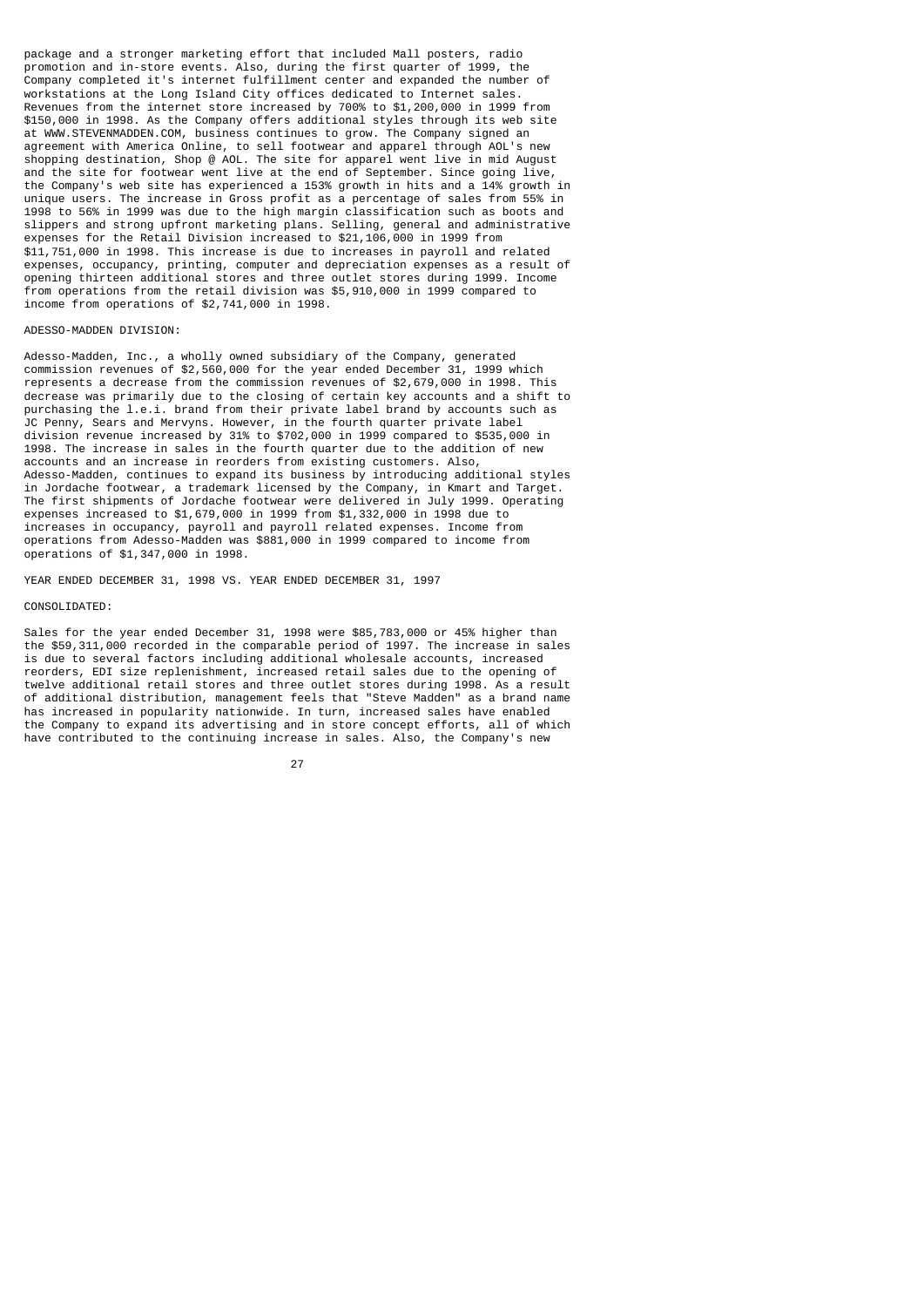package and a stronger marketing effort that included Mall posters, radio promotion and in-store events. Also, during the first quarter of 1999, the Company completed it's internet fulfillment center and expanded the number of workstations at the Long Island City offices dedicated to Internet sales. Revenues from the internet store increased by 700% to \$1,200,000 in 1999 from \$150,000 in 1998. As the Company offers additional styles through its web site at WWW.STEVENMADDEN.COM, business continues to grow. The Company signed an agreement with America Online, to sell footwear and apparel through AOL's new shopping destination, Shop @ AOL. The site for apparel went live in mid August and the site for footwear went live at the end of September. Since going live, the Company's web site has experienced a 153% growth in hits and a 14% growth in unique users. The increase in Gross profit as a percentage of sales from 55% in 1998 to 56% in 1999 was due to the high margin classification such as boots and slippers and strong upfront marketing plans. Selling, general and administrative expenses for the Retail Division increased to \$21,106,000 in 1999 from \$11,751,000 in 1998. This increase is due to increases in payroll and related expenses, occupancy, printing, computer and depreciation expenses as a result of opening thirteen additional stores and three outlet stores during 1999. Income from operations from the retail division was \$5,910,000 in 1999 compared to income from operations of \$2,741,000 in 1998.

### ADESSO-MADDEN DIVISION:

Adesso-Madden, Inc., a wholly owned subsidiary of the Company, generated commission revenues of \$2,560,000 for the year ended December 31, 1999 which represents a decrease from the commission revenues of \$2,679,000 in 1998. This decrease was primarily due to the closing of certain key accounts and a shift to purchasing the l.e.i. brand from their private label brand by accounts such as .<br>JC Penny, Sears and Mervyns. However, in the fourth quarter private label division revenue increased by 31% to \$702,000 in 1999 compared to \$535,000 in 1998. The increase in sales in the fourth quarter due to the addition of new accounts and an increase in reorders from existing customers. Also, Adesso-Madden, continues to expand its business by introducing additional styles in Jordache footwear, a trademark licensed by the Company, in Kmart and Target. The first shipments of Jordache footwear were delivered in July 1999. Operating expenses increased to \$1,679,000 in 1999 from \$1,332,000 in 1998 due to increases in occupancy, payroll and payroll related expenses. Income from operations from Adesso-Madden was \$881,000 in 1999 compared to income from operations of \$1,347,000 in 1998.

YEAR ENDED DECEMBER 31, 1998 VS. YEAR ENDED DECEMBER 31, 1997

### CONSOLIDATED:

Sales for the year ended December 31, 1998 were \$85,783,000 or 45% higher than the \$59,311,000 recorded in the comparable period of 1997. The increase in sales is due to several factors including additional wholesale accounts, increased reorders, EDI size replenishment, increased retail sales due to the opening of twelve additional retail stores and three outlet stores during 1998. As a result of additional distribution, management feels that "Steve Madden" as a brand name has increased in popularity nationwide. In turn, increased sales have enabled the Company to expand its advertising and in store concept efforts, all of which have contributed to the continuing increase in sales. Also, the Company's new

<u>27 and 27</u>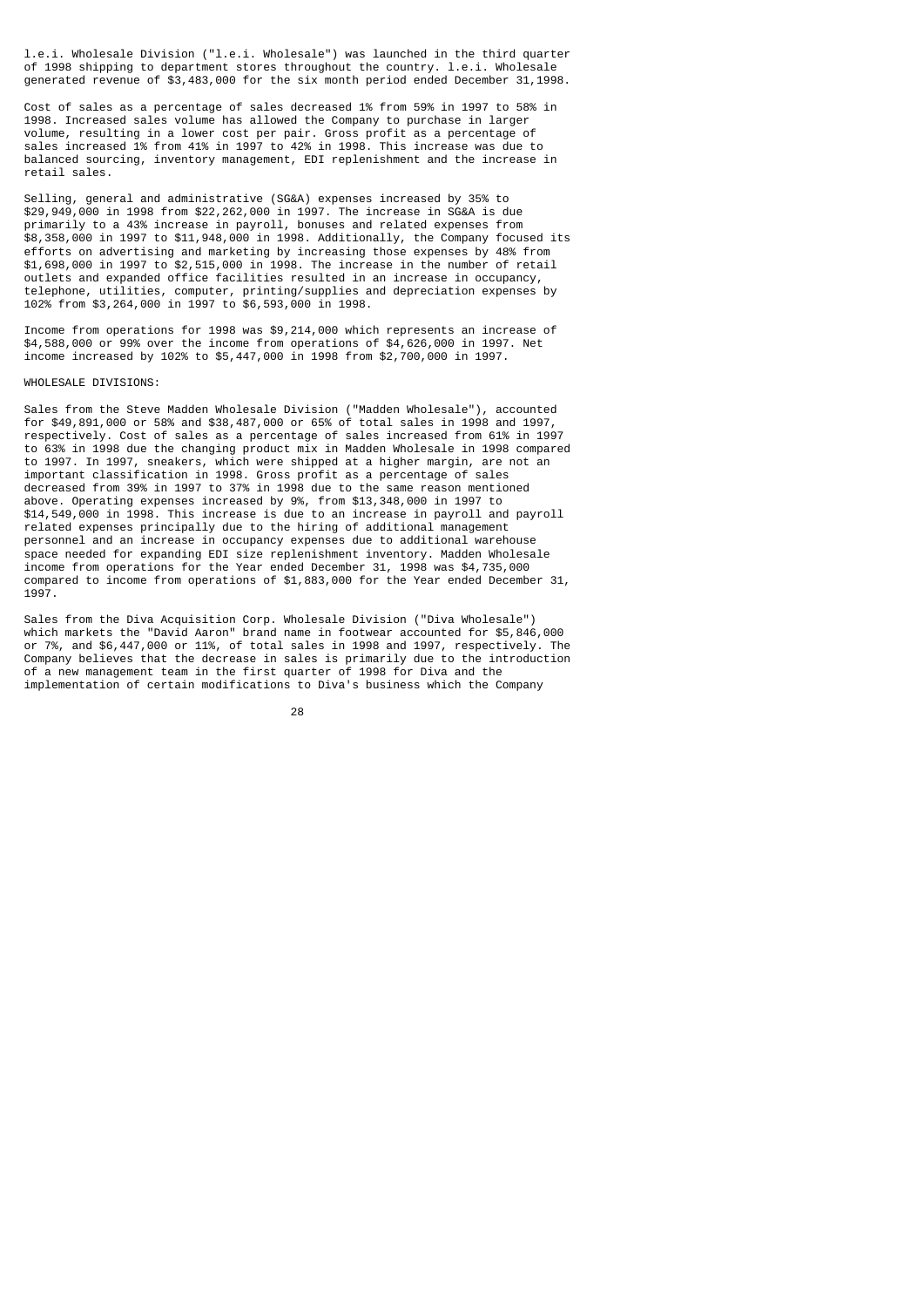l.e.i. Wholesale Division ("l.e.i. Wholesale") was launched in the third quarter of 1998 shipping to department stores throughout the country. l.e.i. Wholesale generated revenue of \$3,483,000 for the six month period ended December 31,1998.

Cost of sales as a percentage of sales decreased 1% from 59% in 1997 to 58% in 1998. Increased sales volume has allowed the Company to purchase in larger volume, resulting in a lower cost per pair. Gross profit as a percentage of sales increased 1% from 41% in 1997 to 42% in 1998. This increase was due to balanced sourcing, inventory management, EDI replenishment and the increase in retail sales.

Selling, general and administrative (SG&A) expenses increased by 35% to \$29,949,000 in 1998 from \$22,262,000 in 1997. The increase in SG&A is due primarily to a 43% increase in payroll, bonuses and related expenses from \$8,358,000 in 1997 to \$11,948,000 in 1998. Additionally, the Company focused its efforts on advertising and marketing by increasing those expenses by 48% from \$1,698,000 in 1997 to \$2,515,000 in 1998. The increase in the number of retail outlets and expanded office facilities resulted in an increase in occupancy, telephone, utilities, computer, printing/supplies and depreciation expenses by 102% from \$3,264,000 in 1997 to \$6,593,000 in 1998.

Income from operations for 1998 was \$9,214,000 which represents an increase of \$4,588,000 or 99% over the income from operations of \$4,626,000 in 1997. Net income increased by 102% to \$5,447,000 in 1998 from \$2,700,000 in 1997.

### WHOLESALE DIVISIONS:

Sales from the Steve Madden Wholesale Division ("Madden Wholesale"), accounted for \$49,891,000 or 58% and \$38,487,000 or 65% of total sales in 1998 and 1997, respectively. Cost of sales as a percentage of sales increased from 61% in 1997 to 63% in 1998 due the changing product mix in Madden Wholesale in 1998 compared to 1997. In 1997, sneakers, which were shipped at a higher margin, are not an important classification in 1998. Gross profit as a percentage of sales decreased from 39% in 1997 to 37% in 1998 due to the same reason mentioned above. Operating expenses increased by 9%, from \$13,348,000 in 1997 to \$14,549,000 in 1998. This increase is due to an increase in payroll and payroll related expenses principally due to the hiring of additional management personnel and an increase in occupancy expenses due to additional warehouse space needed for expanding EDI size replenishment inventory. Madden Wholesale income from operations for the Year ended December 31, 1998 was \$4,735,000 compared to income from operations of \$1,883,000 for the Year ended December 31, 1997.

Sales from the Diva Acquisition Corp. Wholesale Division ("Diva Wholesale") which markets the "David Aaron" brand name in footwear accounted for \$5,846,000 or 7%, and \$6,447,000 or 11%, of total sales in 1998 and 1997, respectively. The Company believes that the decrease in sales is primarily due to the introduction of a new management team in the first quarter of 1998 for Diva and the implementation of certain modifications to Diva's business which the Company

<u>28 and 28 and 28 and 28 and 28 and 28 and 28 and 28 and 28 and 28 and 28 and 28 and 28 and 28 and 28 and 28 a</u>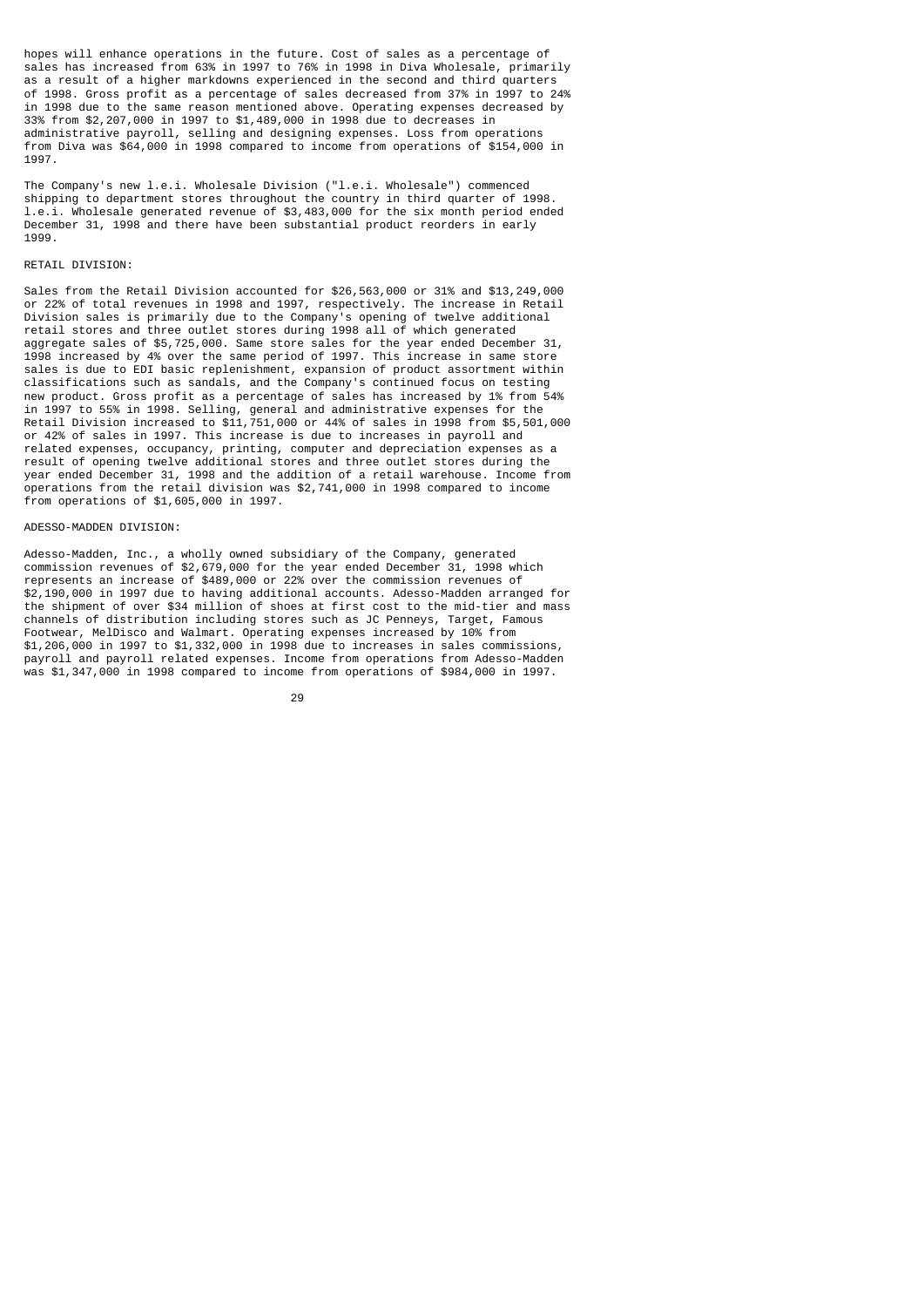hopes will enhance operations in the future. Cost of sales as a percentage of sales has increased from 63% in 1997 to 76% in 1998 in Diva Wholesale, primarily as a result of a higher markdowns experienced in the second and third quarters of 1998. Gross profit as a percentage of sales decreased from 37% in 1997 to 24% in 1998 due to the same reason mentioned above. Operating expenses decreased by 33% from \$2,207,000 in 1997 to \$1,489,000 in 1998 due to decreases in administrative payroll, selling and designing expenses. Loss from operations from Diva was \$64,000 in 1998 compared to income from operations of \$154,000 in 1997.

The Company's new l.e.i. Wholesale Division ("l.e.i. Wholesale") commenced shipping to department stores throughout the country in third quarter of 1998. l.e.i. Wholesale generated revenue of \$3,483,000 for the six month period ended December 31, 1998 and there have been substantial product reorders in early 1999.

### RETAIL DIVISION:

Sales from the Retail Division accounted for \$26,563,000 or 31% and \$13,249,000 or 22% of total revenues in 1998 and 1997, respectively. The increase in Retail Division sales is primarily due to the Company's opening of twelve additional retail stores and three outlet stores during 1998 all of which generated aggregate sales of \$5,725,000. Same store sales for the year ended December 31, 1998 increased by 4% over the same period of 1997. This increase in same store sales is due to EDI basic replenishment, expansion of product assortment within classifications such as sandals, and the Company's continued focus on testing new product. Gross profit as a percentage of sales has increased by 1% from 54% in 1997 to 55% in 1998. Selling, general and administrative expenses for the Retail Division increased to \$11,751,000 or 44% of sales in 1998 from \$5,501,000 or 42% of sales in 1997. This increase is due to increases in payroll and related expenses, occupancy, printing, computer and depreciation expenses as a result of opening twelve additional stores and three outlet stores during the year ended December 31, 1998 and the addition of a retail warehouse. Income from operations from the retail division was \$2,741,000 in 1998 compared to income from operations of \$1,605,000 in 1997.

### ADESSO-MADDEN DIVISION:

Adesso-Madden, Inc., a wholly owned subsidiary of the Company, generated commission revenues of \$2,679,000 for the year ended December 31, 1998 which represents an increase of \$489,000 or 22% over the commission revenues of \$2,190,000 in 1997 due to having additional accounts. Adesso-Madden arranged for the shipment of over \$34 million of shoes at first cost to the mid-tier and mass channels of distribution including stores such as JC Penneys, Target, Famous Footwear, MelDisco and Walmart. Operating expenses increased by 10% from \$1,206,000 in 1997 to \$1,332,000 in 1998 due to increases in sales commissions, payroll and payroll related expenses. Income from operations from Adesso-Madden was \$1,347,000 in 1998 compared to income from operations of \$984,000 in 1997.

<u>29 and 29 and 29 and 29 and 29 and 29 and 29 and 29 and 29 and 29 and 29 and 29 and 29 and 29 and 29 and 2012</u>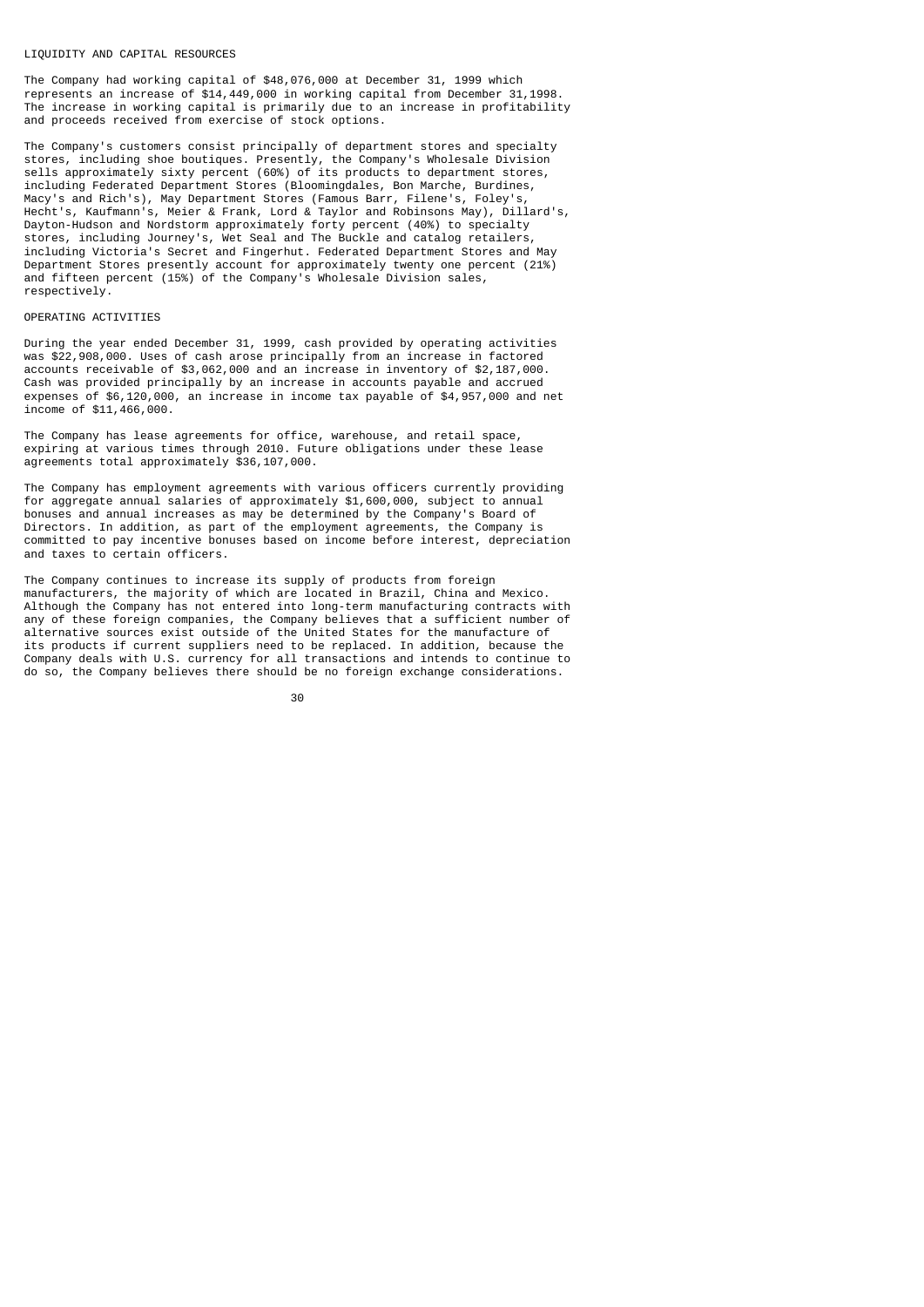#### LIQUIDITY AND CAPITAL RESOURCES

The Company had working capital of \$48,076,000 at December 31, 1999 which represents an increase of \$14,449,000 in working capital from December 31,1998. The increase in working capital is primarily due to an increase in profitability and proceeds received from exercise of stock options.

The Company's customers consist principally of department stores and specialty stores, including shoe boutiques. Presently, the Company's Wholesale Division sells approximately sixty percent (60%) of its products to department stores, including Federated Department Stores (Bloomingdales, Bon Marche, Burdines, Macy's and Rich's), May Department Stores (Famous Barr, Filene's, Foley's, Hecht's, Kaufmann's, Meier & Frank, Lord & Taylor and Robinsons May), Dillard's, Dayton-Hudson and Nordstorm approximately forty percent (40%) to specialty stores, including Journey's, Wet Seal and The Buckle and catalog retailers, including Victoria's Secret and Fingerhut. Federated Department Stores and May Department Stores presently account for approximately twenty one percent (21%) and fifteen percent (15%) of the Company's Wholesale Division sales, respectively.

### OPERATING ACTIVITIES

During the year ended December 31, 1999, cash provided by operating activities was \$22,908,000. Uses of cash arose principally from an increase in factored accounts receivable of \$3,062,000 and an increase in inventory of \$2,187,000. Cash was provided principally by an increase in accounts payable and accrued expenses of \$6,120,000, an increase in income tax payable of \$4,957,000 and net income of \$11,466,000.

The Company has lease agreements for office, warehouse, and retail space, expiring at various times through 2010. Future obligations under these lease agreements total approximately \$36,107,000.

The Company has employment agreements with various officers currently providing for aggregate annual salaries of approximately \$1,600,000, subject to annual bonuses and annual increases as may be determined by the Company's Board of Directors. In addition, as part of the employment agreements, the Company is committed to pay incentive bonuses based on income before interest, depreciation and taxes to certain officers.

The Company continues to increase its supply of products from foreign manufacturers, the majority of which are located in Brazil, China and Mexico. Although the Company has not entered into long-term manufacturing contracts with any of these foreign companies, the Company believes that a sufficient number of alternative sources exist outside of the United States for the manufacture of its products if current suppliers need to be replaced. In addition, because the Company deals with U.S. currency for all transactions and intends to continue to do so, the Company believes there should be no foreign exchange considerations.

30 and 20 and 20 and 20 and 20 and 20 and 20 and 20 and 20 and 20 and 20 and 20 and 20 and 20 and 20 and 20 an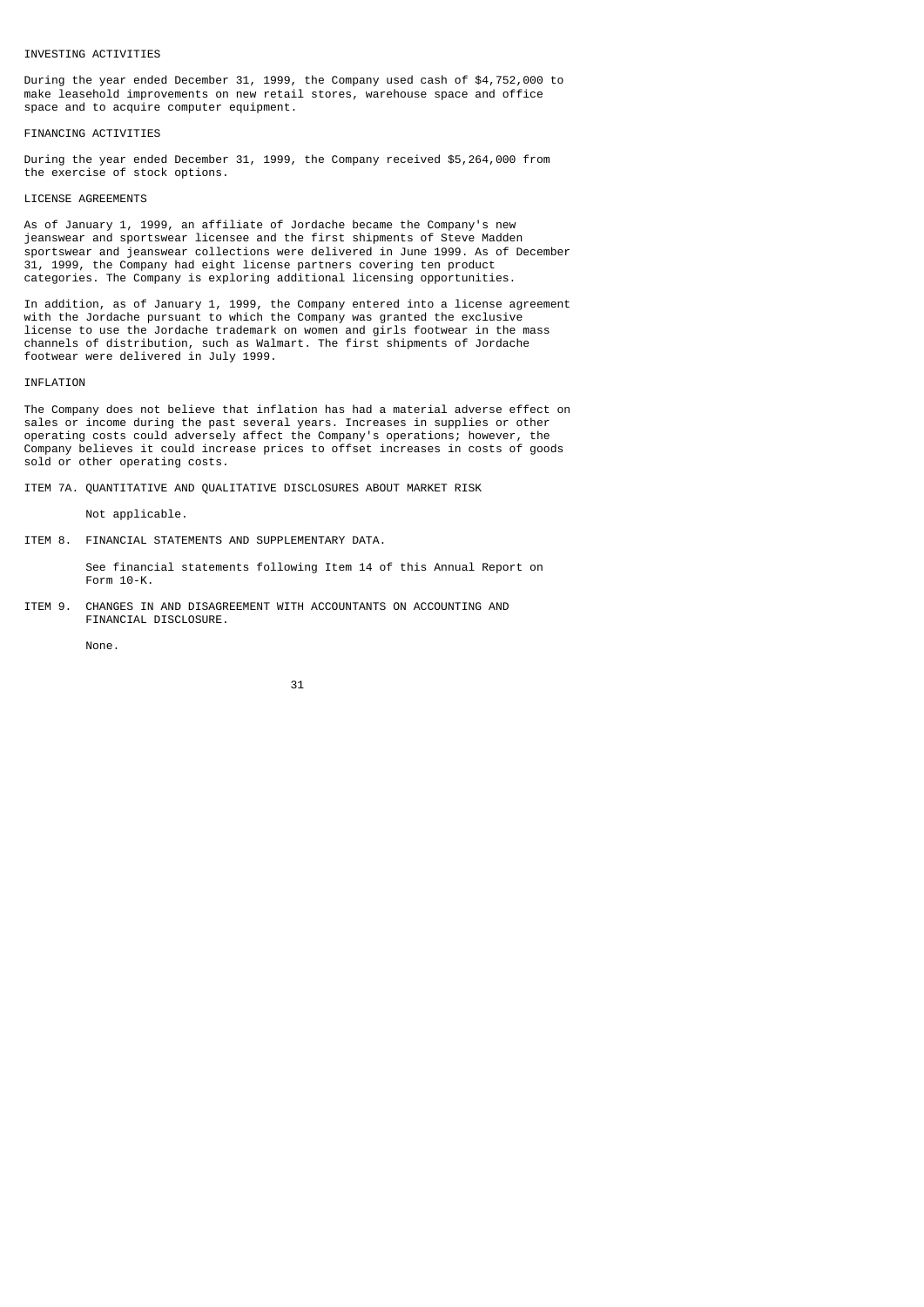### INVESTING ACTIVITIES

During the year ended December 31, 1999, the Company used cash of \$4,752,000 to make leasehold improvements on new retail stores, warehouse space and office space and to acquire computer equipment.

#### FINANCING ACTIVITIES

During the year ended December 31, 1999, the Company received \$5,264,000 from the exercise of stock options.

### LICENSE AGREEMENTS

As of January 1, 1999, an affiliate of Jordache became the Company's new jeanswear and sportswear licensee and the first shipments of Steve Madden sportswear and jeanswear collections were delivered in June 1999. As of December 31, 1999, the Company had eight license partners covering ten product categories. The Company is exploring additional licensing opportunities.

In addition, as of January 1, 1999, the Company entered into a license agreement with the Jordache pursuant to which the Company was granted the exclusive license to use the Jordache trademark on women and girls footwear in the mass channels of distribution, such as Walmart. The first shipments of Jordache footwear were delivered in July 1999.

### INFLATION

The Company does not believe that inflation has had a material adverse effect on sales or income during the past several years. Increases in supplies or other operating costs could adversely affect the Company's operations; however, the Company believes it could increase prices to offset increases in costs of goods sold or other operating costs.

ITEM 7A. QUANTITATIVE AND QUALITATIVE DISCLOSURES ABOUT MARKET RISK

Not applicable.

ITEM 8. FINANCIAL STATEMENTS AND SUPPLEMENTARY DATA.

 See financial statements following Item 14 of this Annual Report on Form 10-K.

ITEM 9. CHANGES IN AND DISAGREEMENT WITH ACCOUNTANTS ON ACCOUNTING AND FINANCIAL DISCLOSURE.

None.

$$
\sim 31
$$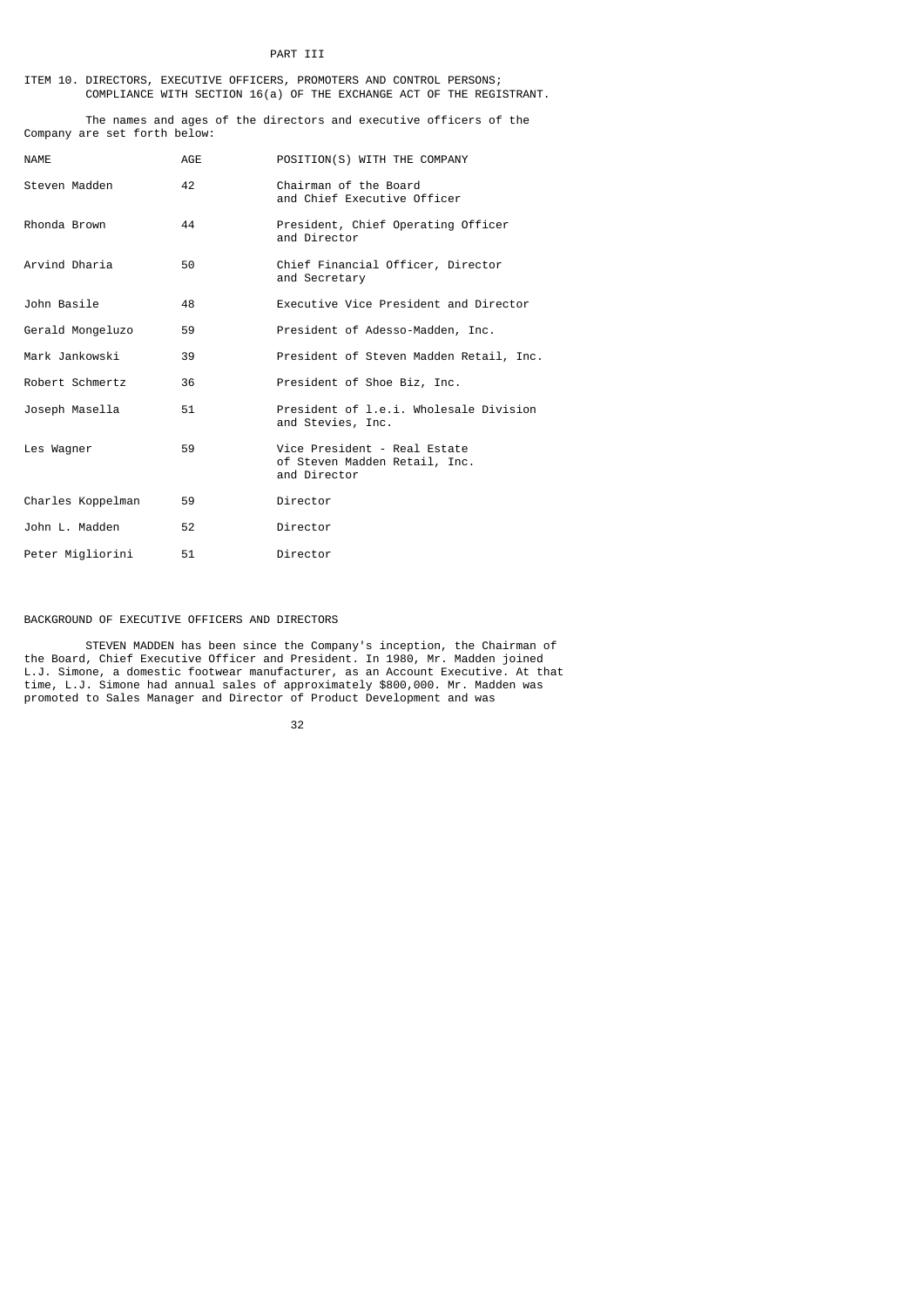### ITEM 10. DIRECTORS, EXECUTIVE OFFICERS, PROMOTERS AND CONTROL PERSONS; COMPLIANCE WITH SECTION 16(a) OF THE EXCHANGE ACT OF THE REGISTRANT.

 The names and ages of the directors and executive officers of the Company are set forth below:

| <b>NAME</b>       | AGE | POSITION(S) WITH THE COMPANY                                                  |
|-------------------|-----|-------------------------------------------------------------------------------|
| Steven Madden     | 42  | Chairman of the Board<br>and Chief Executive Officer                          |
| Rhonda Brown      | 44  | President, Chief Operating Officer<br>and Director                            |
| Arvind Dharia     | 50  | Chief Financial Officer, Director<br>and Secretary                            |
| John Basile       | 48  | Executive Vice President and Director                                         |
| Gerald Mongeluzo  | 59  | President of Adesso-Madden, Inc.                                              |
| Mark Jankowski    | 39  | President of Steven Madden Retail, Inc.                                       |
| Robert Schmertz   | 36  | President of Shoe Biz, Inc.                                                   |
| Joseph Masella    | 51  | President of 1.e.i. Wholesale Division<br>and Stevies, Inc.                   |
| Les Wagner        | 59  | Vice President - Real Estate<br>of Steven Madden Retail, Inc.<br>and Director |
| Charles Koppelman | 59  | Director                                                                      |
| John L. Madden    | 52  | Director                                                                      |
| Peter Migliorini  | 51  | Director                                                                      |

# BACKGROUND OF EXECUTIVE OFFICERS AND DIRECTORS

 STEVEN MADDEN has been since the Company's inception, the Chairman of the Board, Chief Executive Officer and President. In 1980, Mr. Madden joined L.J. Simone, a domestic footwear manufacturer, as an Account Executive. At that time, L.J. Simone had annual sales of approximately \$800,000. Mr. Madden was promoted to Sales Manager and Director of Product Development and was

<u>32 and 2012 and 2013</u>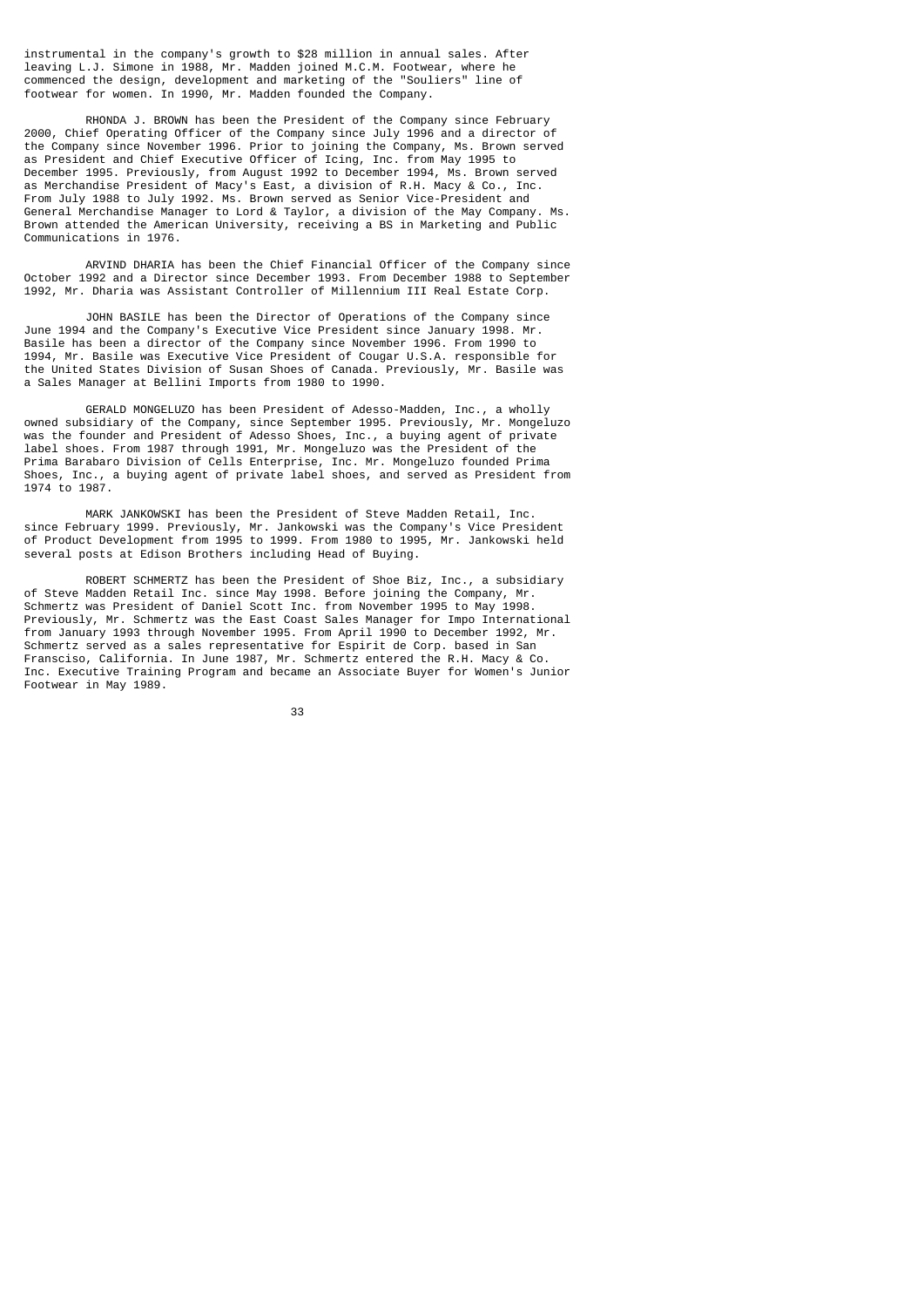instrumental in the company's growth to \$28 million in annual sales. After leaving L.J. Simone in 1988, Mr. Madden joined M.C.M. Footwear, where he commenced the design, development and marketing of the "Souliers" line of footwear for women. In 1990, Mr. Madden founded the Company.

 RHONDA J. BROWN has been the President of the Company since February 2000, Chief Operating Officer of the Company since July 1996 and a director of the Company since November 1996. Prior to joining the Company, Ms. Brown served as President and Chief Executive Officer of Icing, Inc. from May 1995 to December 1995. Previously, from August 1992 to December 1994, Ms. Brown served as Merchandise President of Macy's East, a division of R.H. Macy & Co., Inc. From July 1988 to July 1992. Ms. Brown served as Senior Vice-President and General Merchandise Manager to Lord & Taylor, a division of the May Company. Ms. Brown attended the American University, receiving a BS in Marketing and Public Communications in 1976.

 ARVIND DHARIA has been the Chief Financial Officer of the Company since October 1992 and a Director since December 1993. From December 1988 to September 1992, Mr. Dharia was Assistant Controller of Millennium III Real Estate Corp.

 JOHN BASILE has been the Director of Operations of the Company since June 1994 and the Company's Executive Vice President since January 1998. Mr. Basile has been a director of the Company since November 1996. From 1990 to 1994, Mr. Basile was Executive Vice President of Cougar U.S.A. responsible for the United States Division of Susan Shoes of Canada. Previously, Mr. Basile was a Sales Manager at Bellini Imports from 1980 to 1990.

 GERALD MONGELUZO has been President of Adesso-Madden, Inc., a wholly owned subsidiary of the Company, since September 1995. Previously, Mr. Mongeluzo was the founder and President of Adesso Shoes, Inc., a buying agent of private label shoes. From 1987 through 1991, Mr. Mongeluzo was the President of the Prima Barabaro Division of Cells Enterprise, Inc. Mr. Mongeluzo founded Prima Shoes, Inc., a buying agent of private label shoes, and served as President from 1974 to 1987.

 MARK JANKOWSKI has been the President of Steve Madden Retail, Inc. since February 1999. Previously, Mr. Jankowski was the Company's Vice President of Product Development from 1995 to 1999. From 1980 to 1995, Mr. Jankowski held several posts at Edison Brothers including Head of Buying.

 ROBERT SCHMERTZ has been the President of Shoe Biz, Inc., a subsidiary of Steve Madden Retail Inc. since May 1998. Before joining the Company, Mr. Schmertz was President of Daniel Scott Inc. from November 1995 to May 1998. Previously, Mr. Schmertz was the East Coast Sales Manager for Impo International from January 1993 through November 1995. From April 1990 to December 1992, Mr. Schmertz served as a sales representative for Espirit de Corp. based in San Fransciso, California. In June 1987, Mr. Schmertz entered the R.H. Macy & Co. Inc. Executive Training Program and became an Associate Buyer for Women's Junior Footwear in May 1989.

33 and 2012 and 2013 and 2014 and 2014 and 2014 and 2014 and 2014 and 2014 and 2014 and 2014 and 2014 and 2014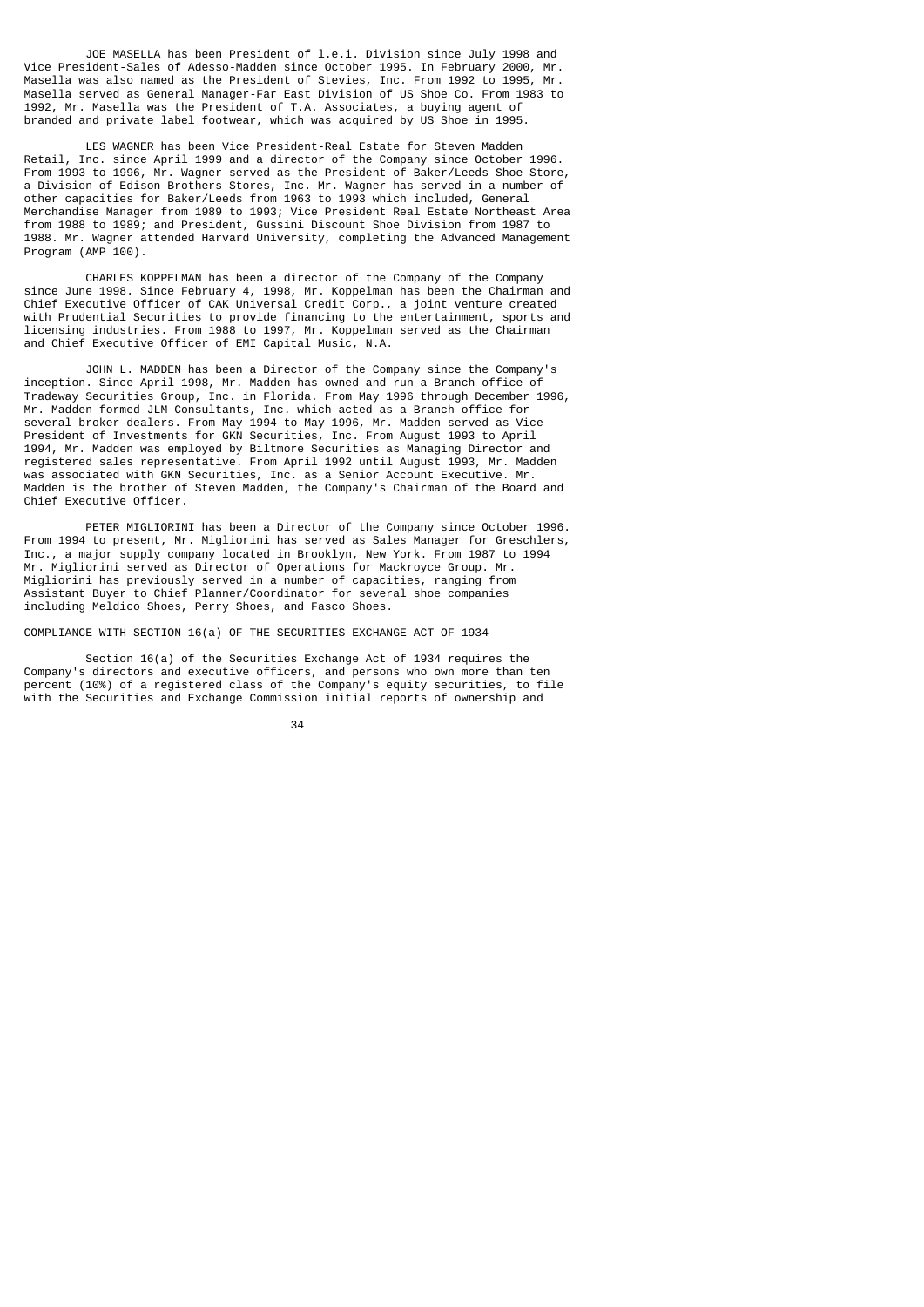JOE MASELLA has been President of l.e.i. Division since July 1998 and Vice President-Sales of Adesso-Madden since October 1995. In February 2000, Mr. Masella was also named as the President of Stevies, Inc. From 1992 to 1995, Mr. Masella served as General Manager-Far East Division of US Shoe Co. From 1983 to 1992, Mr. Masella was the President of T.A. Associates, a buying agent of branded and private label footwear, which was acquired by US Shoe in 1995.

 LES WAGNER has been Vice President-Real Estate for Steven Madden Retail, Inc. since April 1999 and a director of the Company since October 1996. From 1993 to 1996, Mr. Wagner served as the President of Baker/Leeds Shoe Store, a Division of Edison Brothers Stores, Inc. Mr. Wagner has served in a number of other capacities for Baker/Leeds from 1963 to 1993 which included, General Merchandise Manager from 1989 to 1993; Vice President Real Estate Northeast Area from 1988 to 1989; and President, Gussini Discount Shoe Division from 1987 to 1988. Mr. Wagner attended Harvard University, completing the Advanced Management Program (AMP 100).

 CHARLES KOPPELMAN has been a director of the Company of the Company since June 1998. Since February 4, 1998, Mr. Koppelman has been the Chairman and Chief Executive Officer of CAK Universal Credit Corp., a joint venture created with Prudential Securities to provide financing to the entertainment, sports and licensing industries. From 1988 to 1997, Mr. Koppelman served as the Chairman and Chief Executive Officer of EMI Capital Music, N.A.

 JOHN L. MADDEN has been a Director of the Company since the Company's inception. Since April 1998, Mr. Madden has owned and run a Branch office of Tradeway Securities Group, Inc. in Florida. From May 1996 through December 1996, Mr. Madden formed JLM Consultants, Inc. which acted as a Branch office for several broker-dealers. From May 1994 to May 1996, Mr. Madden served as Vice President of Investments for GKN Securities, Inc. From August 1993 to April 1994, Mr. Madden was employed by Biltmore Securities as Managing Director and registered sales representative. From April 1992 until August 1993, Mr. Madden was associated with GKN Securities, Inc. as a Senior Account Executive. Mr. Madden is the brother of Steven Madden, the Company's Chairman of the Board and Chief Executive Officer.

 PETER MIGLIORINI has been a Director of the Company since October 1996. From 1994 to present, Mr. Migliorini has served as Sales Manager for Greschlers, Inc., a major supply company located in Brooklyn, New York. From 1987 to 1994 Mr. Migliorini served as Director of Operations for Mackroyce Group. Mr. Migliorini has previously served in a number of capacities, ranging from Assistant Buyer to Chief Planner/Coordinator for several shoe companies including Meldico Shoes, Perry Shoes, and Fasco Shoes.

COMPLIANCE WITH SECTION 16(a) OF THE SECURITIES EXCHANGE ACT OF 1934

 Section 16(a) of the Securities Exchange Act of 1934 requires the Company's directors and executive officers, and persons who own more than ten percent (10%) of a registered class of the Company's equity securities, to file with the Securities and Exchange Commission initial reports of ownership and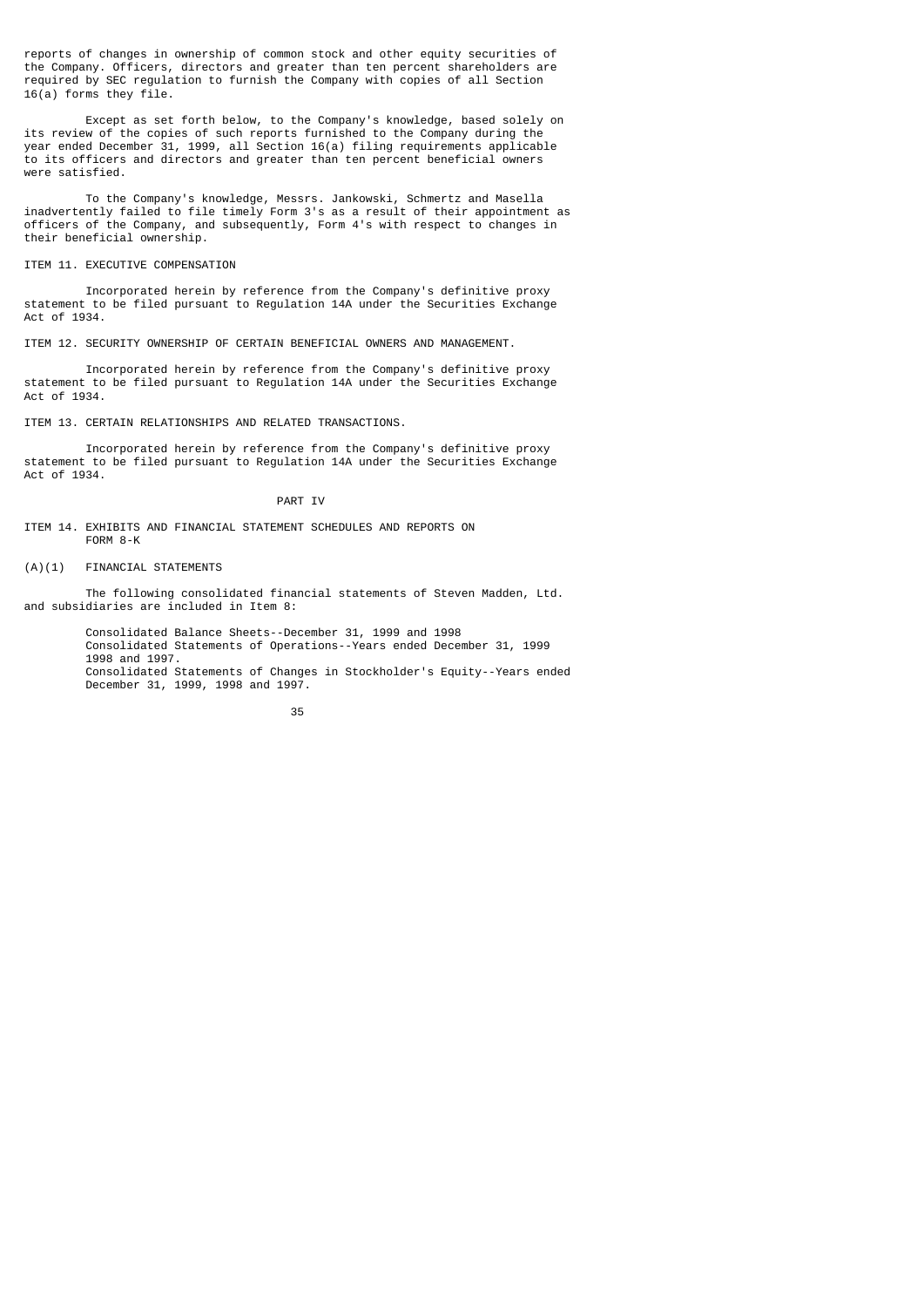reports of changes in ownership of common stock and other equity securities of the Company. Officers, directors and greater than ten percent shareholders are required by SEC regulation to furnish the Company with copies of all Section 16(a) forms they file.

 Except as set forth below, to the Company's knowledge, based solely on its review of the copies of such reports furnished to the Company during the year ended December 31, 1999, all Section 16(a) filing requirements applicable to its officers and directors and greater than ten percent beneficial owners were satisfied.

 To the Company's knowledge, Messrs. Jankowski, Schmertz and Masella inadvertently failed to file timely Form 3's as a result of their appointment as officers of the Company, and subsequently, Form 4's with respect to changes in their beneficial ownership.

### ITEM 11. EXECUTIVE COMPENSATION

 Incorporated herein by reference from the Company's definitive proxy statement to be filed pursuant to Regulation 14A under the Securities Exchange Act of 1934.

ITEM 12. SECURITY OWNERSHIP OF CERTAIN BENEFICIAL OWNERS AND MANAGEMENT.

 Incorporated herein by reference from the Company's definitive proxy statement to be filed pursuant to Regulation 14A under the Securities Exchange Act of 1934.

ITEM 13. CERTAIN RELATIONSHIPS AND RELATED TRANSACTIONS.

 Incorporated herein by reference from the Company's definitive proxy statement to be filed pursuant to Regulation 14A under the Securities Exchange Act of 1934.

## PART IV

ITEM 14. EXHIBITS AND FINANCIAL STATEMENT SCHEDULES AND REPORTS ON FORM 8-K

(A)(1) FINANCIAL STATEMENTS

 The following consolidated financial statements of Steven Madden, Ltd. and subsidiaries are included in Item 8:

> Consolidated Balance Sheets--December 31, 1999 and 1998 Consolidated Statements of Operations--Years ended December 31, 1999 1998 and 1997. Consolidated Statements of Changes in Stockholder's Equity--Years ended December 31, 1999, 1998 and 1997.

<sup>&</sup>lt;u>35 and 200 and 200 and 200 and 200 and 200 and 200 and 200 and 200 and 200 and 200 and 200 and 200 and 200 and 200 and 200 and 200 and 200 and 200 and 200 and 200 and 200 and 200 and 200 and 200 and 200 and 200 and 200 an</u>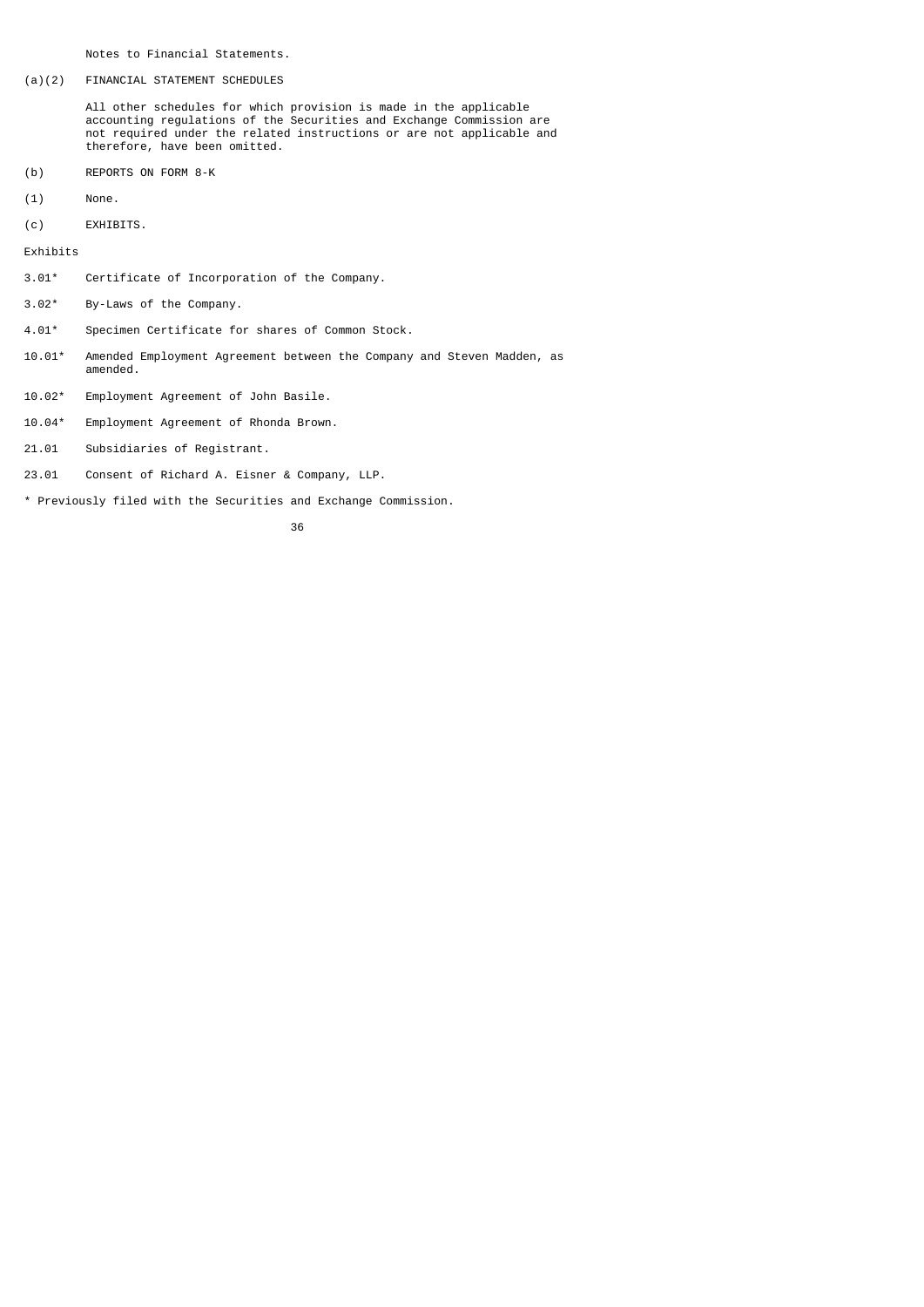Notes to Financial Statements.

# (a)(2) FINANCIAL STATEMENT SCHEDULES

 All other schedules for which provision is made in the applicable accounting regulations of the Securities and Exchange Commission are not required under the related instructions or are not applicable and therefore, have been omitted.

- (b) REPORTS ON FORM 8-K
- (1) None.
- (c) EXHIBITS.

Exhibits

- 3.01\* Certificate of Incorporation of the Company.
- 3.02\* By-Laws of the Company.
- 4.01\* Specimen Certificate for shares of Common Stock.
- 10.01\* Amended Employment Agreement between the Company and Steven Madden, as amended.
- 10.02\* Employment Agreement of John Basile.
- 10.04\* Employment Agreement of Rhonda Brown.
- 21.01 Subsidiaries of Registrant.
- 23.01 Consent of Richard A. Eisner & Company, LLP.
- \* Previously filed with the Securities and Exchange Commission.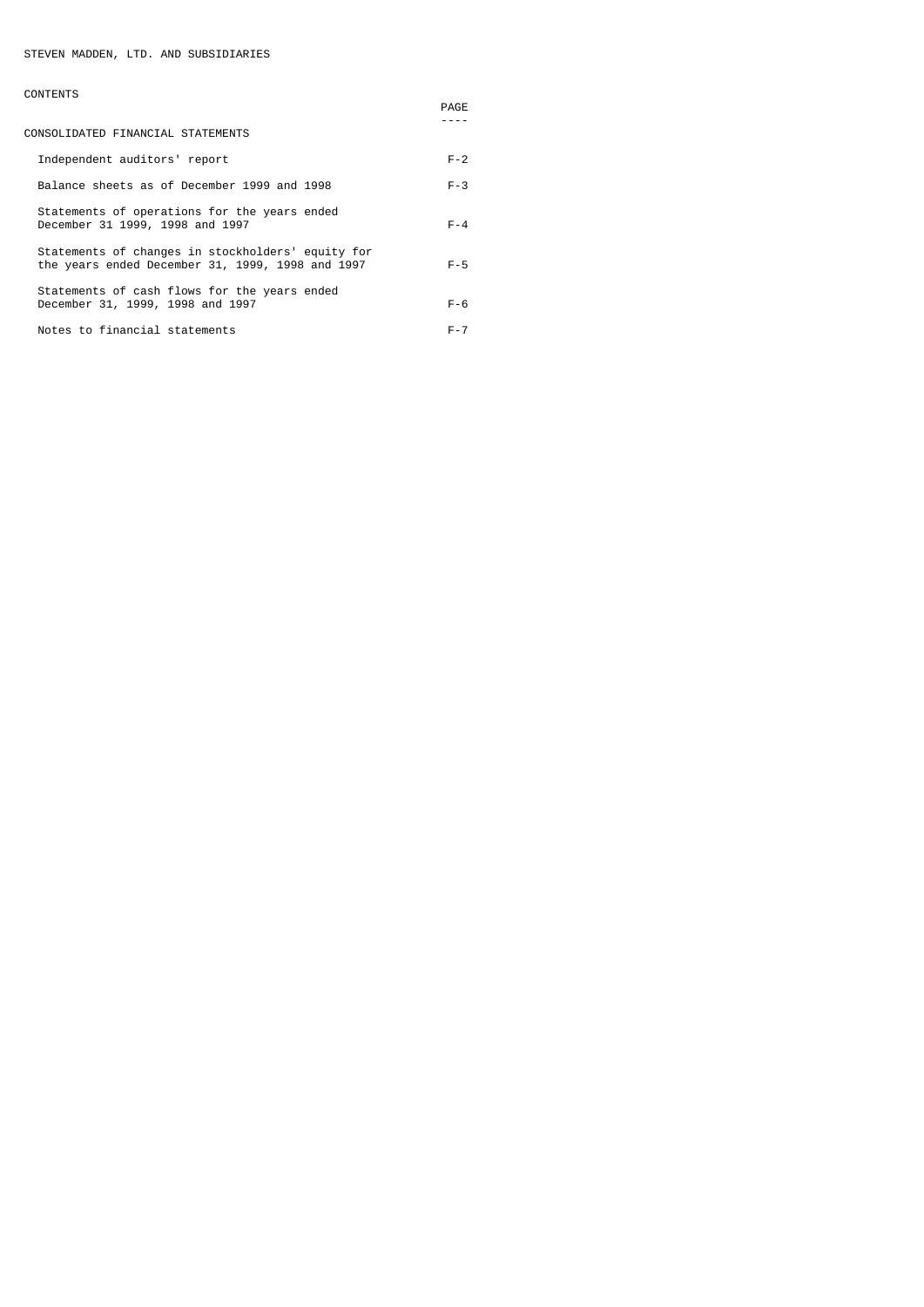# CONTENTS

|                                                                                                       | PAGE    |
|-------------------------------------------------------------------------------------------------------|---------|
| CONSOLIDATED FINANCIAL STATEMENTS                                                                     |         |
| Independent auditors' report                                                                          | $F - 2$ |
| Balance sheets as of December 1999 and 1998                                                           | $F - 3$ |
| Statements of operations for the years ended<br>December 31 1999, 1998 and 1997                       | $F - 4$ |
| Statements of changes in stockholders' equity for<br>the years ended December 31, 1999, 1998 and 1997 | $F - 5$ |
| Statements of cash flows for the years ended<br>December 31, 1999, 1998 and 1997                      | $F - 6$ |
| Notes to financial statements                                                                         | $F - 7$ |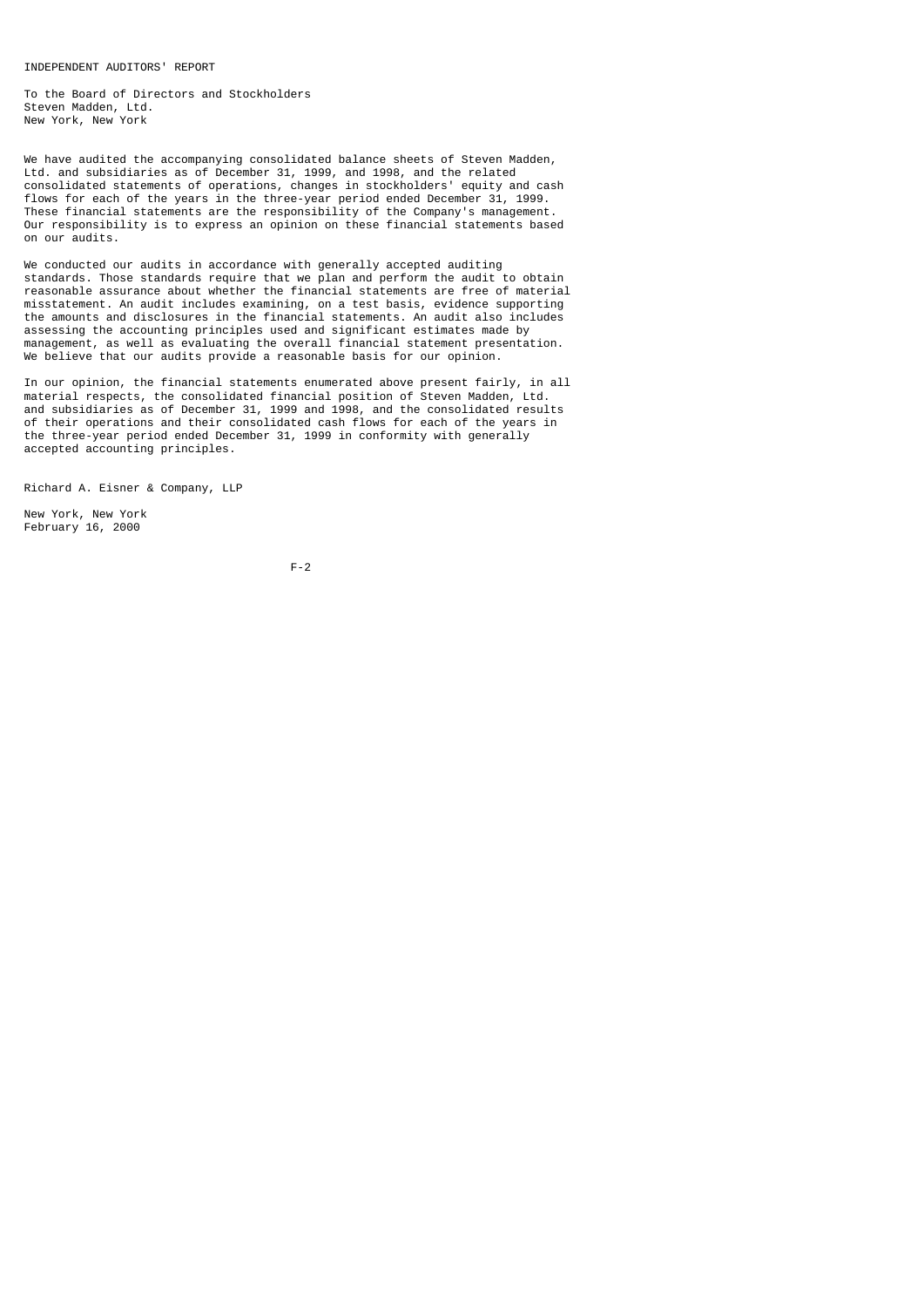INDEPENDENT AUDITORS' REPORT

To the Board of Directors and Stockholders Steven Madden, Ltd. New York, New York

We have audited the accompanying consolidated balance sheets of Steven Madden, Ltd. and subsidiaries as of December 31, 1999, and 1998, and the related consolidated statements of operations, changes in stockholders' equity and cash flows for each of the years in the three-year period ended December 31, 1999. These financial statements are the responsibility of the Company's management. Our responsibility is to express an opinion on these financial statements based on our audits.

We conducted our audits in accordance with generally accepted auditing standards. Those standards require that we plan and perform the audit to obtain reasonable assurance about whether the financial statements are free of material misstatement. An audit includes examining, on a test basis, evidence supporting the amounts and disclosures in the financial statements. An audit also includes assessing the accounting principles used and significant estimates made by management, as well as evaluating the overall financial statement presentation. We believe that our audits provide a reasonable basis for our opinion.

In our opinion, the financial statements enumerated above present fairly, in all material respects, the consolidated financial position of Steven Madden, Ltd. and subsidiaries as of December 31, 1999 and 1998, and the consolidated results of their operations and their consolidated cash flows for each of the years in the three-year period ended December 31, 1999 in conformity with generally accepted accounting principles.

Richard A. Eisner & Company, LLP

New York, New York February 16, 2000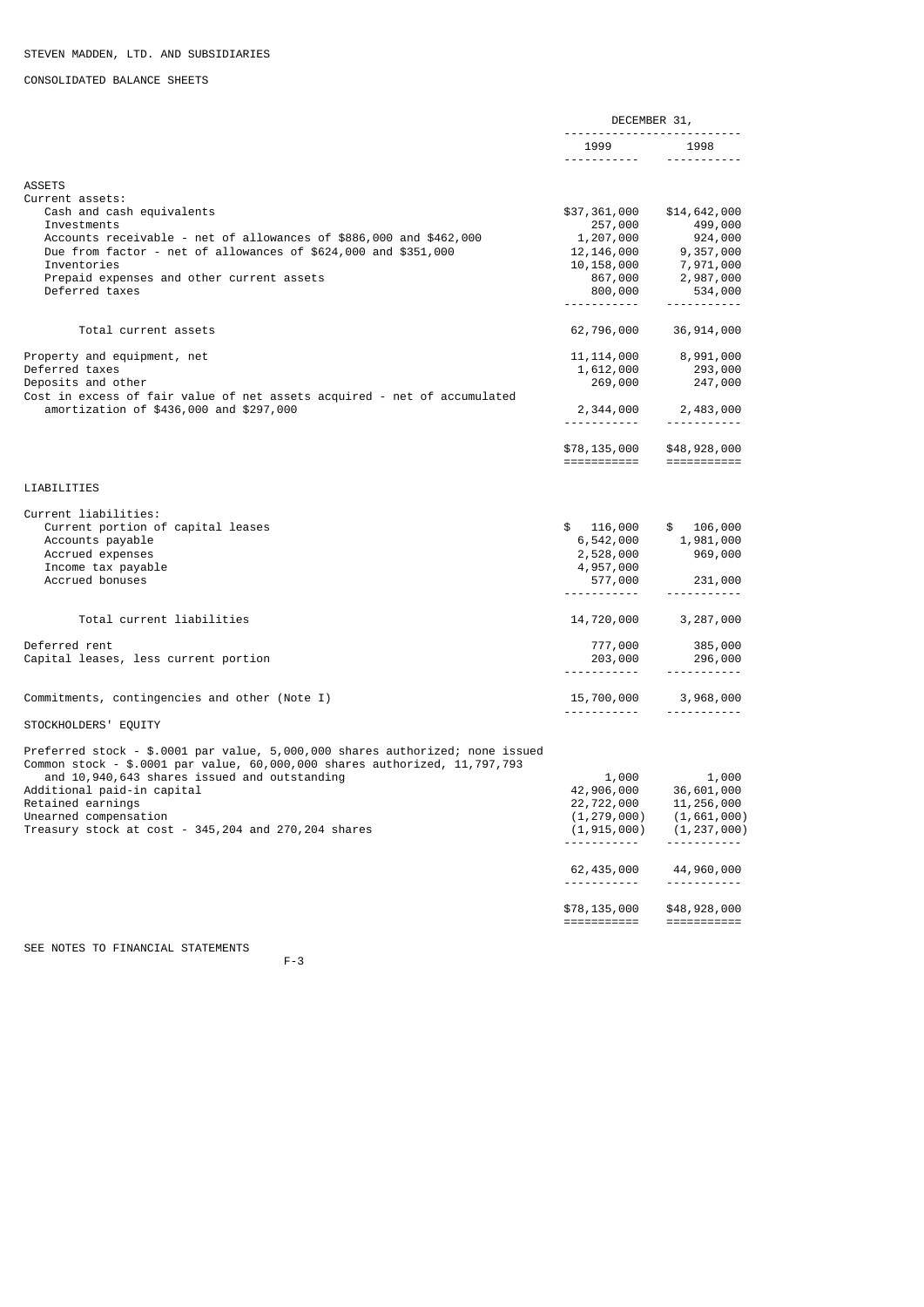# CONSOLIDATED BALANCE SHEETS

|                                                                               | DECEMBER 31,         |                                                  |
|-------------------------------------------------------------------------------|----------------------|--------------------------------------------------|
|                                                                               | 1999 1998            |                                                  |
| <b>ASSETS</b>                                                                 |                      |                                                  |
| Current assets:                                                               |                      |                                                  |
| Cash and cash equivalents<br>Investments                                      | \$37,361,000         | \$14,642,000                                     |
| Accounts receivable - net of allowances of \$886,000 and \$462,000            | 257,000<br>1,207,000 | 499,000<br>924,000                               |
| Due from factor - net of allowances of \$624,000 and \$351,000                | 12,146,000           | 9,357,000                                        |
| Inventories                                                                   | 10,158,000           | 7,971,000                                        |
| Prepaid expenses and other current assets                                     | 867,000              | 2,987,000                                        |
| Deferred taxes                                                                | 800,000              | 534,000                                          |
|                                                                               | <u>.</u>             | <u> - - - - - - - - - - -</u>                    |
| Total current assets                                                          | 62,796,000           | 36, 914, 000                                     |
| Property and equipment, net                                                   | 11, 114, 000         | 8,991,000                                        |
| Deferred taxes                                                                | 1,612,000            | 293,000                                          |
| Deposits and other                                                            | 269,000              | 247,000                                          |
| Cost in excess of fair value of net assets acquired - net of accumulated      |                      |                                                  |
| amortization of \$436,000 and \$297,000                                       |                      | 2,344,000 2,483,000<br><u> - - - - - - - - -</u> |
|                                                                               | \$78,135,000         | \$48,928,000                                     |
|                                                                               | ===========          | $=$ ===========                                  |
| LIABILITIES                                                                   |                      |                                                  |
| Current liabilities:                                                          |                      |                                                  |
| Current portion of capital leases                                             | \$<br>116,000        | \$<br>106,000                                    |
| Accounts payable                                                              | 6,542,000            | 1,981,000                                        |
| Accrued expenses                                                              | 2,528,000            | 969,000                                          |
| Income tax payable                                                            | 4,957,000            |                                                  |
| Accrued bonuses                                                               | 577,000              | 231,000                                          |
|                                                                               | ------------         | ----------                                       |
| Total current liabilities                                                     | 14,720,000           | 3,287,000                                        |
| Deferred rent                                                                 | 777,000              | 385,000                                          |
| Capital leases, less current portion                                          | 203,000              | 296,000                                          |
|                                                                               | ------------         | -----------                                      |
| Commitments, contingencies and other (Note I)                                 | 15,700,000           | 3,968,000                                        |
| STOCKHOLDERS' EQUITY                                                          |                      |                                                  |
|                                                                               |                      |                                                  |
| Preferred stock - \$.0001 par value, 5,000,000 shares authorized; none issued |                      |                                                  |
| Common stock - \$.0001 par value, 60,000,000 shares authorized, 11,797,793    |                      |                                                  |
| and 10,940,643 shares issued and outstanding                                  | 1,000                | 1,000                                            |
| Additional paid-in capital                                                    | 42,906,000           | 36,601,000                                       |
| Retained earnings                                                             | 22,722,000           | 11, 256, 000                                     |
| Unearned compensation                                                         | (1, 279, 000)        | (1,661,000)                                      |
| Treasury stock at cost - 345, 204 and 270, 204 shares                         | (1, 915, 000)        | (1, 237, 000)                                    |
|                                                                               | 62,435,000           | 44,960,000                                       |
|                                                                               |                      |                                                  |
|                                                                               | \$78,135,000         | \$48,928,000                                     |
|                                                                               | ===========          | $=$ ===========                                  |
| SEE NOTES TO FINANCIAL STATEMENTS                                             |                      |                                                  |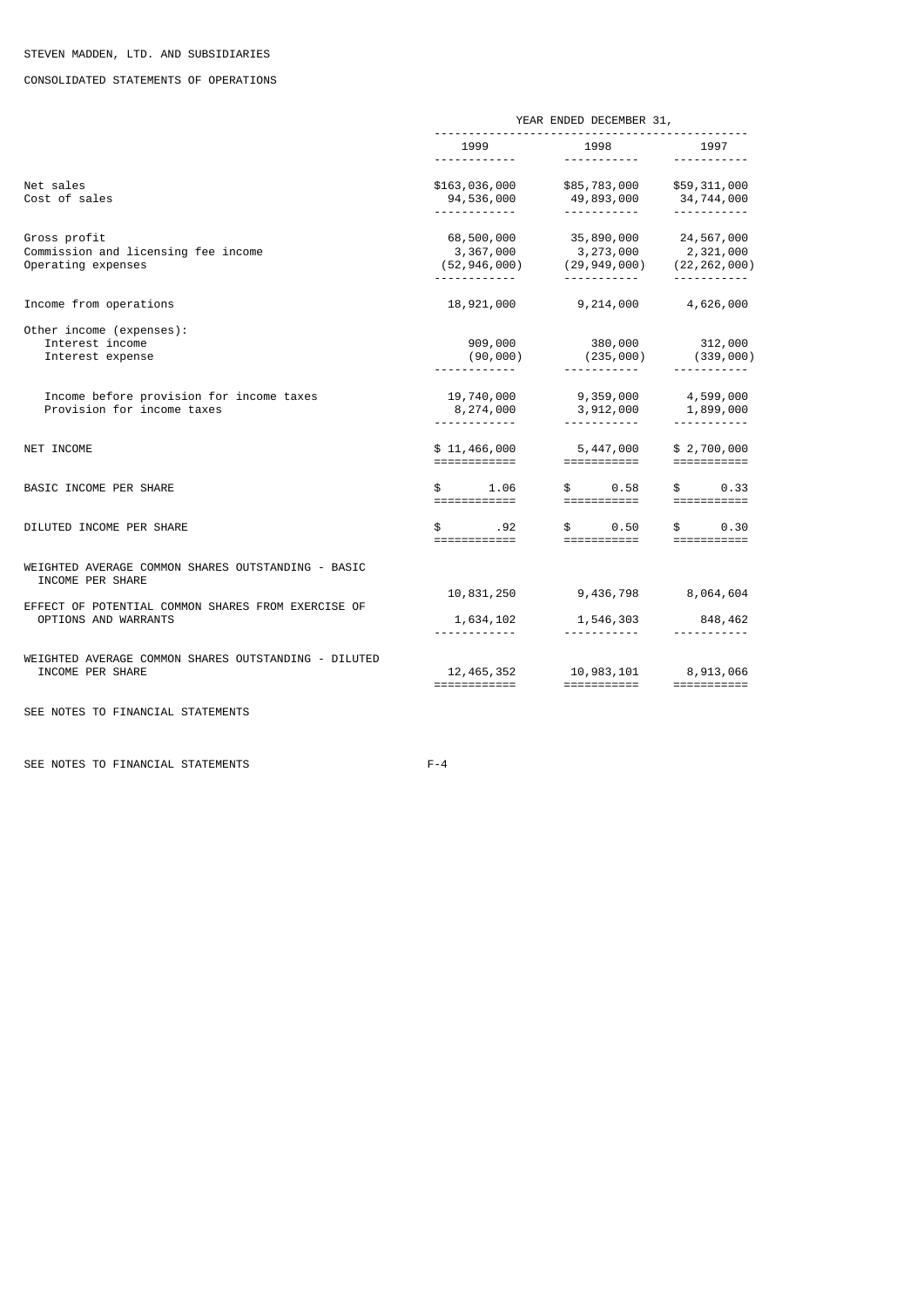# CONSOLIDATED STATEMENTS OF OPERATIONS

|                                                                            | YEAR ENDED DECEMBER 31,                              |                                                                                                      |                                                                                                                                                                                                                                                                                                                                                                                                                                                    |  |  |
|----------------------------------------------------------------------------|------------------------------------------------------|------------------------------------------------------------------------------------------------------|----------------------------------------------------------------------------------------------------------------------------------------------------------------------------------------------------------------------------------------------------------------------------------------------------------------------------------------------------------------------------------------------------------------------------------------------------|--|--|
|                                                                            | 1999<br><u>.</u>                                     | 1998<br><u> - - - - - - - - - - -</u>                                                                | 1997<br><u> - - - - - - - - - - -</u>                                                                                                                                                                                                                                                                                                                                                                                                              |  |  |
| Net sales<br>Cost of sales                                                 | -------------                                        | \$163,036,000 \$85,783,000 \$59,311,000<br>94,536,000 49,893,000<br>------------                     | 34,744,000<br><u> - - - - - - - - - - -</u>                                                                                                                                                                                                                                                                                                                                                                                                        |  |  |
| Gross profit<br>Commission and licensing fee income<br>Operating expenses  | ------------                                         | 68,500,000 35,890,000 24,567,000<br>3,367,000 3,273,000<br>(52,946,000) (29,949,000)<br>------------ | 2,321,000<br>(22, 262, 000)<br><u> - - - - - - - - - - -</u>                                                                                                                                                                                                                                                                                                                                                                                       |  |  |
| Income from operations                                                     | 18,921,000                                           | 9,214,000                                                                                            | 4,626,000                                                                                                                                                                                                                                                                                                                                                                                                                                          |  |  |
| Other income (expenses):<br>Interest income<br>Interest expense            | 909,000<br>(90,000)                                  | 380,000<br>$(235,000)$ $(339,000)$                                                                   | 312,000                                                                                                                                                                                                                                                                                                                                                                                                                                            |  |  |
| Income before provision for income taxes<br>Provision for income taxes     | 8,274,000                                            | 19,740,000 9,359,000 4,599,000<br>3,912,000                                                          | 1,899,000                                                                                                                                                                                                                                                                                                                                                                                                                                          |  |  |
| NET INCOME                                                                 | ============                                         | ===========                                                                                          | \$2,700,000<br>$\begin{array}{cccccccccc} \texttt{m} & \texttt{m} & \texttt{m} & \texttt{m} & \texttt{m} & \texttt{m} & \texttt{m} & \texttt{m} & \texttt{m} & \texttt{m} & \texttt{m} & \texttt{m} & \texttt{m} & \texttt{m} & \texttt{m} & \texttt{m} & \texttt{m} & \texttt{m} & \texttt{m} & \texttt{m} & \texttt{m} & \texttt{m} & \texttt{m} & \texttt{m} & \texttt{m} & \texttt{m} & \texttt{m} & \texttt{m} & \texttt{m} & \texttt{m} & \$ |  |  |
| BASIC INCOME PER SHARE                                                     | \$<br>1.06                                           | $\mathfrak s$ and $\mathfrak s$<br>0.58<br>\$                 0.58<br>============                   | $\mathbb S$ and $\mathbb S$<br>0.33                                                                                                                                                                                                                                                                                                                                                                                                                |  |  |
| DILUTED INCOME PER SHARE                                                   | $\mathbf{s}$ and $\mathbf{s}$<br>.92<br>============ | \$   0.50<br>===========                                                                             | 0.30<br>$\mathbb S$ and $\mathbb S$<br>===========                                                                                                                                                                                                                                                                                                                                                                                                 |  |  |
| WEIGHTED AVERAGE COMMON SHARES OUTSTANDING - BASIC<br>INCOME PER SHARE     |                                                      |                                                                                                      |                                                                                                                                                                                                                                                                                                                                                                                                                                                    |  |  |
| EFFECT OF POTENTIAL COMMON SHARES FROM EXERCISE OF<br>OPTIONS AND WARRANTS | 10,831,250<br>1,634,102<br>.                         | 1,546,303<br><u> - - - - - - - - - -</u>                                                             | 9,436,798 8,064,604<br>848,462                                                                                                                                                                                                                                                                                                                                                                                                                     |  |  |
| WEIGHTED AVERAGE COMMON SHARES OUTSTANDING - DILUTED<br>INCOME PER SHARE   | ============                                         | 12, 465, 352 10, 983, 101 8, 913, 066<br>============                                                | ===========                                                                                                                                                                                                                                                                                                                                                                                                                                        |  |  |

SEE NOTES TO FINANCIAL STATEMENTS

SEE NOTES TO FINANCIAL STATEMENTS F-4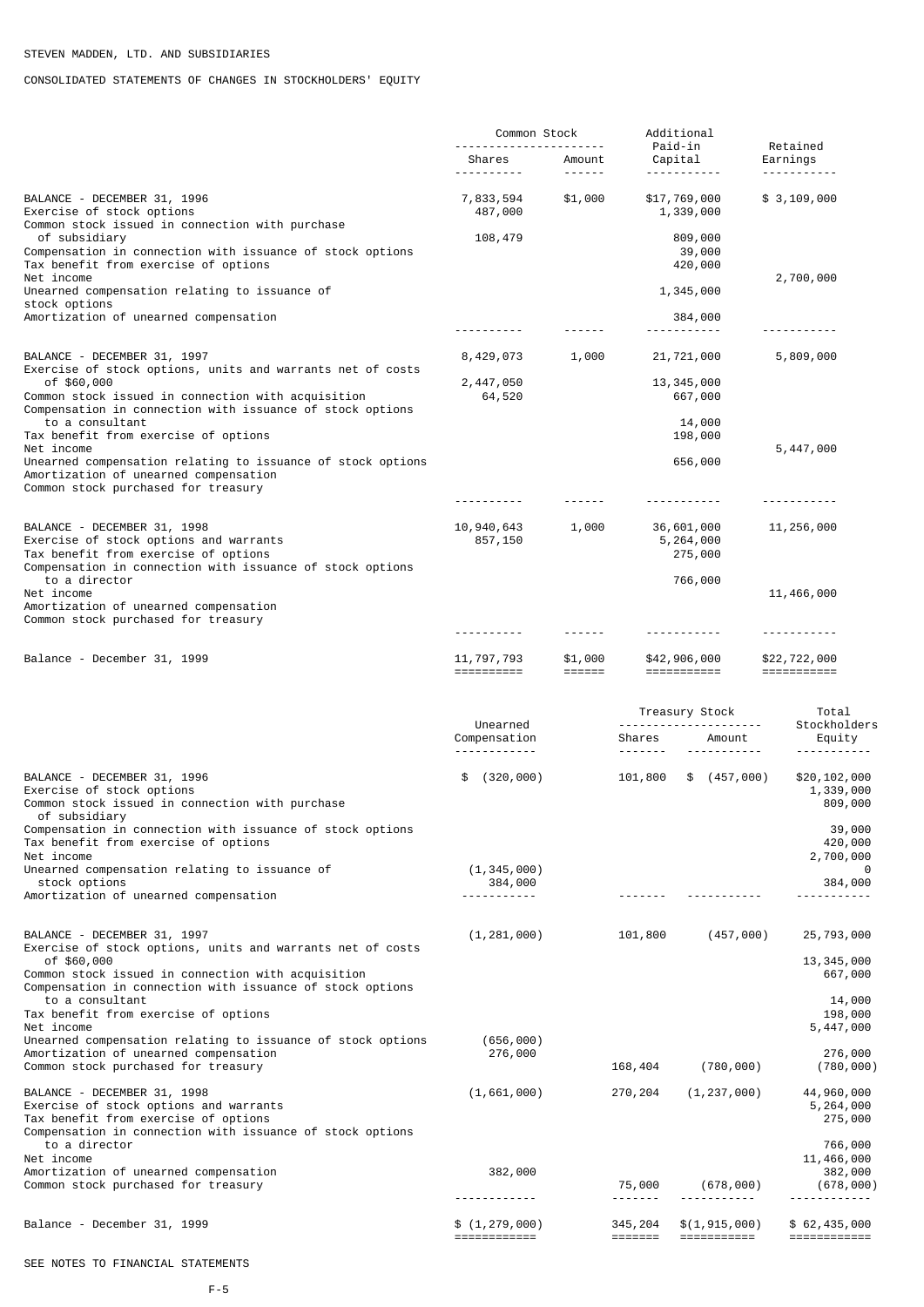# CONSOLIDATED STATEMENTS OF CHANGES IN STOCKHOLDERS' EQUITY

|                                                                                                                                                                            | Common Stock                    |                                    |                                        | Additional                                   |                                      |
|----------------------------------------------------------------------------------------------------------------------------------------------------------------------------|---------------------------------|------------------------------------|----------------------------------------|----------------------------------------------|--------------------------------------|
|                                                                                                                                                                            | Shares                          | Amount                             |                                        | Paid-in<br>Capital<br>.                      | Retained<br>Earnings                 |
| BALANCE - DECEMBER 31, 1996<br>Exercise of stock options<br>Common stock issued in connection with purchase                                                                | 7,833,594<br>487,000            | \$1,000                            |                                        | \$17,769,000<br>1,339,000                    | \$ 3,109,000                         |
| of subsidiary<br>Compensation in connection with issuance of stock options<br>Tax benefit from exercise of options<br>Net income                                           | 108,479                         |                                    |                                        | 809,000<br>39,000<br>420,000                 | 2,700,000                            |
| Unearned compensation relating to issuance of<br>stock options                                                                                                             |                                 |                                    |                                        | 1,345,000                                    |                                      |
| Amortization of unearned compensation                                                                                                                                      | - - - - - - - - - -             |                                    |                                        | 384,000<br>-----------                       | - - - - - - - - - -                  |
| BALANCE - DECEMBER 31, 1997<br>Exercise of stock options, units and warrants net of costs                                                                                  | 8,429,073                       | 1,000                              |                                        | 21,721,000                                   | 5,809,000                            |
| of \$60,000<br>Common stock issued in connection with acquisition<br>Compensation in connection with issuance of stock options                                             | 2,447,050<br>64,520             |                                    |                                        | 13, 345, 000<br>667,000                      |                                      |
| to a consultant<br>Tax benefit from exercise of options                                                                                                                    |                                 |                                    |                                        | 14,000<br>198,000                            |                                      |
| Net income<br>Unearned compensation relating to issuance of stock options<br>Amortization of unearned compensation<br>Common stock purchased for treasury                  |                                 |                                    |                                        | 656,000                                      | 5,447,000                            |
|                                                                                                                                                                            | ----------                      |                                    |                                        | <u> - - - - - - - - - - -</u>                | <u> - - - - - - - - - - -</u>        |
| BALANCE - DECEMBER 31, 1998<br>Exercise of stock options and warrants<br>Tax benefit from exercise of options                                                              | 10,940,643<br>857,150           | 1,000                              |                                        | 36,601,000<br>5,264,000<br>275,000           | 11,256,000                           |
| Compensation in connection with issuance of stock options<br>to a director<br>Net income                                                                                   |                                 |                                    |                                        | 766,000                                      | 11,466,000                           |
| Amortization of unearned compensation<br>Common stock purchased for treasury                                                                                               |                                 |                                    |                                        |                                              |                                      |
|                                                                                                                                                                            | - - - - - - - - - -             | ------                             |                                        | <u> - - - - - - - - - - -</u>                | -----------                          |
| Balance - December 31, 1999                                                                                                                                                | 11, 797, 793<br>==========      | \$1,000<br>$=$ $=$ $=$ $=$ $=$ $=$ |                                        | \$42,906,000<br>===========                  | \$22,722,000<br>$=$ ===========      |
|                                                                                                                                                                            | Unearned<br>Compensation        |                                    | Shares                                 | Treasury Stock<br>Amount                     | Total<br>Stockholders<br>Equity      |
|                                                                                                                                                                            | <u>.</u>                        |                                    |                                        | -----------                                  | <u> - - - - - - - - - - .</u>        |
| BALANCE - DECEMBER 31, 1996<br>Exercise of stock options<br>Common stock issued in connection with purchase<br>of subsidiary                                               | (320, 000)<br>\$                |                                    | 101,800                                | \$ (457,000)                                 | \$20,102,000<br>1,339,000<br>809,000 |
| Compensation in connection with issuance of stock options<br>Tax benefit from exercise of options                                                                          |                                 |                                    |                                        |                                              | 39,000<br>420,000                    |
| Net income<br>Unearned compensation relating to issuance of<br>stock options                                                                                               | (1, 345, 000)<br>384,000        |                                    |                                        |                                              | 2,700,000<br>0<br>384,000            |
| Amortization of unearned compensation                                                                                                                                      | <u>.</u>                        |                                    |                                        |                                              |                                      |
| BALANCE - DECEMBER 31, 1997<br>Exercise of stock options, units and warrants net of costs<br>of \$60,000                                                                   | (1, 281, 000)                   |                                    | 101,800                                | (457,000)                                    | 25,793,000                           |
| Common stock issued in connection with acquisition<br>Compensation in connection with issuance of stock options<br>to a consultant                                         |                                 |                                    |                                        |                                              | 13, 345, 000<br>667,000<br>14,000    |
| Tax benefit from exercise of options<br>Net income                                                                                                                         |                                 |                                    |                                        |                                              | 198,000<br>5,447,000                 |
| Unearned compensation relating to issuance of stock options<br>Amortization of unearned compensation<br>Common stock purchased for treasury                                | (656, 000)<br>276,000           |                                    | 168,404                                | (780, 000)                                   | 276,000<br>(780, 000)                |
| BALANCE - DECEMBER 31, 1998<br>Exercise of stock options and warrants<br>Tax benefit from exercise of options<br>Compensation in connection with issuance of stock options | (1,661,000)                     |                                    | 270,204                                | (1, 237, 000)                                | 44,960,000<br>5,264,000<br>275,000   |
| to a director<br>Net income                                                                                                                                                |                                 |                                    |                                        |                                              | 766,000<br>11,466,000                |
| Amortization of unearned compensation<br>Common stock purchased for treasury                                                                                               | 382,000                         |                                    | 75,000                                 | (678,000)                                    | 382,000<br>(678,000)                 |
| Balance - December 31, 1999                                                                                                                                                | \$(1, 279, 000)<br>============ |                                    | 345,204<br>$=$ $=$ $=$ $=$ $=$ $=$ $=$ | \$(1, 915, 000)<br>$=$ = = = = = = = = = = = | \$62,435,000<br>============         |

# SEE NOTES TO FINANCIAL STATEMENTS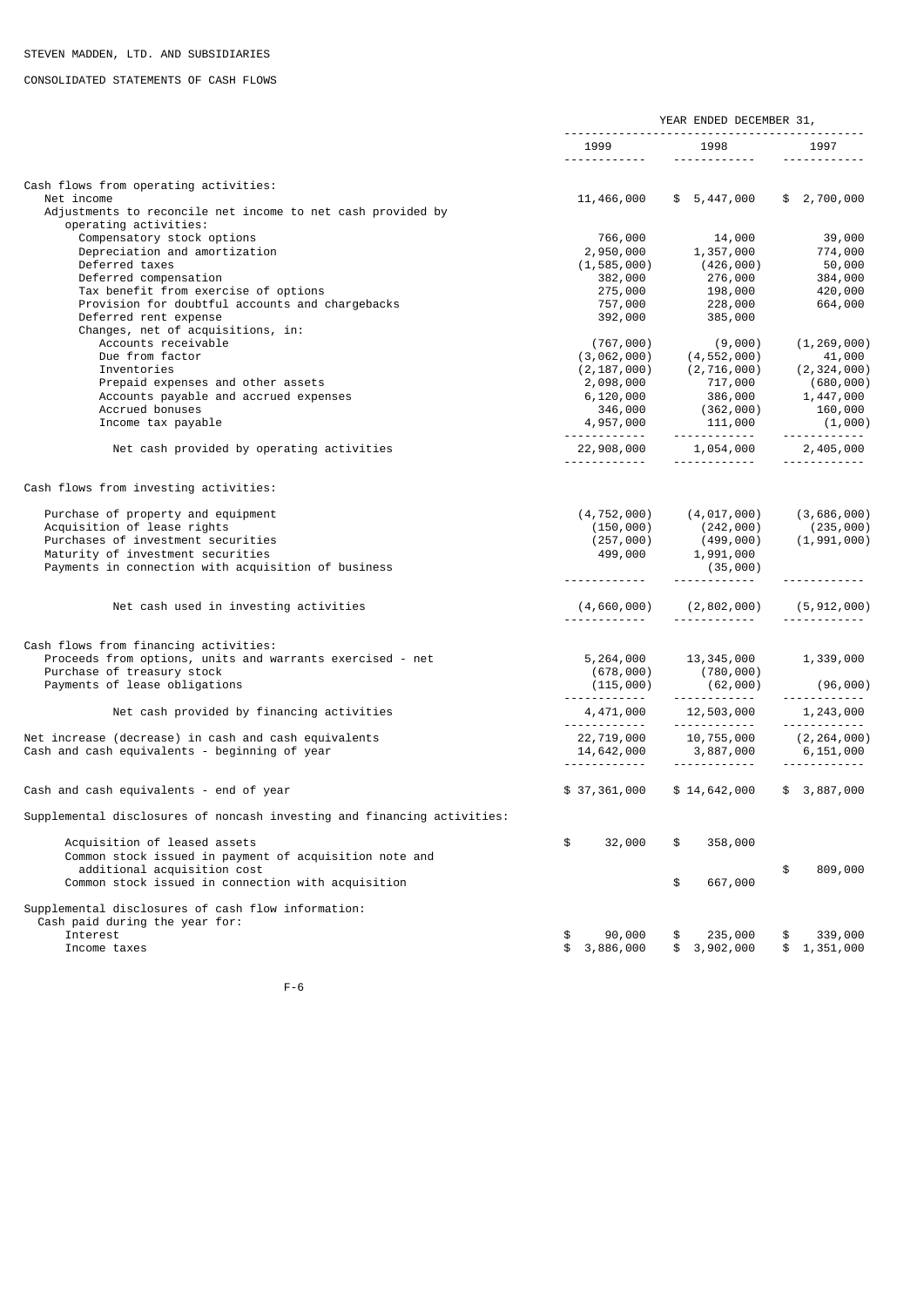# CONSOLIDATED STATEMENTS OF CASH FLOWS

|                                                                           |                                     | YEAR ENDED DECEMBER 31,                                                                                         |                                 |
|---------------------------------------------------------------------------|-------------------------------------|-----------------------------------------------------------------------------------------------------------------|---------------------------------|
|                                                                           | 1999<br><u> - - - - - - - - - -</u> | 1998<br>------------                                                                                            | 1997                            |
| Cash flows from operating activities:                                     |                                     |                                                                                                                 |                                 |
| Net income<br>Adjustments to reconcile net income to net cash provided by |                                     | 11,466,000 \$ 5,447,000                                                                                         | \$2,700,000                     |
| operating activities:                                                     |                                     |                                                                                                                 |                                 |
| Compensatory stock options                                                | 766,000                             | 14,000                                                                                                          | 39,000                          |
| Depreciation and amortization                                             | 2,950,000                           | טטט 14,<br>1, 357, 000                                                                                          | 39,000<br>774,000               |
| Deferred taxes                                                            | (1, 585, 000)                       | $(426,000)$<br>276,000                                                                                          | 50,000                          |
| Deferred compensation<br>Tax benefit from exercise of options             | 382,000<br>275,000                  | 198,000                                                                                                         | 384,000<br>420,000              |
| Provision for doubtful accounts and chargebacks                           | 757,000                             | 228,000                                                                                                         | 664,000                         |
| Deferred rent expense                                                     | 392,000                             | 385,000                                                                                                         |                                 |
| Changes, net of acquisitions, in:                                         |                                     |                                                                                                                 |                                 |
| Accounts receivable                                                       | (767,000)                           | (9,000)                                                                                                         | (1, 269, 000)                   |
| Due from factor                                                           |                                     | $(3,062,000)$ $(4,552,000)$                                                                                     | 41,000                          |
| Inventories                                                               |                                     | $(2, 187, 000)$ $(2, 716, 000)$                                                                                 | (2,324,000)                     |
| Prepaid expenses and other assets                                         | 2,098,000                           | 717,000                                                                                                         | (680,000)                       |
| Accounts payable and accrued expenses                                     |                                     |                                                                                                                 |                                 |
| Accrued bonuses<br>Income tax payable                                     |                                     |                                                                                                                 |                                 |
|                                                                           |                                     |                                                                                                                 |                                 |
| Net cash provided by operating activities                                 |                                     | $22,908,000$ $1,054,000$ $2,405,000$<br><u> - - - - - - - - - - -</u>                                           | <u> - - - - - - - - - - -</u>   |
| Cash flows from investing activities:                                     |                                     |                                                                                                                 |                                 |
| Purchase of property and equipment                                        |                                     | $(4, 752, 000)$ $(4, 017, 000)$                                                                                 | (3,686,000)                     |
| Acquisition of lease rights                                               |                                     |                                                                                                                 |                                 |
| Purchases of investment securities                                        |                                     | $(150, 000)$ $(242, 000)$ $(235, 000)$<br>$(257, 000)$ $(499, 000)$ $(1, 991, 000)$<br>$499, 000$ $1, 991, 000$ |                                 |
| Maturity of investment securities                                         |                                     |                                                                                                                 |                                 |
| Payments in connection with acquisition of business                       | <u> - - - - - - - - - - - -</u>     | (35,000)<br>-------------                                                                                       | <u> - - - - - - - - - - - -</u> |
| Net cash used in investing activities                                     |                                     | $(4, 660, 000)$ $(2, 802, 000)$ $(5, 912, 000)$                                                                 |                                 |
|                                                                           |                                     | <u> - - - - - - - - - - - -</u>                                                                                 |                                 |
| Cash flows from financing activities:                                     |                                     |                                                                                                                 |                                 |
| Proceeds from options, units and warrants exercised - net                 |                                     | 5, 264, 000 13, 345, 000                                                                                        | 1,339,000                       |
| Purchase of treasury stock                                                |                                     | $(678, 000)$ $(780, 000)$<br>$(115, 000)$ $(62, 000)$                                                           |                                 |
| Payments of lease obligations                                             |                                     |                                                                                                                 | (96,000)                        |
| Net cash provided by financing activities                                 |                                     | $4,471,000$ $12,503,000$ $1,243,000$<br><u> - - - - - - - - - - -</u>                                           | <u> - - - - - - - - - - -</u>   |
| Net increase (decrease) in cash and cash equivalents                      |                                     |                                                                                                                 |                                 |
| Cash and cash equivalents - beginning of year                             | <u> - - - - - - - - - - - -</u>     | 22,719,000 10,755,000<br>14,642,000 3,887,000<br>.                                                              | (2,264,000)<br>6,151,000        |
| Cash and cash equivalents - end of year                                   | \$37,361,000                        | \$14,642,000                                                                                                    | \$3,887,000                     |
| Supplemental disclosures of noncash investing and financing activities:   |                                     |                                                                                                                 |                                 |
| Acquisition of leased assets                                              | \$<br>32,000                        | 358,000<br>\$                                                                                                   |                                 |
| Common stock issued in payment of acquisition note and                    |                                     |                                                                                                                 |                                 |
| additional acquisition cost                                               |                                     |                                                                                                                 | 809,000<br>\$                   |
| Common stock issued in connection with acquisition                        |                                     | \$<br>667,000                                                                                                   |                                 |
| Supplemental disclosures of cash flow information:                        |                                     |                                                                                                                 |                                 |
| Cash paid during the year for:<br>Interest                                | 90,000<br>\$                        | 235,000<br>\$                                                                                                   | 339,000<br>\$                   |
| Income taxes                                                              | 3,886,000<br>\$                     | 3,902,000                                                                                                       | \$1,351,000                     |
|                                                                           |                                     |                                                                                                                 |                                 |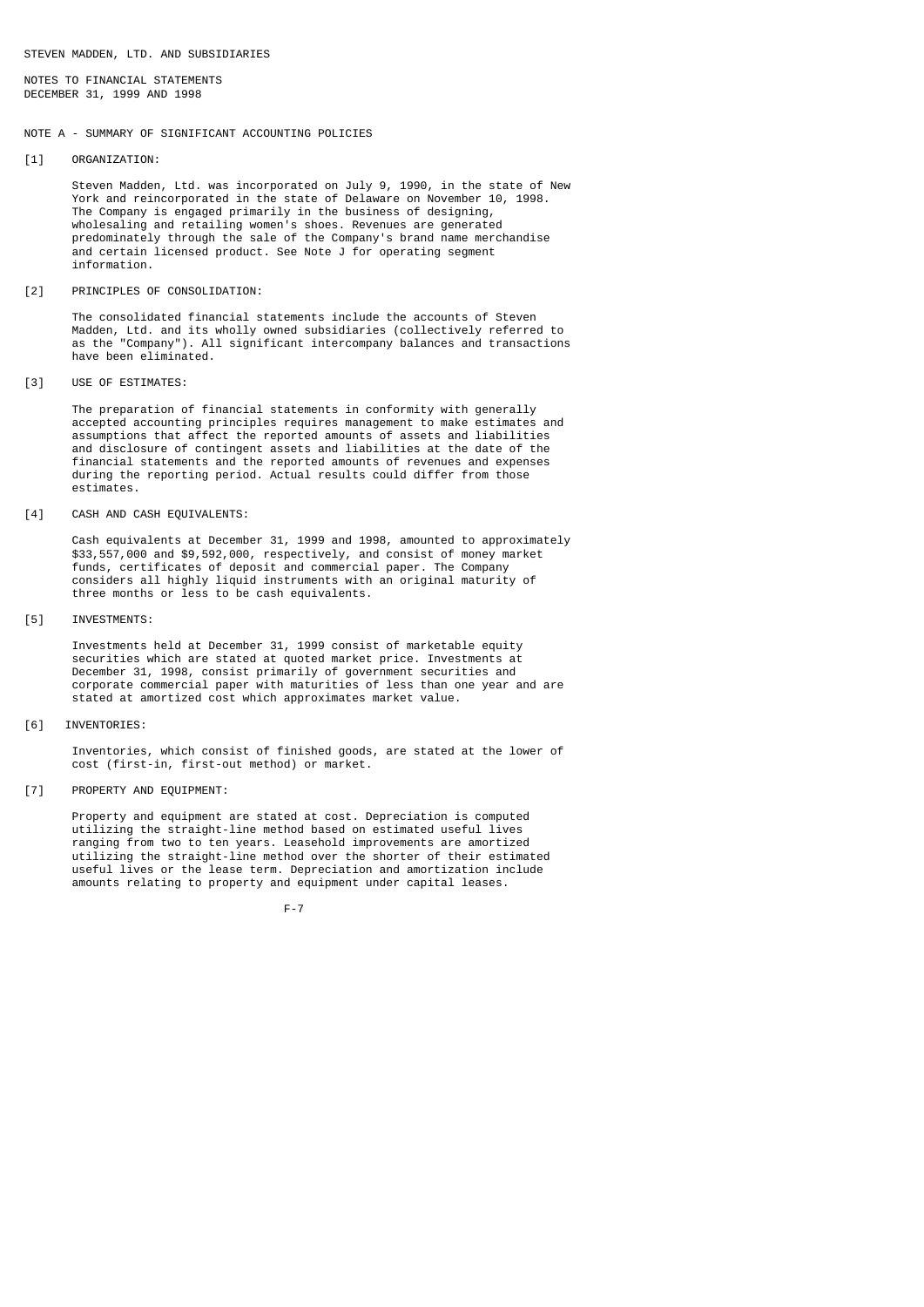NOTES TO FINANCIAL STATEMENTS DECEMBER 31, 1999 AND 1998

# NOTE A - SUMMARY OF SIGNIFICANT ACCOUNTING POLICIES

[1] ORGANIZATION:

 Steven Madden, Ltd. was incorporated on July 9, 1990, in the state of New York and reincorporated in the state of Delaware on November 10, 1998. The Company is engaged primarily in the business of designing, wholesaling and retailing women's shoes. Revenues are generated predominately through the sale of the Company's brand name merchandise and certain licensed product. See Note J for operating segment information.

[2] PRINCIPLES OF CONSOLIDATION:

 The consolidated financial statements include the accounts of Steven Madden, Ltd. and its wholly owned subsidiaries (collectively referred to as the "Company"). All significant intercompany balances and transactions have been eliminated.

[3] USE OF ESTIMATES:

 The preparation of financial statements in conformity with generally accepted accounting principles requires management to make estimates and assumptions that affect the reported amounts of assets and liabilities and disclosure of contingent assets and liabilities at the date of the financial statements and the reported amounts of revenues and expenses during the reporting period. Actual results could differ from those estimates.

[4] CASH AND CASH EQUIVALENTS:

 Cash equivalents at December 31, 1999 and 1998, amounted to approximately \$33,557,000 and \$9,592,000, respectively, and consist of money market funds, certificates of deposit and commercial paper. The Company considers all highly liquid instruments with an original maturity of three months or less to be cash equivalents.

[5] INVESTMENTS:

 Investments held at December 31, 1999 consist of marketable equity securities which are stated at quoted market price. Investments at December 31, 1998, consist primarily of government securities and corporate commercial paper with maturities of less than one year and are stated at amortized cost which approximates market value.

[6] INVENTORIES:

 Inventories, which consist of finished goods, are stated at the lower of cost (first-in, first-out method) or market.

[7] PROPERTY AND EQUIPMENT:

 Property and equipment are stated at cost. Depreciation is computed utilizing the straight-line method based on estimated useful lives ranging from two to ten years. Leasehold improvements are amortized utilizing the straight-line method over the shorter of their estimated useful lives or the lease term. Depreciation and amortization include amounts relating to property and equipment under capital leases.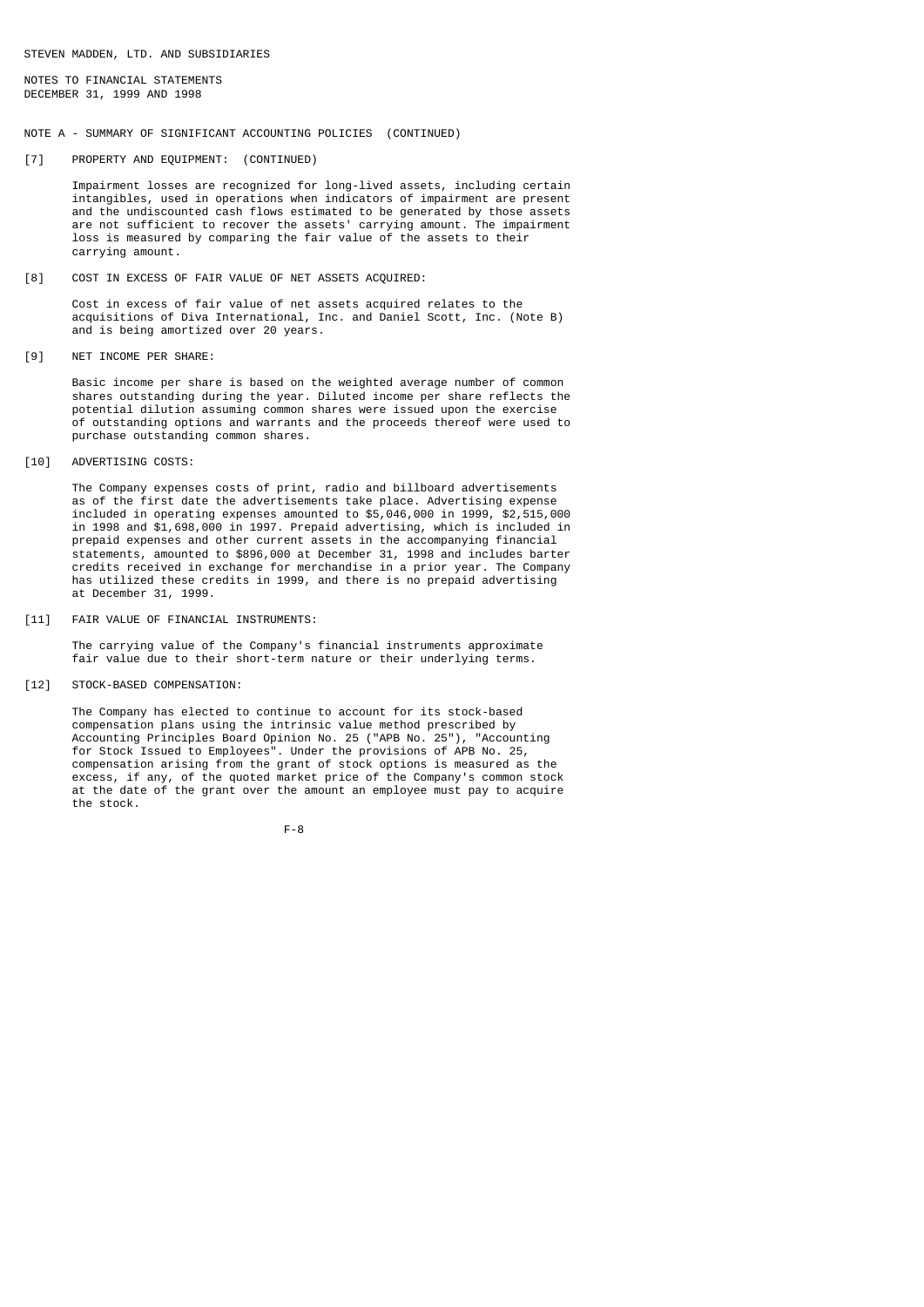NOTES TO FINANCIAL STATEMENTS DECEMBER 31, 1999 AND 1998

### NOTE A - SUMMARY OF SIGNIFICANT ACCOUNTING POLICIES (CONTINUED)

### [7] PROPERTY AND EQUIPMENT: (CONTINUED)

 Impairment losses are recognized for long-lived assets, including certain intangibles, used in operations when indicators of impairment are present and the undiscounted cash flows estimated to be generated by those assets are not sufficient to recover the assets' carrying amount. The impairment loss is measured by comparing the fair value of the assets to their carrying amount.

[8] COST IN EXCESS OF FAIR VALUE OF NET ASSETS ACQUIRED:

 Cost in excess of fair value of net assets acquired relates to the acquisitions of Diva International, Inc. and Daniel Scott, Inc. (Note B) and is being amortized over 20 years.

[9] NET INCOME PER SHARE:

 Basic income per share is based on the weighted average number of common shares outstanding during the year. Diluted income per share reflects the potential dilution assuming common shares were issued upon the exercise of outstanding options and warrants and the proceeds thereof were used to purchase outstanding common shares.

[10] ADVERTISING COSTS:

 The Company expenses costs of print, radio and billboard advertisements as of the first date the advertisements take place. Advertising expense included in operating expenses amounted to \$5,046,000 in 1999, \$2,515,000 in 1998 and \$1,698,000 in 1997. Prepaid advertising, which is included in prepaid expenses and other current assets in the accompanying financial statements, amounted to \$896,000 at December 31, 1998 and includes barter credits received in exchange for merchandise in a prior year. The Company has utilized these credits in 1999, and there is no prepaid advertising at December 31, 1999.

[11] FAIR VALUE OF FINANCIAL INSTRUMENTS:

 The carrying value of the Company's financial instruments approximate fair value due to their short-term nature or their underlying terms.

[12] STOCK-BASED COMPENSATION:

 The Company has elected to continue to account for its stock-based compensation plans using the intrinsic value method prescribed by Accounting Principles Board Opinion No. 25 ("APB No. 25"), "Accounting for Stock Issued to Employees". Under the provisions of APB No. 25, compensation arising from the grant of stock options is measured as the excess, if any, of the quoted market price of the Company's common stock at the date of the grant over the amount an employee must pay to acquire the stock.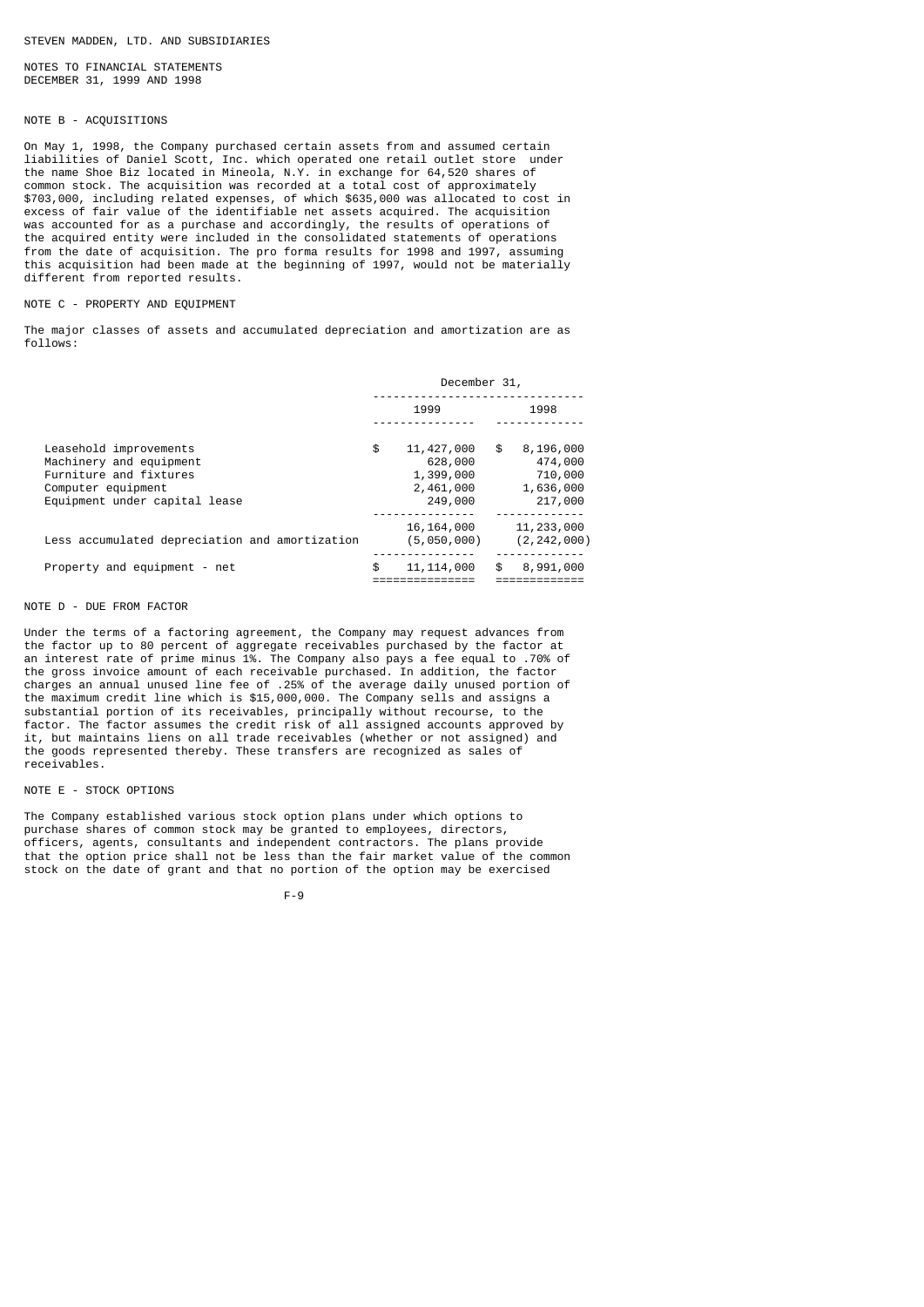NOTES TO FINANCIAL STATEMENTS DECEMBER 31, 1999 AND 1998

# NOTE B - ACQUISITIONS

On May 1, 1998, the Company purchased certain assets from and assumed certain liabilities of Daniel Scott, Inc. which operated one retail outlet store under the name Shoe Biz located in Mineola, N.Y. in exchange for 64,520 shares of common stock. The acquisition was recorded at a total cost of approximately \$703,000, including related expenses, of which \$635,000 was allocated to cost in excess of fair value of the identifiable net assets acquired. The acquisition was accounted for as a purchase and accordingly, the results of operations of the acquired entity were included in the consolidated statements of operations from the date of acquisition. The pro forma results for 1998 and 1997, assuming this acquisition had been made at the beginning of 1997, would not be materially different from reported results.

### NOTE C - PROPERTY AND EQUIPMENT

The major classes of assets and accumulated depreciation and amortization are as follows:

|                                                                                                                                    | December 31, |                                                              |    |                                                         |  |  |
|------------------------------------------------------------------------------------------------------------------------------------|--------------|--------------------------------------------------------------|----|---------------------------------------------------------|--|--|
|                                                                                                                                    |              | 1999                                                         |    | 1998                                                    |  |  |
| Leasehold improvements<br>Machinery and equipment<br>Furniture and fixtures<br>Computer equipment<br>Equipment under capital lease | \$           | 11, 427, 000<br>628,000<br>1,399,000<br>2,461,000<br>249,000 | \$ | 8,196,000<br>474,000<br>710,000<br>1,636,000<br>217,000 |  |  |
| Less accumulated depreciation and amortization                                                                                     |              | 16, 164, 000<br>(5,050,000)                                  |    | 11,233,000<br>(2, 242, 000)                             |  |  |
| Property and equipment - net                                                                                                       | \$           | 11, 114, 000                                                 | \$ | 8,991,000                                               |  |  |

## NOTE D - DUE FROM FACTOR

Under the terms of a factoring agreement, the Company may request advances from the factor up to 80 percent of aggregate receivables purchased by the factor at an interest rate of prime minus 1%. The Company also pays a fee equal to .70% of the gross invoice amount of each receivable purchased. In addition, the factor charges an annual unused line fee of .25% of the average daily unused portion of the maximum credit line which is \$15,000,000. The Company sells and assigns a substantial portion of its receivables, principally without recourse, to the factor. The factor assumes the credit risk of all assigned accounts approved by it, but maintains liens on all trade receivables (whether or not assigned) and the goods represented thereby. These transfers are recognized as sales of receivables.

### NOTE E - STOCK OPTIONS

The Company established various stock option plans under which options to purchase shares of common stock may be granted to employees, directors, officers, agents, consultants and independent contractors. The plans provide that the option price shall not be less than the fair market value of the common stock on the date of grant and that no portion of the option may be exercised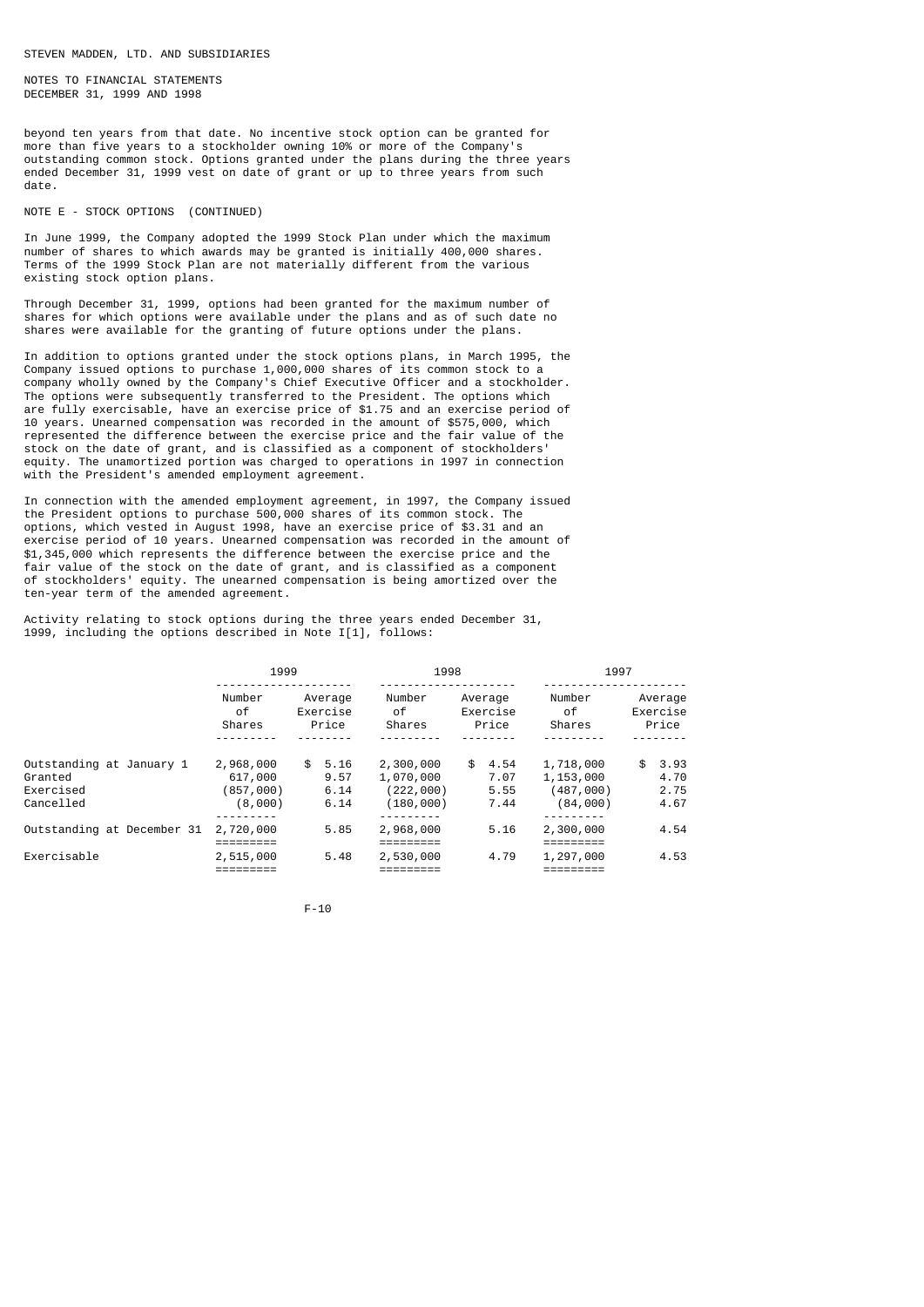NOTES TO FINANCIAL STATEMENTS DECEMBER 31, 1999 AND 1998

beyond ten years from that date. No incentive stock option can be granted for more than five years to a stockholder owning 10% or more of the Company's outstanding common stock. Options granted under the plans during the three years ended December 31, 1999 vest on date of grant or up to three years from such date.

### NOTE E - STOCK OPTIONS (CONTINUED)

In June 1999, the Company adopted the 1999 Stock Plan under which the maximum number of shares to which awards may be granted is initially 400,000 shares. Terms of the 1999 Stock Plan are not materially different from the various existing stock option plans.

Through December 31, 1999, options had been granted for the maximum number of shares for which options were available under the plans and as of such date no shares were available for the granting of future options under the plans.

In addition to options granted under the stock options plans, in March 1995, the Company issued options to purchase 1,000,000 shares of its common stock to a company wholly owned by the Company's Chief Executive Officer and a stockholder. The options were subsequently transferred to the President. The options which are fully exercisable, have an exercise price of \$1.75 and an exercise period of 10 years. Unearned compensation was recorded in the amount of \$575,000, which represented the difference between the exercise price and the fair value of the stock on the date of grant, and is classified as a component of stockholders' equity. The unamortized portion was charged to operations in 1997 in connection with the President's amended employment agreement.

In connection with the amended employment agreement, in 1997, the Company issued the President options to purchase 500,000 shares of its common stock. The options, which vested in August 1998, have an exercise price of \$3.31 and an exercise period of 10 years. Unearned compensation was recorded in the amount of \$1,345,000 which represents the difference between the exercise price and the fair value of the stock on the date of grant, and is classified as a component of stockholders' equity. The unearned compensation is being amortized over the ten-year term of the amended agreement.

Activity relating to stock options during the three years ended December 31, 1999, including the options described in Note I[1], follows:

|                                                               | 1999                                         |                                     | 1998                                             |                                    | 1997                                            |                                    |  |
|---------------------------------------------------------------|----------------------------------------------|-------------------------------------|--------------------------------------------------|------------------------------------|-------------------------------------------------|------------------------------------|--|
|                                                               | Number<br>οf<br>Shares                       | Average<br>Exercise<br>Price        | Number<br>of<br>Shares                           | Average<br>Exercise<br>Price       | Number<br>of<br>Shares                          | Average<br>Exercise<br>Price       |  |
| Outstanding at January 1<br>Granted<br>Exercised<br>Cancelled | 2,968,000<br>617,000<br>(857,000)<br>(8,000) | 5.16<br>SS.<br>9.57<br>6.14<br>6.14 | 2,300,000<br>1,070,000<br>(222,000)<br>(180,000) | \$<br>4.54<br>7.07<br>5.55<br>7.44 | 1,718,000<br>1,153,000<br>(487,000)<br>(84,000) | \$<br>3.93<br>4.70<br>2.75<br>4.67 |  |
| Outstanding at December 31                                    | 2,720,000                                    | 5.85                                | 2,968,000                                        | 5.16                               | 2,300,000                                       | 4.54                               |  |
| Exercisable                                                   | 2,515,000                                    | 5.48                                | 2,530,000                                        | 4.79                               | 1,297,000                                       | 4.53                               |  |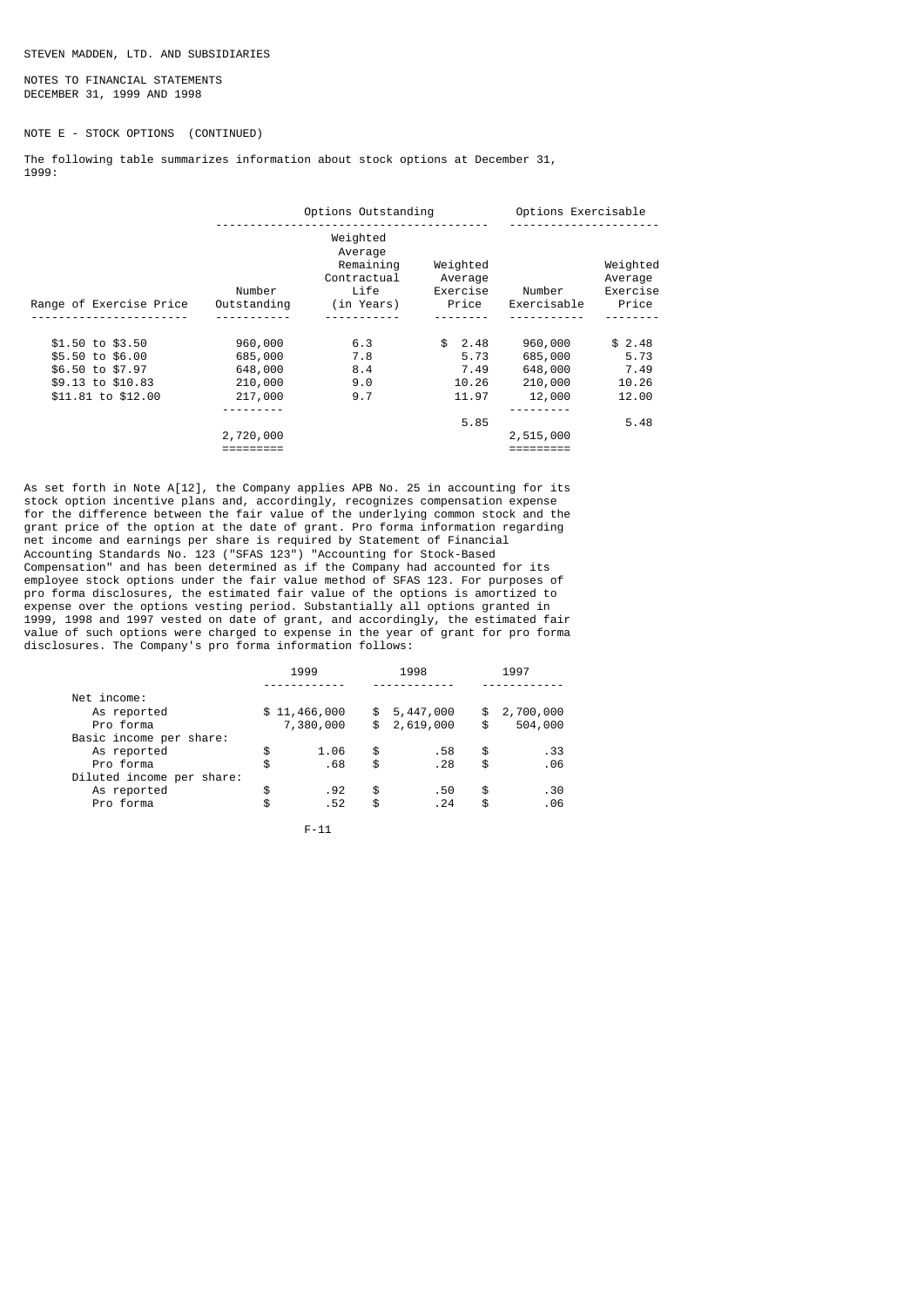NOTES TO FINANCIAL STATEMENTS DECEMBER 31, 1999 AND 1998

# NOTE E - STOCK OPTIONS (CONTINUED)

The following table summarizes information about stock options at December 31, 1999:

|                         | Options Outstanding   |                                                                       |                                          | Options Exercisable   |                                          |  |
|-------------------------|-----------------------|-----------------------------------------------------------------------|------------------------------------------|-----------------------|------------------------------------------|--|
| Range of Exercise Price | Number<br>Outstanding | Weighted<br>Average<br>Remaining<br>Contractual<br>Life<br>(in Years) | Weighted<br>Average<br>Exercise<br>Price | Number<br>Exercisable | Weighted<br>Average<br>Exercise<br>Price |  |
|                         |                       |                                                                       |                                          |                       |                                          |  |
| \$1.50 to \$3.50        | 960,000               | 6.3                                                                   | \$2.48                                   | 960,000               | \$2.48                                   |  |
| \$5.50 to \$6.00        | 685,000               | 7.8                                                                   | 5.73                                     | 685,000               | 5.73                                     |  |
| \$6.50 to \$7.97        | 648,000               | 8.4                                                                   | 7.49                                     | 648,000               | 7.49                                     |  |
| \$9.13 to \$10.83       | 210,000               | 9.0                                                                   | 10.26                                    | 210,000               | 10.26                                    |  |
| \$11,81 to \$12,00      | 217,000               | 9.7                                                                   | 11.97                                    | 12,000                | 12.00                                    |  |
|                         |                       |                                                                       |                                          |                       |                                          |  |
|                         |                       |                                                                       | 5.85                                     |                       | 5.48                                     |  |
|                         | 2,720,000             |                                                                       |                                          | 2,515,000             |                                          |  |
|                         |                       |                                                                       |                                          |                       |                                          |  |

As set forth in Note A[12], the Company applies APB No. 25 in accounting for its stock option incentive plans and, accordingly, recognizes compensation expense for the difference between the fair value of the underlying common stock and the grant price of the option at the date of grant. Pro forma information regarding net income and earnings per share is required by Statement of Financial Accounting Standards No. 123 ("SFAS 123") "Accounting for Stock-Based Compensation" and has been determined as if the Company had accounted for its employee stock options under the fair value method of SFAS 123. For purposes of pro forma disclosures, the estimated fair value of the options is amortized to expense over the options vesting period. Substantially all options granted in 1999, 1998 and 1997 vested on date of grant, and accordingly, the estimated fair value of such options were charged to expense in the year of grant for pro forma disclosures. The Company's pro forma information follows:

|                           | 1999 |              | 1998 |             | 1997 |           |
|---------------------------|------|--------------|------|-------------|------|-----------|
| Net income:               |      |              |      |             |      |           |
| As reported               |      | \$11,466,000 | \$   | 5,447,000   | \$   | 2,700,000 |
| Pro forma                 |      | 7,380,000    |      | \$2,619,000 | \$   | 504,000   |
| Basic income per share:   |      |              |      |             |      |           |
| As reported               | \$   | 1.06         | \$   | .58         | \$   | . 33      |
| Pro forma                 | \$   | .68          | \$   | .28         | \$   | .06       |
| Diluted income per share: |      |              |      |             |      |           |
| As reported               | \$   | .92          | \$   | .50         | \$   | .30       |
| Pro forma                 | \$   | .52          | \$   | . 24        | \$   | .06       |
|                           |      |              |      |             |      |           |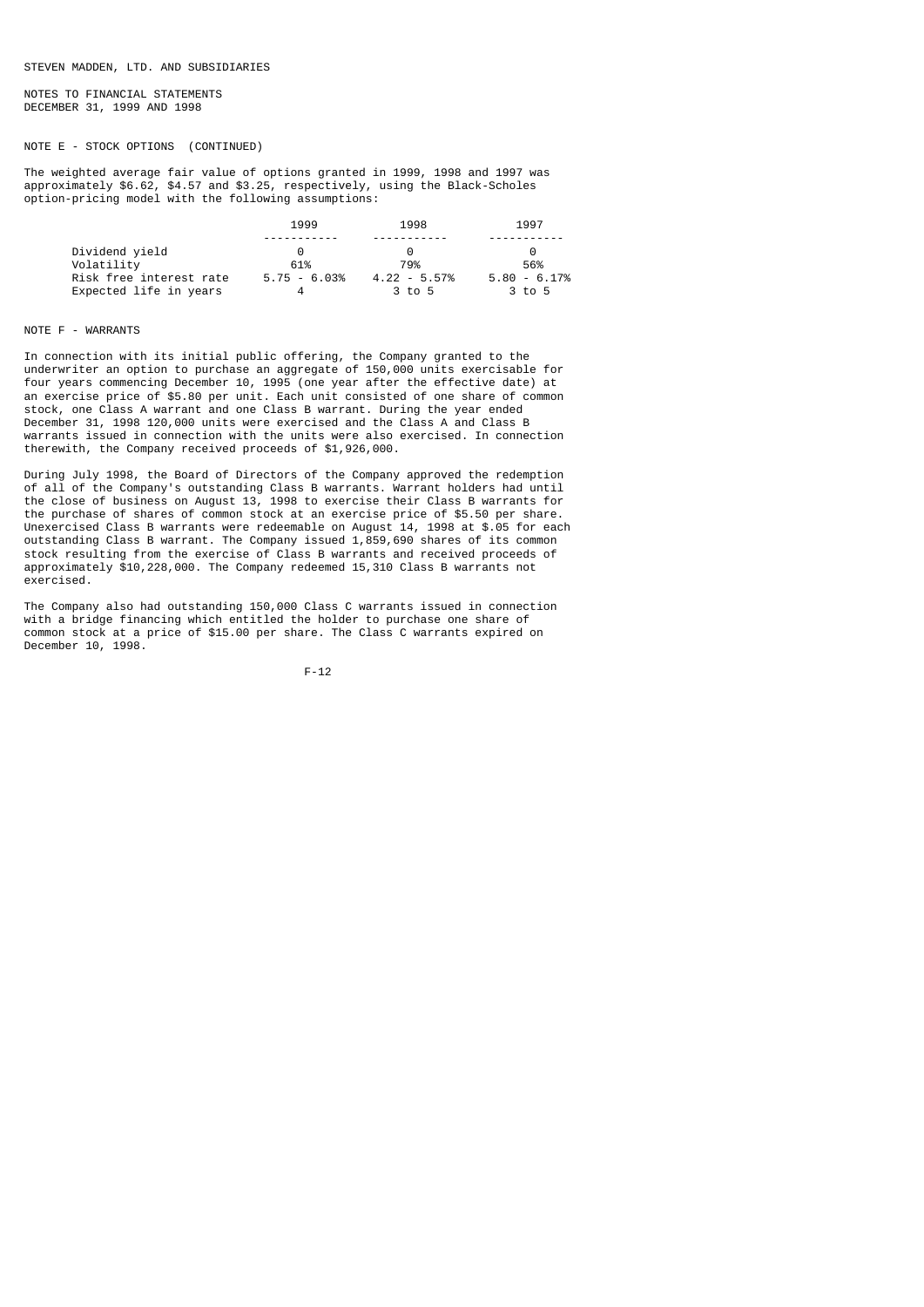NOTES TO FINANCIAL STATEMENTS DECEMBER 31, 1999 AND 1998

# NOTE E - STOCK OPTIONS (CONTINUED)

The weighted average fair value of options granted in 1999, 1998 and 1997 was approximately \$6.62, \$4.57 and \$3.25, respectively, using the Black-Scholes option-pricing model with the following assumptions:

|                         | 1999                  | 1998           | 1997           |
|-------------------------|-----------------------|----------------|----------------|
|                         |                       |                |                |
| Dividend yield          | $\boldsymbol{\Theta}$ |                |                |
| Volatility              | 61%                   | 79%            | 56%            |
| Risk free interest rate | $5.75 - 6.03%$        | $4.22 - 5.57%$ | $5.80 - 6.17%$ |
| Expected life in years  |                       | 3 to 5         | 3 to 5         |

### NOTE F - WARRANTS

In connection with its initial public offering, the Company granted to the underwriter an option to purchase an aggregate of 150,000 units exercisable for four years commencing December 10, 1995 (one year after the effective date) at an exercise price of \$5.80 per unit. Each unit consisted of one share of common stock, one Class A warrant and one Class B warrant. During the year ended December 31, 1998 120,000 units were exercised and the Class A and Class B warrants issued in connection with the units were also exercised. In connection therewith, the Company received proceeds of \$1,926,000.

During July 1998, the Board of Directors of the Company approved the redemption of all of the Company's outstanding Class B warrants. Warrant holders had until the close of business on August 13, 1998 to exercise their Class B warrants for the purchase of shares of common stock at an exercise price of \$5.50 per share. Unexercised Class B warrants were redeemable on August 14, 1998 at \$.05 for each outstanding Class B warrant. The Company issued 1,859,690 shares of its common stock resulting from the exercise of Class B warrants and received proceeds of approximately \$10,228,000. The Company redeemed 15,310 Class B warrants not exercised.

The Company also had outstanding 150,000 Class C warrants issued in connection with a bridge financing which entitled the holder to purchase one share of common stock at a price of \$15.00 per share. The Class C warrants expired on December 10, 1998.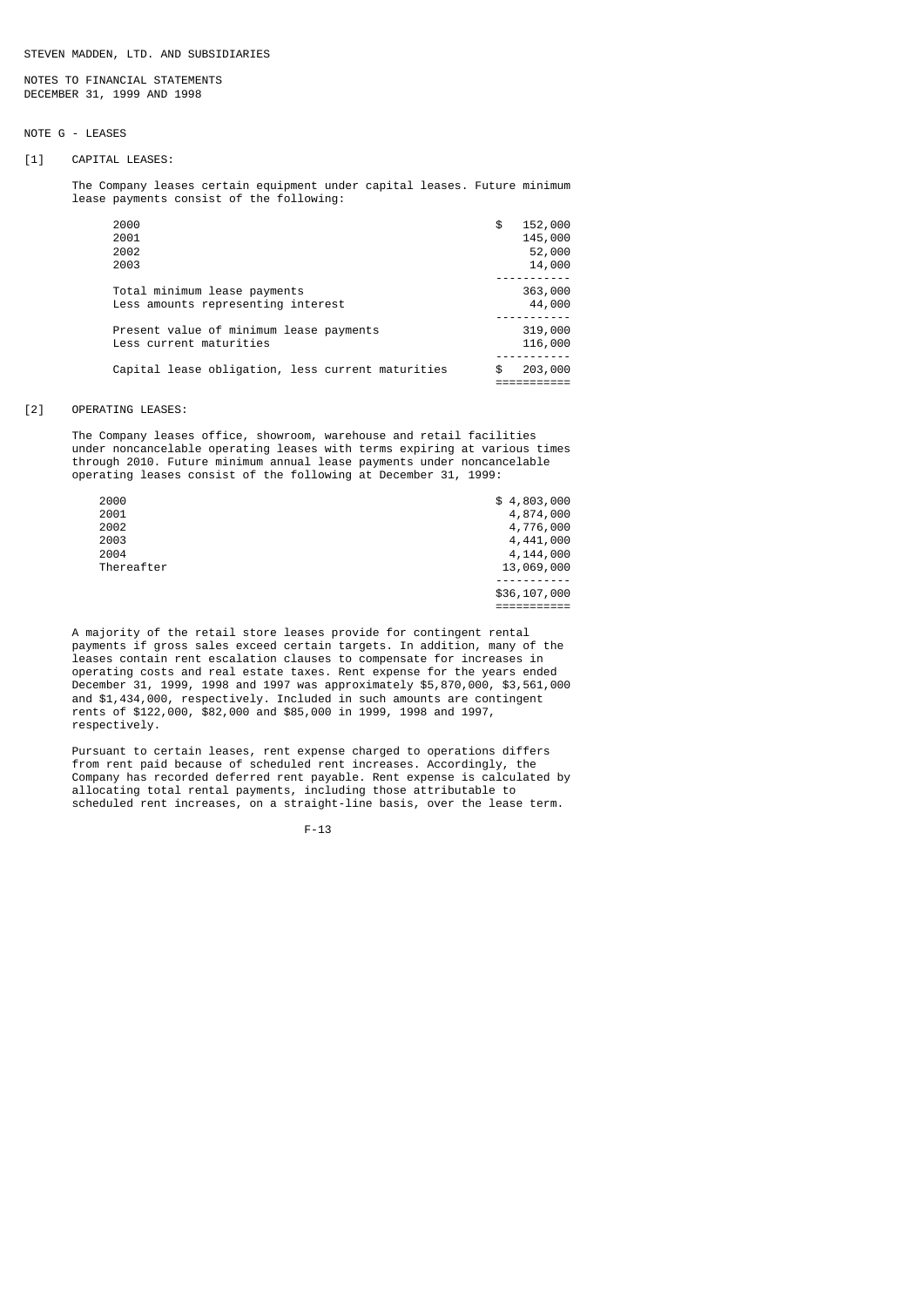NOTES TO FINANCIAL STATEMENTS DECEMBER 31, 1999 AND 1998

# NOTE G - LEASES

### [1] CAPITAL LEASES:

 The Company leases certain equipment under capital leases. Future minimum lease payments consist of the following:

| Total minimum lease payments                      | 363,000       |
|---------------------------------------------------|---------------|
| Less amounts representing interest                | 44,000        |
| Present value of minimum lease payments           | 319,000       |
| Less current maturities                           | 116,000       |
| Capital lease obligation, less current maturities | \$<br>203,000 |
|                                                   |               |

### [2] OPERATING LEASES:

 The Company leases office, showroom, warehouse and retail facilities under noncancelable operating leases with terms expiring at various times through 2010. Future minimum annual lease payments under noncancelable operating leases consist of the following at December 31, 1999:

| 2000       | \$4,803,000  |
|------------|--------------|
| 2001       | 4,874,000    |
| 2002       | 4,776,000    |
| 2003       | 4,441,000    |
| 2004       | 4,144,000    |
| Thereafter | 13,069,000   |
|            |              |
|            | \$36,107,000 |
|            |              |

 A majority of the retail store leases provide for contingent rental payments if gross sales exceed certain targets. In addition, many of the leases contain rent escalation clauses to compensate for increases in operating costs and real estate taxes. Rent expense for the years ended December 31, 1999, 1998 and 1997 was approximately \$5,870,000, \$3,561,000 and \$1,434,000, respectively. Included in such amounts are contingent rents of \$122,000, \$82,000 and \$85,000 in 1999, 1998 and 1997, respectively.

 Pursuant to certain leases, rent expense charged to operations differs from rent paid because of scheduled rent increases. Accordingly, the Company has recorded deferred rent payable. Rent expense is calculated by allocating total rental payments, including those attributable to scheduled rent increases, on a straight-line basis, over the lease term.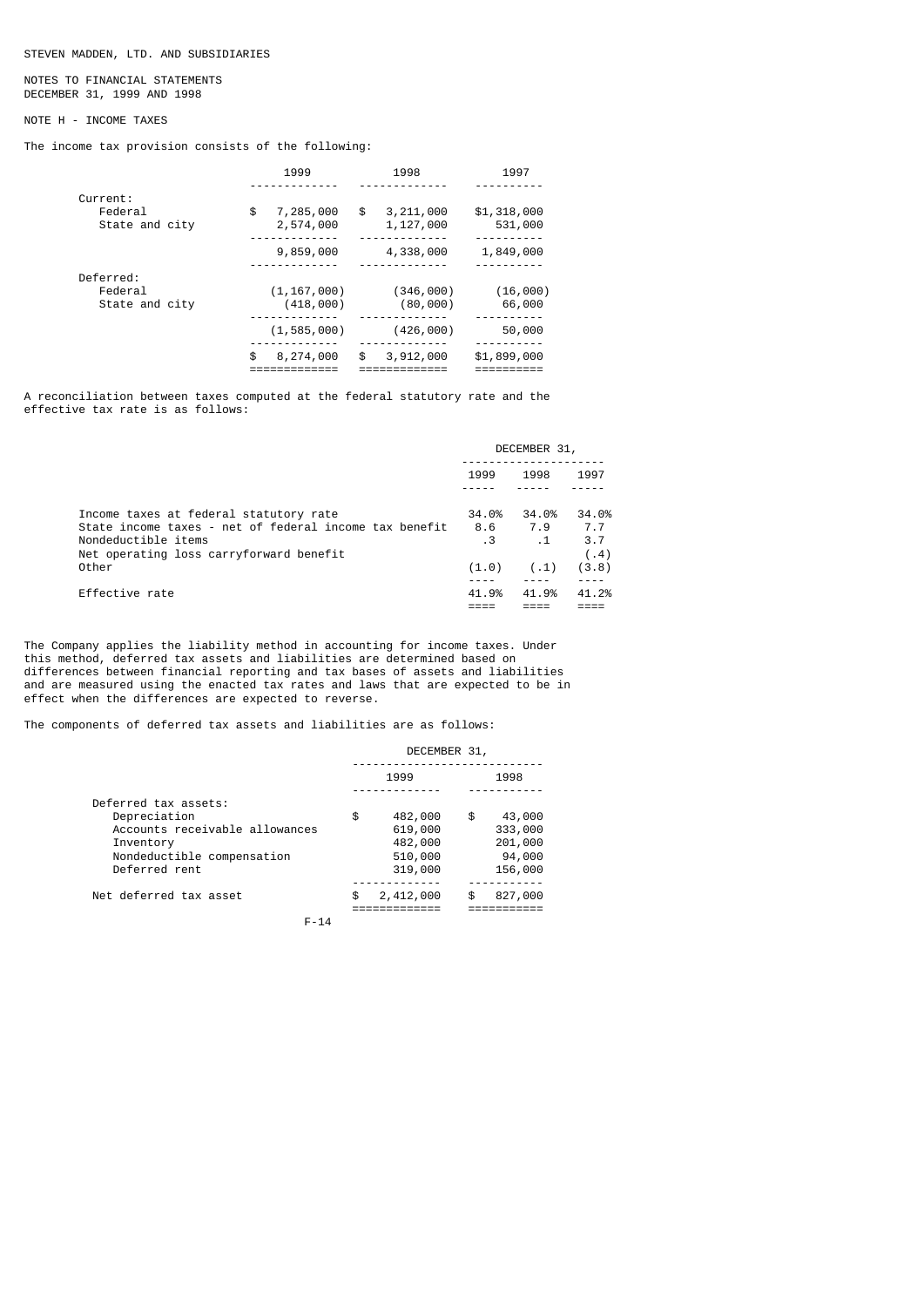### NOTES TO FINANCIAL STATEMENTS DECEMBER 31, 1999 AND 1998

# NOTE H - INCOME TAXES

The income tax provision consists of the following:

|                | 1999            | 1998            | 1997        |
|----------------|-----------------|-----------------|-------------|
|                |                 |                 |             |
| Current:       |                 |                 |             |
| Federal        | \$<br>7,285,000 | \$<br>3,211,000 | \$1,318,000 |
| State and city | 2,574,000       | 1,127,000       | 531,000     |
|                |                 |                 |             |
|                | 9,859,000       | 4,338,000       | 1,849,000   |
|                |                 |                 |             |
| Deferred:      |                 |                 |             |
| Federal        | (1, 167, 000)   | (346,000)       | (16,000)    |
| State and city | (418,000)       | (80,000)        | 66,000      |
|                |                 |                 |             |
|                | (1, 585, 000)   | (426,000)       | 50,000      |
|                |                 |                 |             |
|                | \$<br>8,274,000 | \$<br>3,912,000 | \$1,899,000 |
|                |                 |                 |             |

A reconciliation between taxes computed at the federal statutory rate and the effective tax rate is as follows:

|                                                                                                                                                                             | DECEMBER 31,                 |                                   |                                      |  |
|-----------------------------------------------------------------------------------------------------------------------------------------------------------------------------|------------------------------|-----------------------------------|--------------------------------------|--|
|                                                                                                                                                                             | 1999                         | 1998                              | 1997                                 |  |
| Income taxes at federal statutory rate<br>State income taxes - net of federal income tax benefit<br>Nondeductible items<br>Net operating loss carryforward benefit<br>Other | 34.0%<br>8.6<br>. 3<br>(1.0) | 34.0%<br>7.9<br>$\cdot$ 1<br>(.1) | 34.0%<br>7.7<br>3.7<br>(.4)<br>(3.8) |  |
| Effective rate                                                                                                                                                              | 41.9%                        | 41.9%                             | 41.2%                                |  |

The Company applies the liability method in accounting for income taxes. Under this method, deferred tax assets and liabilities are determined based on differences between financial reporting and tax bases of assets and liabilities and are measured using the enacted tax rates and laws that are expected to be in effect when the differences are expected to reverse.

The components of deferred tax assets and liabilities are as follows:

### DECEMBER 31, ---------------------------- 1999 1998 ------------- ----------- Deferred tax assets: Depreciation \$ 482,000 \$ 43,000 Accounts receivable allowances 619,000 333,000<br>Inventory 482,000 201,000 Inventory  $482,000$  201,000<br>Nondeductible compensation 510,000 94,000 Nondeductible compensation 510,000 94,000<br>Deferred rent 319,000 156,000  $Deferred$  rent 319,000 ------------- ----------- Net deferred tax asset  $\frac{1}{2}$ ,  $\frac{2}{412}$ ,  $\frac{000}{5}$   $\frac{827}{7}$ ,  $\frac{000}{7}$ ============= ===========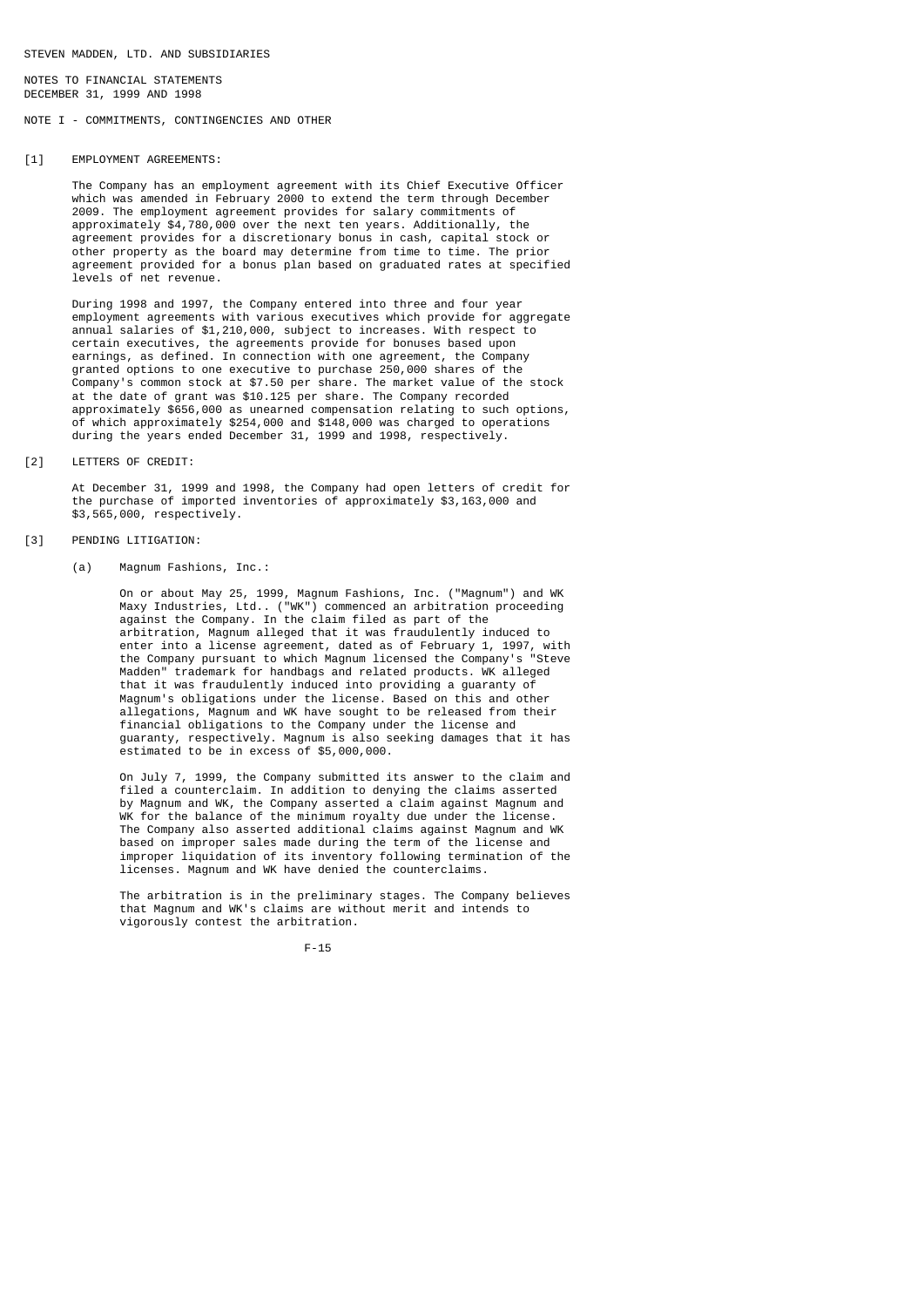NOTES TO FINANCIAL STATEMENTS DECEMBER 31, 1999 AND 1998

NOTE I - COMMITMENTS, CONTINGENCIES AND OTHER

### [1] EMPLOYMENT AGREEMENTS:

 The Company has an employment agreement with its Chief Executive Officer which was amended in February 2000 to extend the term through December 2009. The employment agreement provides for salary commitments of approximately \$4,780,000 over the next ten years. Additionally, the agreement provides for a discretionary bonus in cash, capital stock or other property as the board may determine from time to time. The prior agreement provided for a bonus plan based on graduated rates at specified levels of net revenue.

 During 1998 and 1997, the Company entered into three and four year employment agreements with various executives which provide for aggregate annual salaries of \$1,210,000, subject to increases. With respect to certain executives, the agreements provide for bonuses based upon earnings, as defined. In connection with one agreement, the Company granted options to one executive to purchase 250,000 shares of the Company's common stock at \$7.50 per share. The market value of the stock at the date of grant was \$10.125 per share. The Company recorded approximately \$656,000 as unearned compensation relating to such options, of which approximately \$254,000 and \$148,000 was charged to operations during the years ended December 31, 1999 and 1998, respectively.

### [2] LETTERS OF CREDIT:

 At December 31, 1999 and 1998, the Company had open letters of credit for the purchase of imported inventories of approximately \$3,163,000 and \$3,565,000, respectively.

### [3] PENDING LITIGATION:

## (a) Magnum Fashions, Inc.:

 On or about May 25, 1999, Magnum Fashions, Inc. ("Magnum") and WK Maxy Industries, Ltd.. ("WK") commenced an arbitration proceeding against the Company. In the claim filed as part of the agazhoù end company. In the claim illeven as part is enter into a license agreement, dated as of February 1, 1997, with the Company pursuant to which Magnum licensed the Company's "Steve Madden" trademark for handbags and related products. WK alleged that it was fraudulently induced into providing a guaranty of Magnum's obligations under the license. Based on this and other allegations, Magnum and WK have sought to be released from their financial obligations to the Company under the license and guaranty, respectively. Magnum is also seeking damages that it has estimated to be in excess of \$5,000,000.

 On July 7, 1999, the Company submitted its answer to the claim and filed a counterclaim. In addition to denying the claims asserted by Magnum and WK, the Company asserted a claim against Magnum and WK for the balance of the minimum royalty due under the license. The Company also asserted additional claims against Magnum and WK based on improper sales made during the term of the license and improper liquidation of its inventory following termination of the licenses. Magnum and WK have denied the counterclaims.

> The arbitration is in the preliminary stages. The Company believes that Magnum and WK's claims are without merit and intends to vigorously contest the arbitration.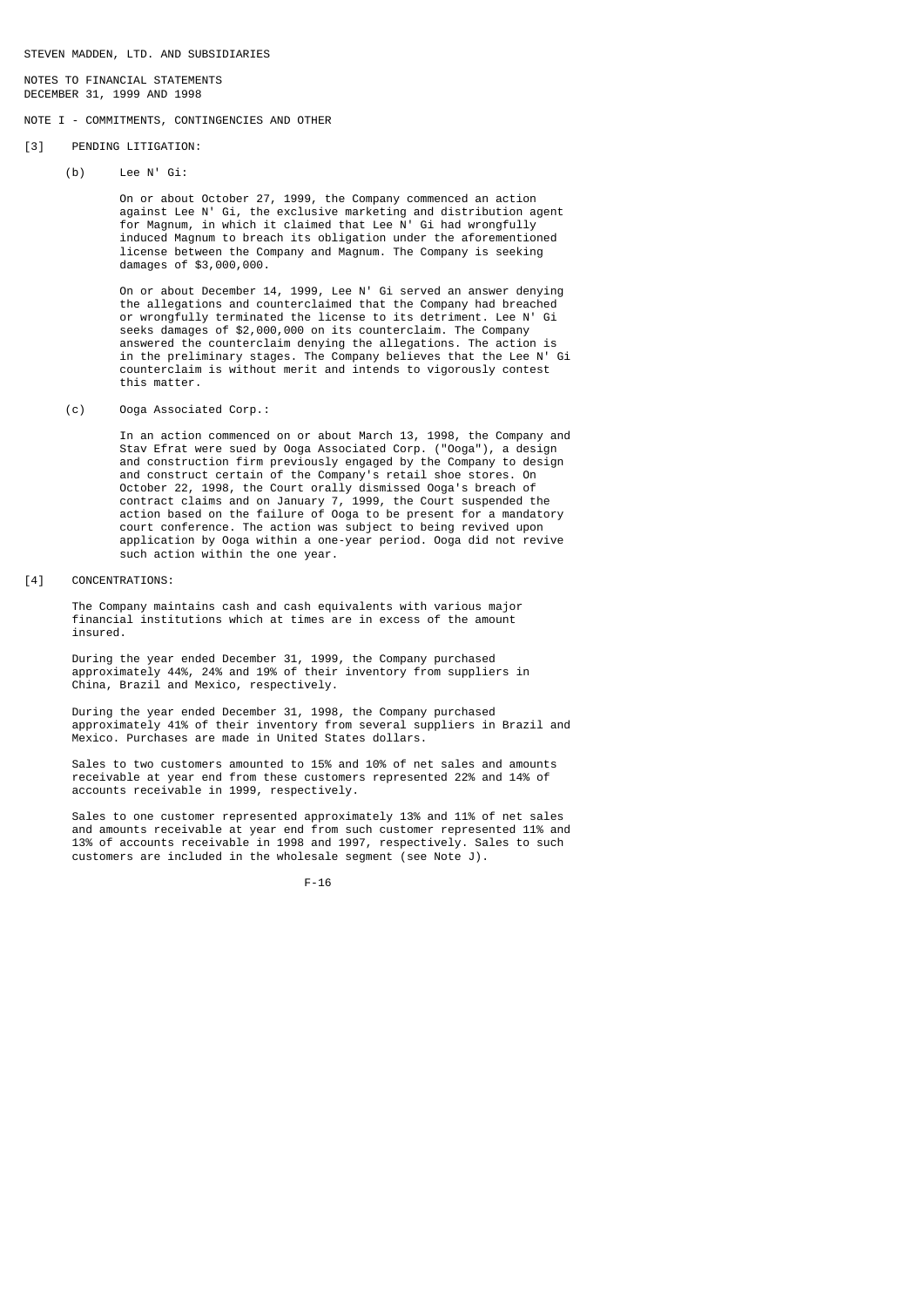NOTES TO FINANCIAL STATEMENTS DECEMBER 31, 1999 AND 1998

NOTE I - COMMITMENTS, CONTINGENCIES AND OTHER

- [3] PENDING LITIGATION:
	- (b) Lee N' Gi:

 On or about October 27, 1999, the Company commenced an action against Lee N' Gi, the exclusive marketing and distribution agent for Magnum, in which it claimed that Lee N' Gi had wrongfully induced Magnum to breach its obligation under the aforementioned license between the Company and Magnum. The Company is seeking damages of \$3,000,000.

> On or about December 14, 1999, Lee N' Gi served an answer denying the allegations and counterclaimed that the Company had breached or wrongfully terminated the license to its detriment. Lee N' Gi seeks damages of \$2,000,000 on its counterclaim. The Company answered the counterclaim denying the allegations. The action is in the preliminary stages. The Company believes that the Lee N' Gi counterclaim is without merit and intends to vigorously contest this matter.

(c) Ooga Associated Corp.:

 In an action commenced on or about March 13, 1998, the Company and Stav Efrat were sued by Ooga Associated Corp. ("Ooga"), a design and construction firm previously engaged by the Company to design and construct certain of the Company's retail shoe stores. On October 22, 1998, the Court orally dismissed Ooga's breach of contract claims and on January 7, 1999, the Court suspended the action based on the failure of Ooga to be present for a mandatory court conference. The action was subject to being revived upon application by Ooga within a one-year period. Ooga did not revive such action within the one year.

[4] CONCENTRATIONS:

 The Company maintains cash and cash equivalents with various major financial institutions which at times are in excess of the amount insured.

 During the year ended December 31, 1999, the Company purchased approximately 44%, 24% and 19% of their inventory from suppliers in China, Brazil and Mexico, respectively.

 During the year ended December 31, 1998, the Company purchased approximately 41% of their inventory from several suppliers in Brazil and Mexico. Purchases are made in United States dollars.

 Sales to two customers amounted to 15% and 10% of net sales and amounts receivable at year end from these customers represented 22% and 14% of accounts receivable in 1999, respectively.

 Sales to one customer represented approximately 13% and 11% of net sales and amounts receivable at year end from such customer represented 11% and 13% of accounts receivable in 1998 and 1997, respectively. Sales to such customers are included in the wholesale segment (see Note J).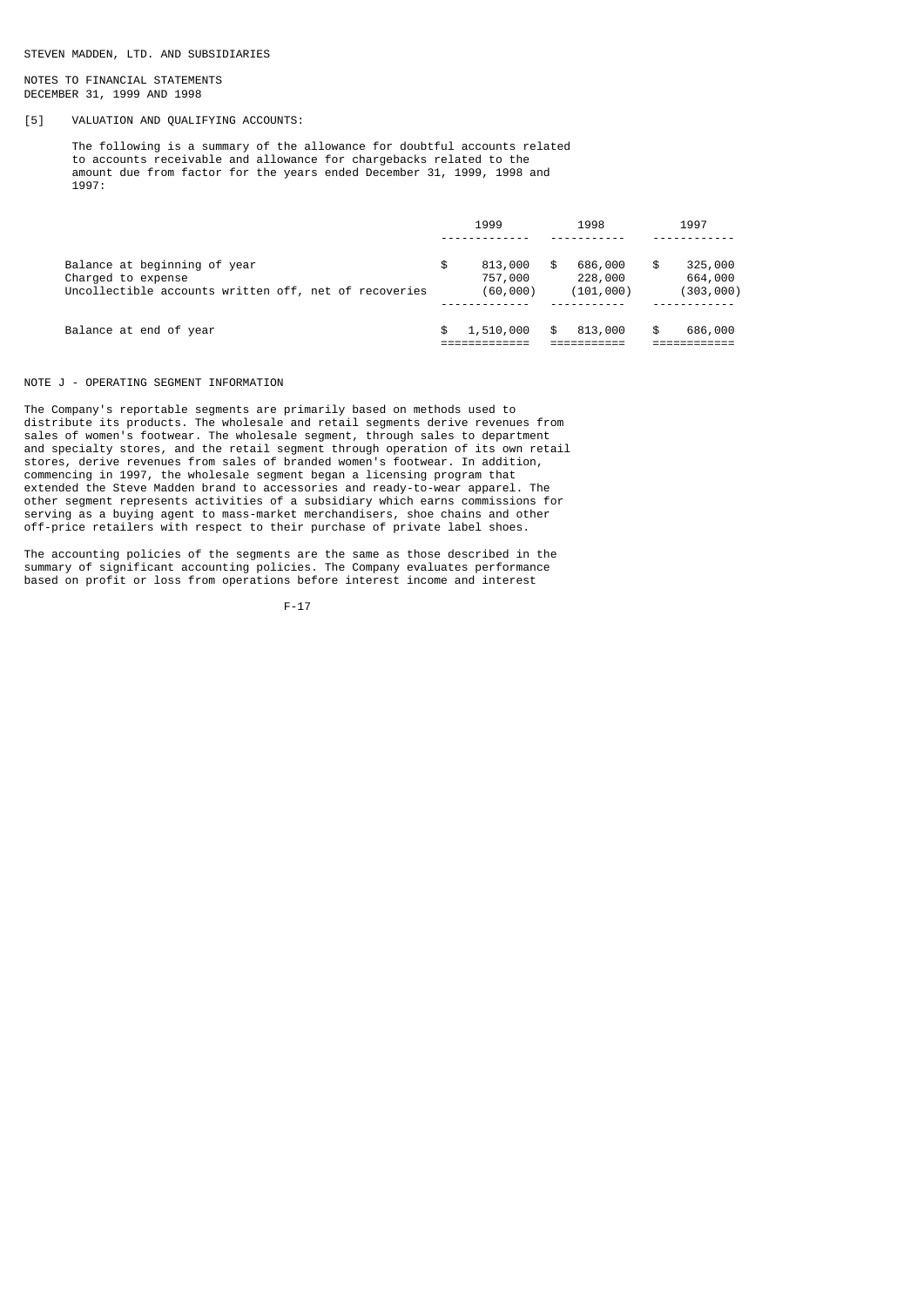NOTES TO FINANCIAL STATEMENTS DECEMBER 31, 1999 AND 1998

# [5] VALUATION AND QUALIFYING ACCOUNTS:

 The following is a summary of the allowance for doubtful accounts related to accounts receivable and allowance for chargebacks related to the amount due from factor for the years ended December 31, 1999, 1998 and 1997:

|                                                       | 1999 |           | 1998 |            | 1997 |           |
|-------------------------------------------------------|------|-----------|------|------------|------|-----------|
|                                                       |      |           |      |            |      |           |
| Balance at beginning of year                          | \$   | 813,000   |      | 686,000    |      | 325,000   |
| Charged to expense                                    |      | 757,000   |      | 228,000    |      | 664,000   |
| Uncollectible accounts written off, net of recoveries |      | (60,000)  |      | (101, 000) |      | (303,000) |
|                                                       |      |           |      |            |      |           |
| Balance at end of year                                | \$   | 1,510,000 | \$   | 813,000    |      | 686,000   |
|                                                       |      |           |      |            |      |           |

# NOTE J - OPERATING SEGMENT INFORMATION

The Company's reportable segments are primarily based on methods used to distribute its products. The wholesale and retail segments derive revenues from sales of women's footwear. The wholesale segment, through sales to department and specialty stores, and the retail segment through operation of its own retail stores, derive revenues from sales of branded women's footwear. In addition, commencing in 1997, the wholesale segment began a licensing program that extended the Steve Madden brand to accessories and ready-to-wear apparel. The other segment represents activities of a subsidiary which earns commissions for serving as a buying agent to mass-market merchandisers, shoe chains and other off-price retailers with respect to their purchase of private label shoes.

The accounting policies of the segments are the same as those described in the summary of significant accounting policies. The Company evaluates performance based on profit or loss from operations before interest income and interest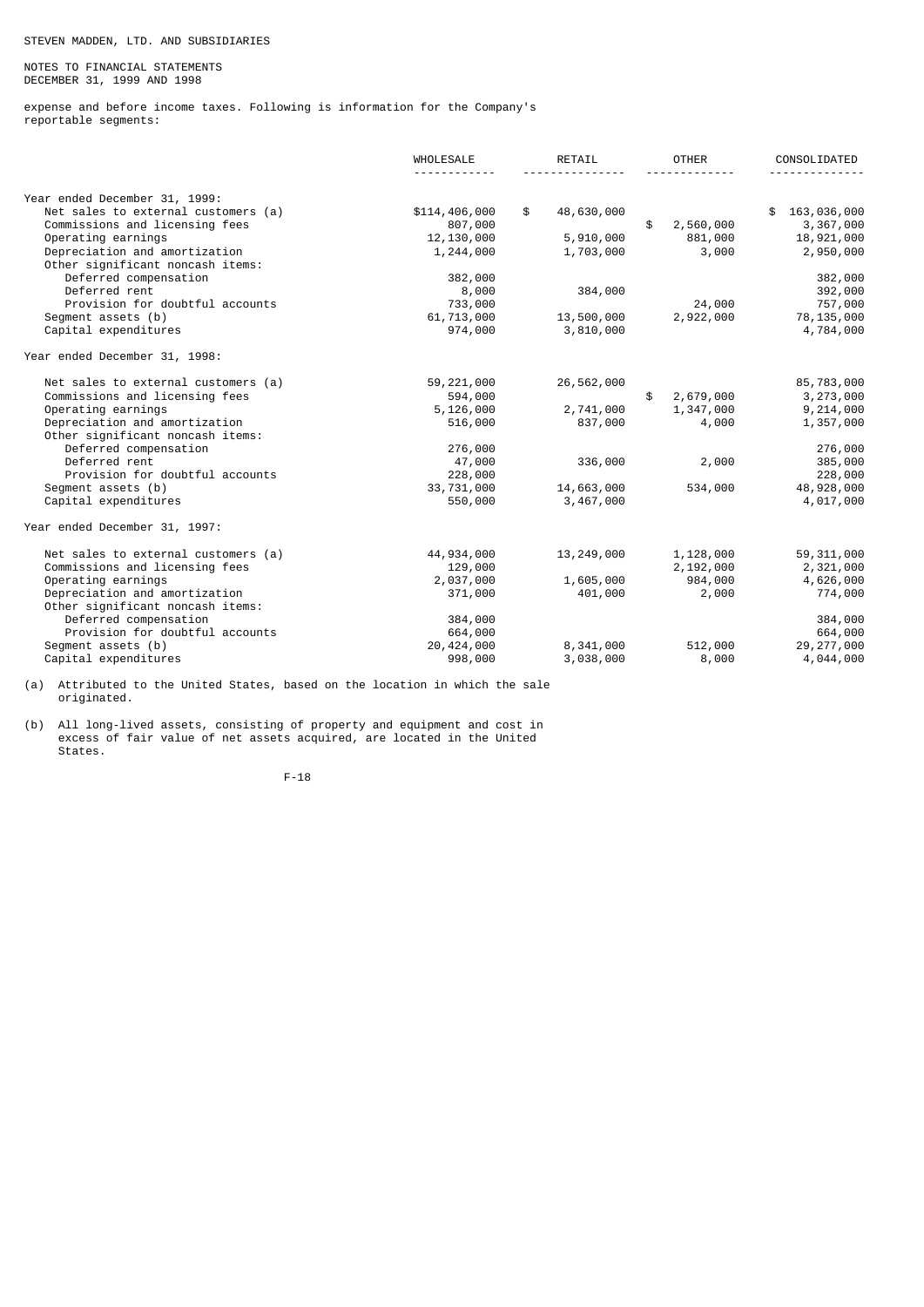# NOTES TO FINANCIAL STATEMENTS DECEMBER 31, 1999 AND 1998

expense and before income taxes. Following is information for the Company's reportable segments:

|                                     | WHOLESALE     | RETAIL |              | <b>OTHER</b> |           | CONSOLIDATED |              |
|-------------------------------------|---------------|--------|--------------|--------------|-----------|--------------|--------------|
|                                     |               |        |              |              |           |              |              |
| Year ended December 31, 1999:       |               |        |              |              |           |              |              |
| Net sales to external customers (a) | \$114,406,000 | \$     | 48,630,000   |              |           | \$.          | 163,036,000  |
| Commissions and licensing fees      | 807,000       |        |              | \$           | 2,560,000 |              | 3,367,000    |
| Operating earnings                  | 12,130,000    |        | 5,910,000    |              | 881,000   |              | 18,921,000   |
| Depreciation and amortization       | 1,244,000     |        | 1,703,000    |              | 3,000     |              | 2,950,000    |
| Other significant noncash items:    |               |        |              |              |           |              |              |
| Deferred compensation               | 382,000       |        |              |              |           |              | 382,000      |
| Deferred rent                       | 8,000         |        | 384,000      |              |           |              | 392,000      |
| Provision for doubtful accounts     | 733,000       |        |              |              | 24,000    |              | 757,000      |
| Segment assets (b)                  | 61,713,000    |        | 13,500,000   |              | 2,922,000 |              | 78,135,000   |
| Capital expenditures                | 974,000       |        | 3,810,000    |              |           |              | 4,784,000    |
| Year ended December 31, 1998:       |               |        |              |              |           |              |              |
| Net sales to external customers (a) | 59,221,000    |        | 26,562,000   |              |           |              | 85,783,000   |
| Commissions and licensing fees      | 594,000       |        |              | \$           | 2,679,000 |              | 3,273,000    |
| Operating earnings                  | 5,126,000     |        | 2,741,000    |              | 1,347,000 |              | 9,214,000    |
| Depreciation and amortization       | 516,000       |        | 837,000      |              | 4,000     |              | 1,357,000    |
| Other significant noncash items:    |               |        |              |              |           |              |              |
| Deferred compensation               | 276,000       |        |              |              |           |              | 276,000      |
| Deferred rent                       | 47,000        |        | 336,000      |              | 2,000     |              | 385,000      |
| Provision for doubtful accounts     | 228,000       |        |              |              |           |              | 228,000      |
| Segment assets (b)                  | 33,731,000    |        | 14,663,000   |              | 534,000   |              | 48,928,000   |
| Capital expenditures                | 550,000       |        | 3,467,000    |              |           |              | 4,017,000    |
| Year ended December 31, 1997:       |               |        |              |              |           |              |              |
| Net sales to external customers (a) | 44,934,000    |        | 13, 249, 000 |              | 1,128,000 |              | 59, 311, 000 |
| Commissions and licensing fees      | 129,000       |        |              |              | 2,192,000 |              | 2,321,000    |
| Operating earnings                  | 2,037,000     |        | 1,605,000    |              | 984,000   |              | 4,626,000    |
| Depreciation and amortization       | 371,000       |        | 401,000      |              | 2,000     |              | 774,000      |
| Other significant noncash items:    |               |        |              |              |           |              |              |
| Deferred compensation               | 384,000       |        |              |              |           |              | 384,000      |
| Provision for doubtful accounts     | 664,000       |        |              |              |           |              | 664,000      |
| Segment assets (b)                  | 20,424,000    |        | 8,341,000    |              | 512,000   |              | 29, 277, 000 |
| Capital expenditures                | 998,000       |        | 3,038,000    |              | 8,000     |              | 4,044,000    |

(a) Attributed to the United States, based on the location in which the sale originated.

(b) All long-lived assets, consisting of property and equipment and cost in excess of fair value of net assets acquired, are located in the United States.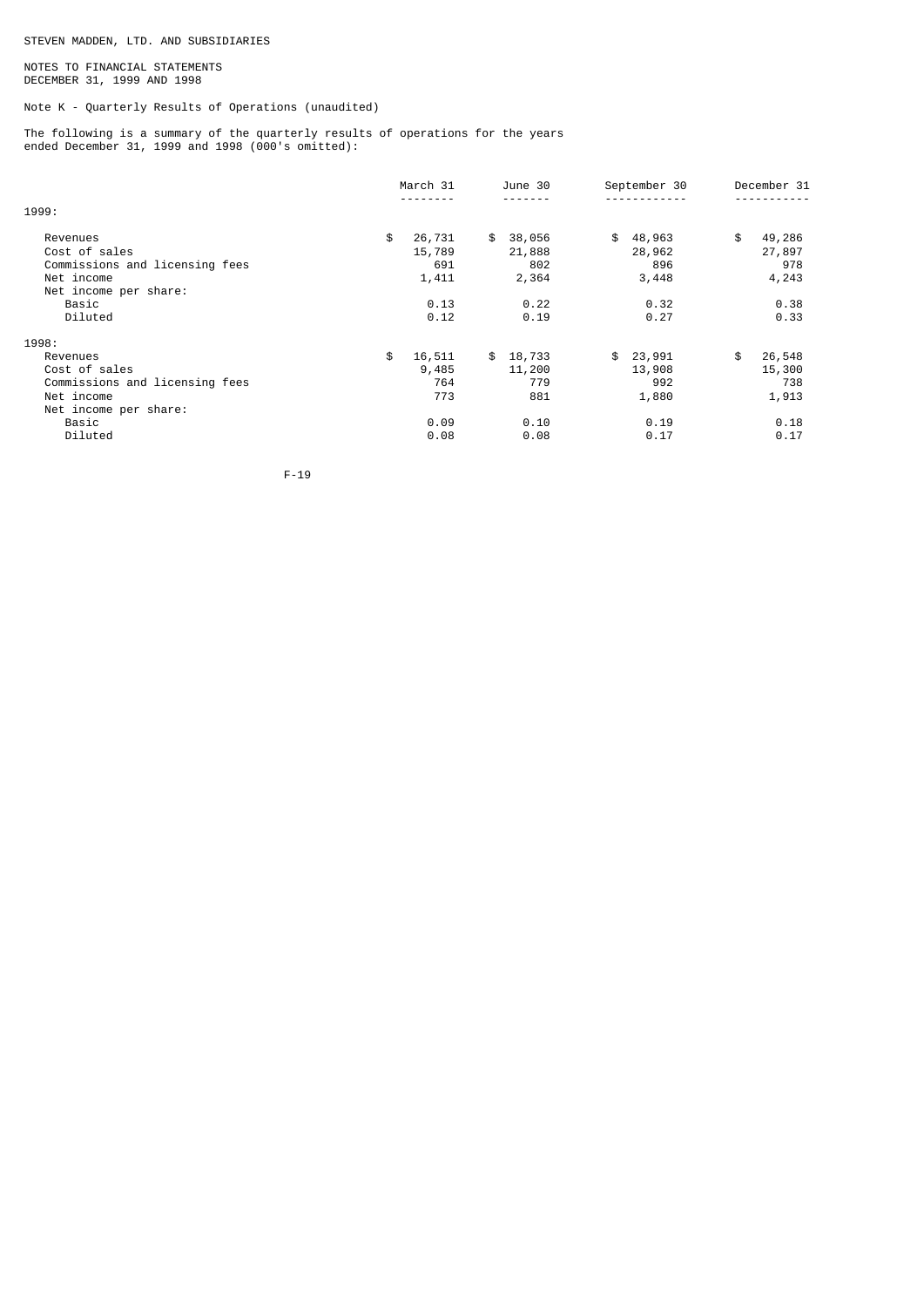### NOTES TO FINANCIAL STATEMENTS DECEMBER 31, 1999 AND 1998

Note K - Quarterly Results of Operations (unaudited)

The following is a summary of the quarterly results of operations for the years ended December 31, 1999 and 1998 (000's omitted):

|                                                                                                                        | March 31                                               | June 30                                                | September 30                                           | December 31                                            |
|------------------------------------------------------------------------------------------------------------------------|--------------------------------------------------------|--------------------------------------------------------|--------------------------------------------------------|--------------------------------------------------------|
| 1999:                                                                                                                  | - - - - - - - -                                        |                                                        |                                                        |                                                        |
| Revenues<br>Cost of sales<br>Commissions and licensing fees<br>Net income<br>Net income per share:<br>Basic<br>Diluted | \$<br>26,731<br>15,789<br>691<br>1,411<br>0.13<br>0.12 | 38,056<br>\$<br>21,888<br>802<br>2,364<br>0.22<br>0.19 | \$<br>48,963<br>28,962<br>896<br>3,448<br>0.32<br>0.27 | \$<br>49,286<br>27,897<br>978<br>4,243<br>0.38<br>0.33 |
| 1998:                                                                                                                  |                                                        |                                                        |                                                        |                                                        |
| Revenues<br>Cost of sales<br>Commissions and licensing fees<br>Net income<br>Net income per share:                     | \$<br>16,511<br>9,485<br>764<br>773                    | \$18,733<br>11,200<br>779<br>881                       | 23,991<br>\$<br>13,908<br>992<br>1,880                 | \$<br>26,548<br>15,300<br>738<br>1,913                 |
| Basic<br>Diluted                                                                                                       | 0.09<br>0.08                                           | 0.10<br>0.08                                           | 0.19<br>0.17                                           | 0.18<br>0.17                                           |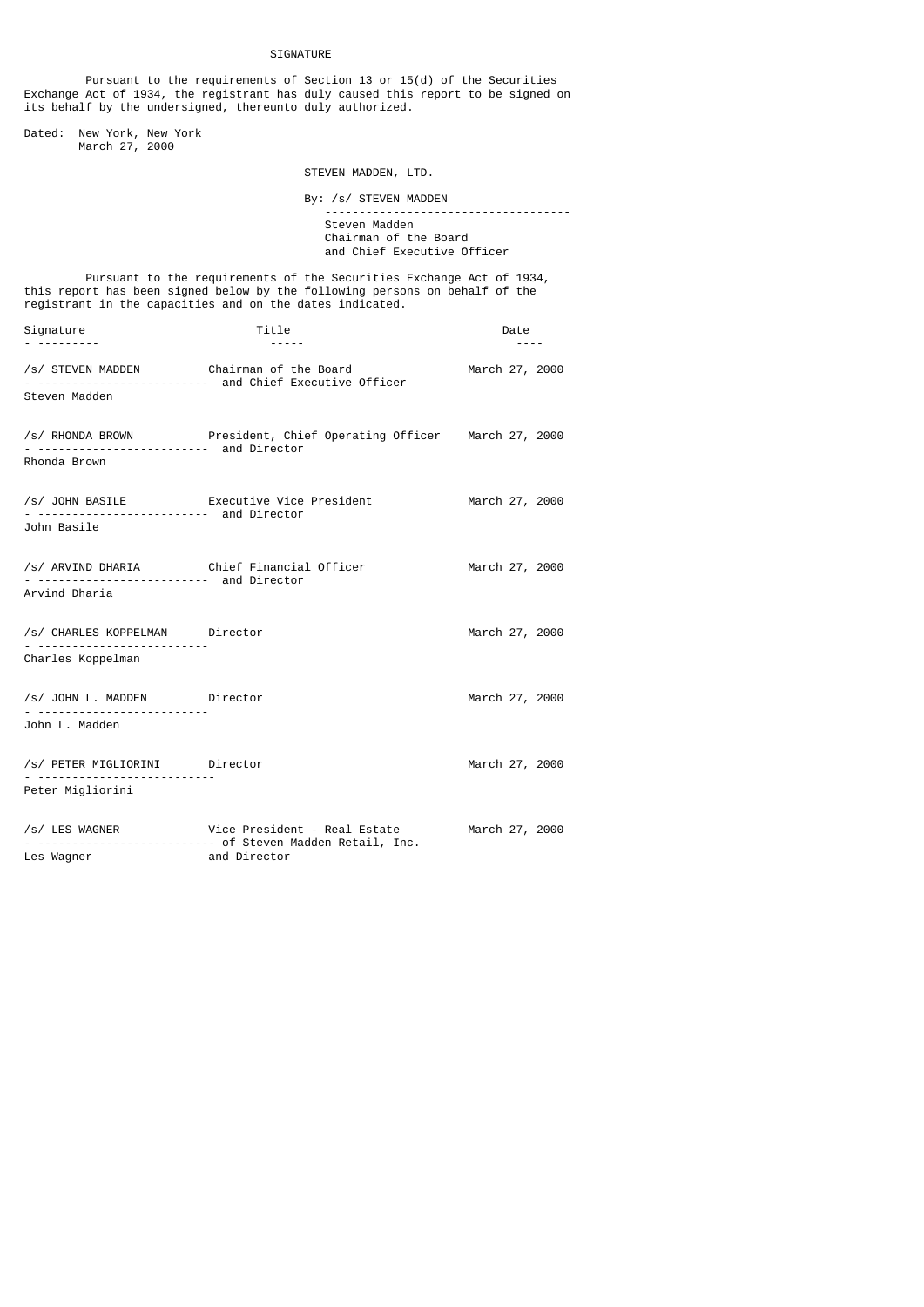**STGNATURE** 

 Pursuant to the requirements of Section 13 or 15(d) of the Securities Exchange Act of 1934, the registrant has duly caused this report to be signed on its behalf by the undersigned, thereunto duly authorized. Dated: New York, New York March 27, 2000 STEVEN MADDEN, LTD. By: /s/ STEVEN MADDEN ------------------------------------ Steven Madden Chairman of the Board and Chief Executive Officer Pursuant to the requirements of the Securities Exchange Act of 1934, this report has been signed below by the following persons on behalf of the registrant in the capacities and on the dates indicated. Signature Date Date Date Date Date - --------- ----- ---- /s/ STEVEN MADDEN Chairman of the Board March 27, 2000 - ------------------------- and Chief Executive Officer Steven Madden /s/ RHONDA BROWN President, Chief Operating Officer March 27, 2000 - ------------------------- and Director Rhonda Brown /s/ JOHN BASILE Executive Vice President March 27, 2000 - ------------------------- and Director John Basile /s/ ARVIND DHARIA Chief Financial Officer March 27, 2000 - ------------------------- and Director Arvind Dharia /s/ CHARLES KOPPELMAN Director March 27, 2000 - ------------------------- Charles Koppelman /s/ JOHN L. MADDEN Director March 27, 2000 - ------------------------- John L. Madden /s/ PETER MIGLIORINI Director March 27, 2000 - -------------------------- Peter Migliorini /s/ LES WAGNER Vice President - Real Estate March 27, 2000 - -------------------------- of Steven Madden Retail, Inc. Les Wagner **and Director**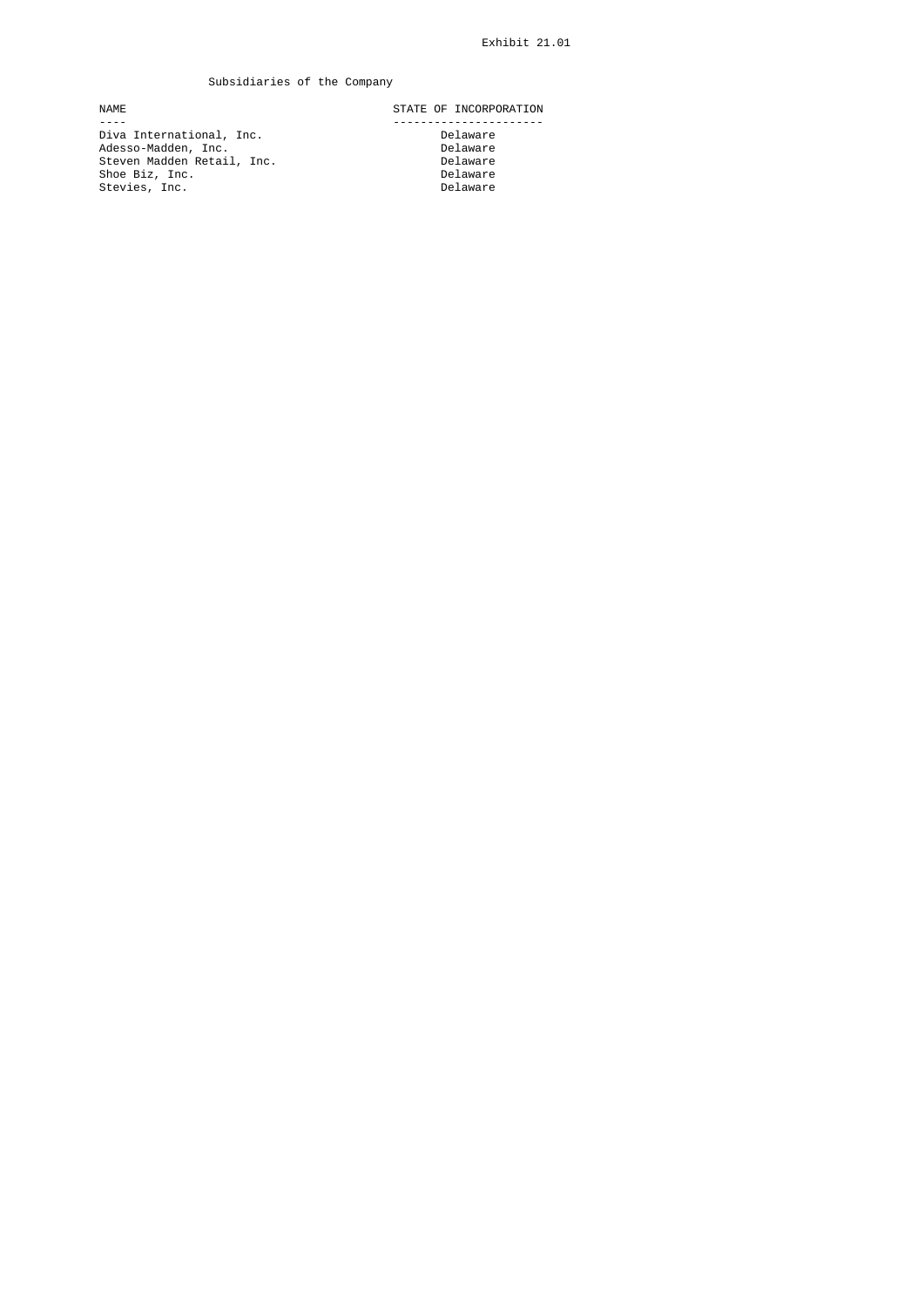# Subsidiaries of the Company

 ---- ---------------------- Diva International, Inc. Delaware Adesso-Madden, Inc. Delaware Steven Madden Retail, Inc. Delaware Shoe Biz, Inc. Delaware Stevies, Inc. Delaware

NAME STATE OF INCORPORATION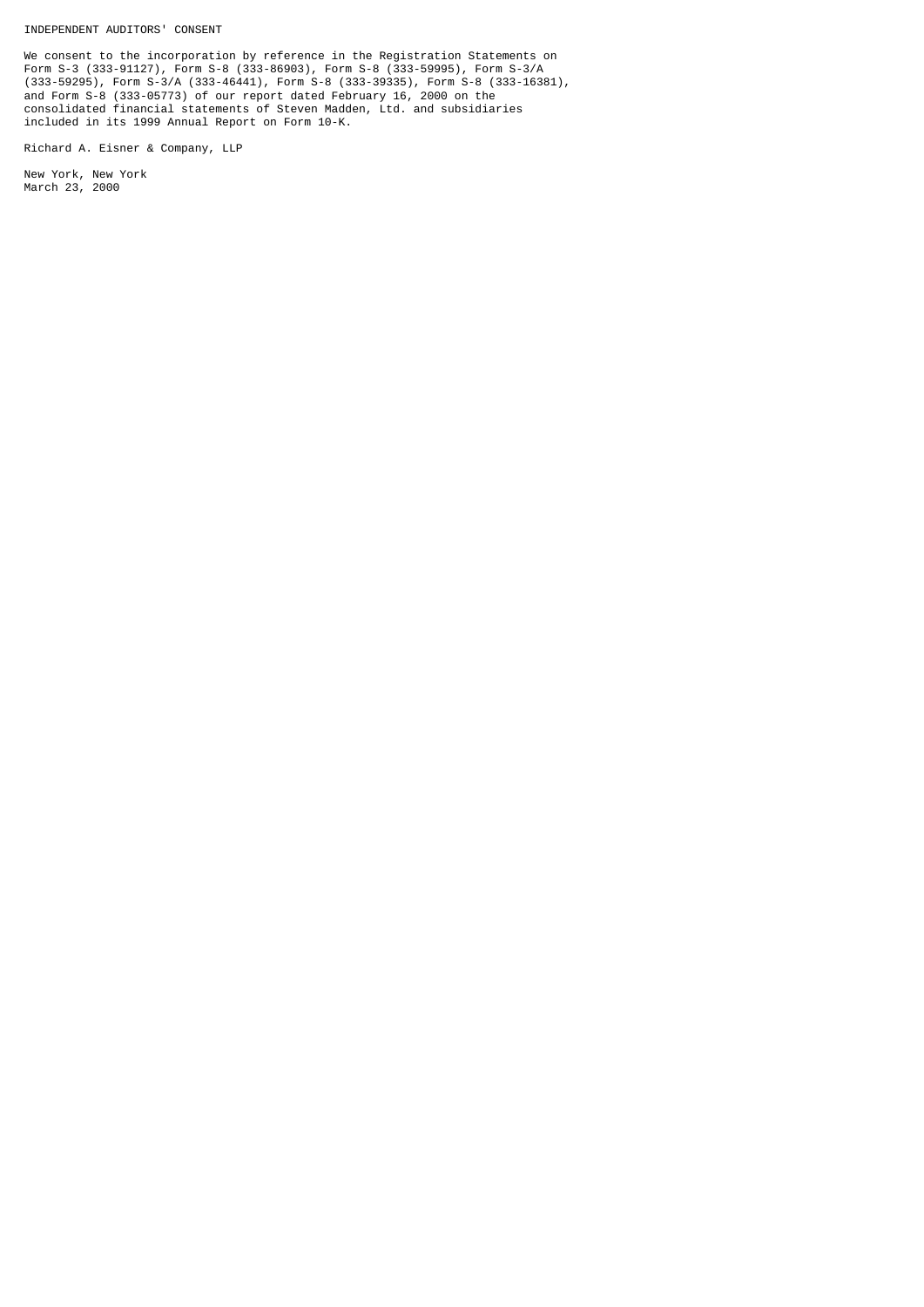INDEPENDENT AUDITORS' CONSENT

We consent to the incorporation by reference in the Registration Statements on Form S-3 (333-91127), Form S-8 (333-86903), Form S-8 (333-59995), Form S-3/A (333-59295), Form S-3/A (333-46441), Form S-8 (333-39335), Form S-8 (333-16381), and Form S-8 (333-05773) of our report dated February 16, 2000 on the consolidated financial statements of Steven Madden, Ltd. and subsidiaries included in its 1999 Annual Report on Form 10-K.

Richard A. Eisner & Company, LLP

New York, New York March 23, 2000